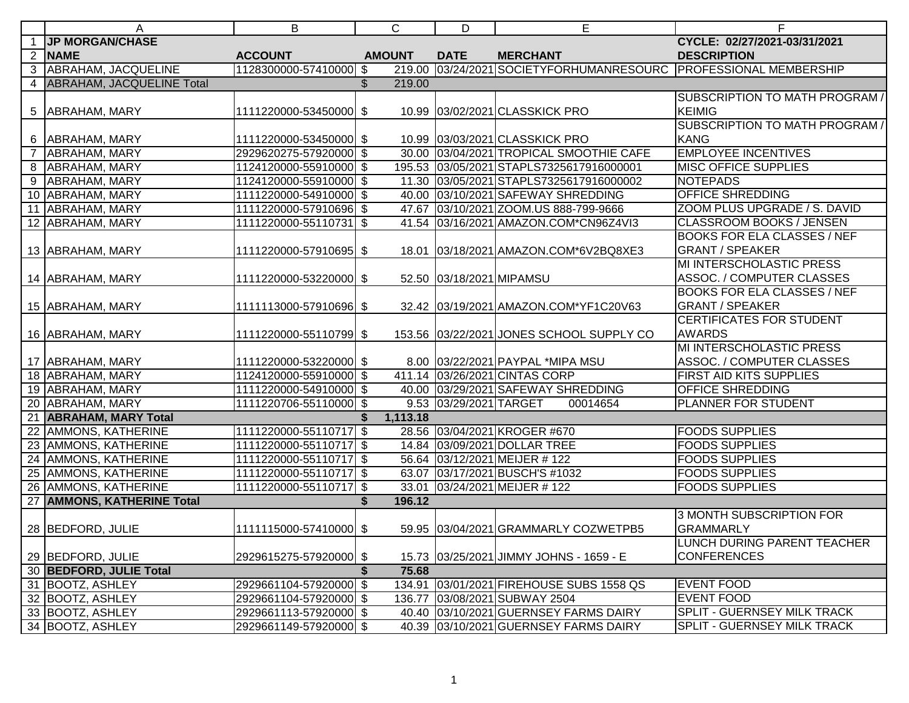| A                           | B                            | $\mathsf{C}$  | D                        | E                                                         | F                                  |
|-----------------------------|------------------------------|---------------|--------------------------|-----------------------------------------------------------|------------------------------------|
| <b>JP MORGAN/CHASE</b>      |                              |               |                          |                                                           | CYCLE: 02/27/2021-03/31/2021       |
| 2 NAME                      | <b>ACCOUNT</b>               | <b>AMOUNT</b> | <b>DATE</b>              | <b>MERCHANT</b>                                           | <b>DESCRIPTION</b>                 |
| 3 ABRAHAM, JACQUELINE       | 1128300000-57410000 \$       | 219.00        |                          | 03/24/2021 SOCIETYFORHUMANRESOURC PROFESSIONAL MEMBERSHIP |                                    |
| 4 ABRAHAM, JACQUELINE Total |                              | \$<br>219.00  |                          |                                                           |                                    |
|                             |                              |               |                          |                                                           | SUBSCRIPTION TO MATH PROGRAM /     |
| 5   ABRAHAM, MARY           | 1111220000-53450000 \$       |               |                          | 10.99 03/02/2021 CLASSKICK PRO                            | <b>KEIMIG</b>                      |
|                             |                              |               |                          |                                                           | SUBSCRIPTION TO MATH PROGRAM /     |
| 6   ABRAHAM, MARY           | 1111220000-53450000 \$       |               |                          | 10.99 03/03/2021 CLASSKICK PRO                            | KANG                               |
| <b>ABRAHAM, MARY</b>        | 2929620275-57920000 \$       |               |                          | 30.00 03/04/2021 TROPICAL SMOOTHIE CAFE                   | <b>EMPLOYEE INCENTIVES</b>         |
| 8 ABRAHAM, MARY             | 1124120000-55910000 \$       |               |                          | 195.53 03/05/2021 STAPLS7325617916000001                  | <b>MISC OFFICE SUPPLIES</b>        |
| 9 ABRAHAM, MARY             | 1124120000-55910000 \$       |               |                          | 11.30 03/05/2021 STAPLS7325617916000002                   | NOTEPADS                           |
| 10 ABRAHAM, MARY            | 1111220000-54910000 \$       |               |                          | 40.00 03/10/2021 SAFEWAY SHREDDING                        | <b>OFFICE SHREDDING</b>            |
| 11 ABRAHAM, MARY            | 1111220000-57910696 \$       |               |                          | 47.67 03/10/2021 ZOOM.US 888-799-9666                     | ZOOM PLUS UPGRADE / S. DAVID       |
| 12 ABRAHAM, MARY            | 1111220000-55110731 \$       |               |                          | 41.54 03/16/2021 AMAZON.COM*CN96Z4VI3                     | <b>CLASSROOM BOOKS / JENSEN</b>    |
|                             |                              |               |                          |                                                           | <b>BOOKS FOR ELA CLASSES / NEF</b> |
| 13 ABRAHAM, MARY            | 1111220000-57910695 \$       |               |                          | 18.01 03/18/2021 AMAZON.COM*6V2BQ8XE3                     | <b>GRANT / SPEAKER</b>             |
|                             |                              |               |                          |                                                           | MI INTERSCHOLASTIC PRESS           |
| 14 ABRAHAM, MARY            | 1111220000-53220000 \$       |               | 52.50 03/18/2021 MIPAMSU |                                                           | ASSOC. / COMPUTER CLASSES          |
|                             |                              |               |                          |                                                           | <b>BOOKS FOR ELA CLASSES / NEF</b> |
| 15 ABRAHAM, MARY            | 1111113000-57910696 \$       |               |                          | 32.42 03/19/2021 AMAZON.COM*YF1C20V63                     | <b>GRANT / SPEAKER</b>             |
|                             |                              |               |                          |                                                           | <b>CERTIFICATES FOR STUDENT</b>    |
| 16 ABRAHAM, MARY            | 1111220000-55110799 \$       |               |                          | 153.56 03/22/2021 JONES SCHOOL SUPPLY CO                  | <b>AWARDS</b>                      |
|                             |                              |               |                          |                                                           | MI INTERSCHOLASTIC PRESS           |
| 17 ABRAHAM, MARY            | 1111220000-53220000 \$       |               |                          | 8.00 03/22/2021 PAYPAL *MIPA MSU                          | ASSOC. / COMPUTER CLASSES          |
| 18 ABRAHAM, MARY            | 1124120000-55910000 \$       |               |                          | 411.14 03/26/2021 CINTAS CORP                             | FIRST AID KITS SUPPLIES            |
| 19 ABRAHAM, MARY            | 1111220000-54910000 \$       |               |                          | 40.00 03/29/2021 SAFEWAY SHREDDING                        | <b>OFFICE SHREDDING</b>            |
| 20 ABRAHAM, MARY            | 1111220706-55110000 \$       |               | 9.53 03/29/2021 TARGET   | 00014654                                                  | <b>PLANNER FOR STUDENT</b>         |
| 21 ABRAHAM, MARY Total      |                              | 1,113.18      |                          |                                                           |                                    |
| 22 AMMONS, KATHERINE        | 1111220000-55110717 \$       |               |                          | 28.56 03/04/2021 KROGER #670                              | <b>FOODS SUPPLIES</b>              |
| 23 AMMONS, KATHERINE        | 1111220000-55110717 \$       |               |                          | 14.84 03/09/2021 DOLLAR TREE                              | <b>FOODS SUPPLIES</b>              |
| 24 AMMONS, KATHERINE        | 1111220000-55110717 \$       |               |                          | 56.64 03/12/2021 MEIJER #122                              | <b>FOODS SUPPLIES</b>              |
| 25 AMMONS, KATHERINE        | 1111220000-55110717 \$       |               |                          | 63.07 03/17/2021 BUSCH'S #1032                            | <b>FOODS SUPPLIES</b>              |
| 26 AMMONS, KATHERINE        | $ 1111220000 - 55110717 $ \$ | 33.01         |                          | 03/24/2021 MEIJER #122                                    | <b>FOODS SUPPLIES</b>              |
| 27 AMMONS, KATHERINE Total  |                              | 196.12<br>\$  |                          |                                                           |                                    |
|                             |                              |               |                          |                                                           | <b>3 MONTH SUBSCRIPTION FOR</b>    |
| 28 BEDFORD, JULIE           | 1111115000-57410000 \$       |               |                          | 59.95 03/04/2021 GRAMMARLY COZWETPB5                      | <b>GRAMMARLY</b>                   |
|                             |                              |               |                          |                                                           | <b>LUNCH DURING PARENT TEACHER</b> |
| 29 BEDFORD, JULIE           | 2929615275-57920000 \$       |               |                          | 15.73 03/25/2021 JIMMY JOHNS - 1659 - E                   | <b>CONFERENCES</b>                 |
| 30 BEDFORD, JULIE Total     |                              | \$<br>75.68   |                          |                                                           |                                    |
| 31 BOOTZ, ASHLEY            | 2929661104-57920000 \$       |               |                          | 134.91 03/01/2021 FIREHOUSE SUBS 1558 QS                  | <b>EVENT FOOD</b>                  |
| 32 BOOTZ, ASHLEY            | 2929661104-57920000 \$       |               |                          | 136.77 03/08/2021 SUBWAY 2504                             | <b>EVENT FOOD</b>                  |
| 33 BOOTZ, ASHLEY            | 2929661113-57920000 \$       |               |                          | 40.40 03/10/2021 GUERNSEY FARMS DAIRY                     | SPLIT - GUERNSEY MILK TRACK        |
| 34 BOOTZ, ASHLEY            | 2929661149-57920000 \$       |               |                          | 40.39 03/10/2021 GUERNSEY FARMS DAIRY                     | SPLIT - GUERNSEY MILK TRACK        |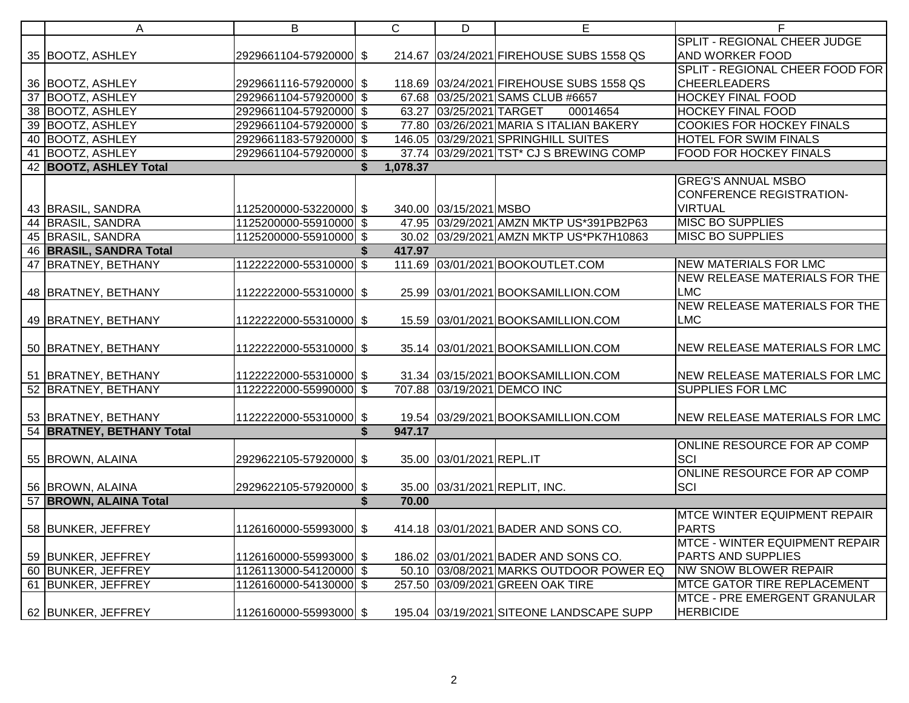| A                         | B                      | $\mathsf{C}$   | D                        | E                                        | F                                     |
|---------------------------|------------------------|----------------|--------------------------|------------------------------------------|---------------------------------------|
|                           |                        |                |                          |                                          | SPLIT - REGIONAL CHEER JUDGE          |
| 35 BOOTZ, ASHLEY          | 2929661104-57920000 \$ |                |                          | 214.67 03/24/2021 FIREHOUSE SUBS 1558 QS | AND WORKER FOOD                       |
|                           |                        |                |                          |                                          | SPLIT - REGIONAL CHEER FOOD FOR       |
| 36 BOOTZ, ASHLEY          | 2929661116-57920000 \$ |                |                          | 118.69 03/24/2021 FIREHOUSE SUBS 1558 QS | <b>CHEERLEADERS</b>                   |
| 37 BOOTZ, ASHLEY          | 2929661104-57920000 \$ |                |                          | 67.68 03/25/2021 SAMS CLUB #6657         | <b>HOCKEY FINAL FOOD</b>              |
| 38 BOOTZ, ASHLEY          | 2929661104-57920000 \$ |                | 63.27 03/25/2021 TARGET  | 00014654                                 | <b>HOCKEY FINAL FOOD</b>              |
| 39 BOOTZ, ASHLEY          | 2929661104-57920000 \$ |                |                          | 77.80 03/26/2021 MARIA S ITALIAN BAKERY  | <b>COOKIES FOR HOCKEY FINALS</b>      |
| 40 BOOTZ, ASHLEY          | 2929661183-57920000 \$ |                |                          | 146.05 03/29/2021 SPRINGHILL SUITES      | <b>HOTEL FOR SWIM FINALS</b>          |
| 41 BOOTZ, ASHLEY          | 2929661104-57920000 \$ |                |                          | 37.74 03/29/2021 TST* CJ S BREWING COMP  | <b>FOOD FOR HOCKEY FINALS</b>         |
| 42 BOOTZ, ASHLEY Total    |                        | 1,078.37<br>\$ |                          |                                          |                                       |
|                           |                        |                |                          |                                          | <b>GREG'S ANNUAL MSBO</b>             |
|                           |                        |                |                          |                                          | <b>CONFERENCE REGISTRATION-</b>       |
| 43 BRASIL, SANDRA         | 1125200000-53220000 \$ |                | 340.00 03/15/2021 MSBO   |                                          | <b>VIRTUAL</b>                        |
| 44 BRASIL, SANDRA         | 1125200000-55910000 \$ |                |                          | 47.95 03/29/2021 AMZN MKTP US*391PB2P63  | <b>MISC BO SUPPLIES</b>               |
| 45 BRASIL, SANDRA         | 1125200000-55910000 \$ |                |                          | 30.02 03/29/2021 AMZN MKTP US*PK7H10863  | <b>MISC BO SUPPLIES</b>               |
| 46 BRASIL, SANDRA Total   |                        | 417.97<br>\$   |                          |                                          |                                       |
| 47 BRATNEY, BETHANY       | 1122222000-55310000 \$ |                |                          | 111.69 03/01/2021 BOOKOUTLET.COM         | <b>NEW MATERIALS FOR LMC</b>          |
|                           |                        |                |                          |                                          | NEW RELEASE MATERIALS FOR THE         |
| 48 BRATNEY, BETHANY       | 1122222000-55310000 \$ |                |                          | 25.99 03/01/2021 BOOKSAMILLION.COM       | <b>LMC</b>                            |
|                           |                        |                |                          |                                          | <b>NEW RELEASE MATERIALS FOR THE</b>  |
| 49 BRATNEY, BETHANY       | 1122222000-55310000 \$ |                |                          | 15.59 03/01/2021 BOOKSAMILLION.COM       | <b>LMC</b>                            |
|                           |                        |                |                          |                                          |                                       |
| 50 BRATNEY, BETHANY       | 1122222000-55310000 \$ |                |                          | 35.14 03/01/2021 BOOKSAMILLION.COM       | NEW RELEASE MATERIALS FOR LMC         |
|                           |                        |                |                          |                                          |                                       |
| 51 BRATNEY, BETHANY       | 1122222000-55310000 \$ |                |                          | 31.34 03/15/2021 BOOKSAMILLION.COM       | NEW RELEASE MATERIALS FOR LMC         |
| 52 BRATNEY, BETHANY       | 1122222000-55990000 \$ |                |                          | 707.88 03/19/2021 DEMCO INC              | <b>SUPPLIES FOR LMC</b>               |
|                           |                        |                |                          |                                          |                                       |
| 53 BRATNEY, BETHANY       | 1122222000-55310000 \$ |                |                          | 19.54 03/29/2021 BOOKSAMILLION.COM       | <b>NEW RELEASE MATERIALS FOR LMC</b>  |
| 54 BRATNEY, BETHANY Total |                        | 947.17<br>\$   |                          |                                          |                                       |
|                           |                        |                |                          |                                          | ONLINE RESOURCE FOR AP COMP           |
| 55 BROWN, ALAINA          | 2929622105-57920000 \$ |                | 35.00 03/01/2021 REPL.IT |                                          | SCI                                   |
|                           |                        |                |                          |                                          | ONLINE RESOURCE FOR AP COMP           |
| 56 BROWN, ALAINA          | 2929622105-57920000 \$ |                |                          | 35.00 03/31/2021 REPLIT, INC.            | SCI                                   |
| 57 BROWN, ALAINA Total    |                        | 70.00<br>\$    |                          |                                          |                                       |
|                           |                        |                |                          |                                          | <b>MTCE WINTER EQUIPMENT REPAIR</b>   |
| 58 BUNKER, JEFFREY        | 1126160000-55993000 \$ |                |                          | 414.18 03/01/2021 BADER AND SONS CO.     | <b>PARTS</b>                          |
|                           |                        |                |                          |                                          | <b>MTCE - WINTER EQUIPMENT REPAIR</b> |
| 59 BUNKER, JEFFREY        | 1126160000-55993000 \$ |                |                          | 186.02 03/01/2021 BADER AND SONS CO.     | PARTS AND SUPPLIES                    |
| 60 BUNKER, JEFFREY        | 1126113000-54120000 \$ |                |                          | 50.10 03/08/2021 MARKS OUTDOOR POWER EQ  | <b>NW SNOW BLOWER REPAIR</b>          |
| 61 BUNKER, JEFFREY        | 1126160000-54130000 \$ |                |                          | 257.50 03/09/2021 GREEN OAK TIRE         | <b>MTCE GATOR TIRE REPLACEMENT</b>    |
|                           |                        |                |                          |                                          | MTCE - PRE EMERGENT GRANULAR          |
| 62 BUNKER, JEFFREY        | 1126160000-55993000 \$ |                |                          | 195.04 03/19/2021 SITEONE LANDSCAPE SUPP | <b>HERBICIDE</b>                      |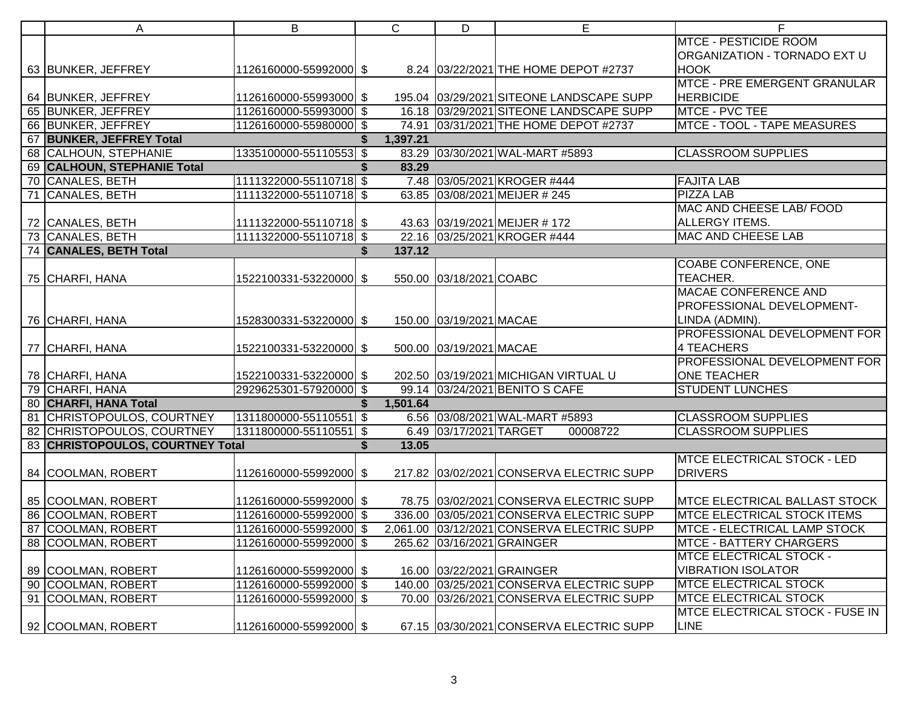| A                                | B                      | $\mathbf C$  | D                       | E                                          | F                                    |
|----------------------------------|------------------------|--------------|-------------------------|--------------------------------------------|--------------------------------------|
|                                  |                        |              |                         |                                            | <b>MTCE - PESTICIDE ROOM</b>         |
|                                  |                        |              |                         |                                            | ORGANIZATION - TORNADO EXT U         |
| 63 BUNKER, JEFFREY               | 1126160000-55992000 \$ |              |                         | 8.24 03/22/2021 THE HOME DEPOT #2737       | <b>HOOK</b>                          |
|                                  |                        |              |                         |                                            | <b>MTCE - PRE EMERGENT GRANULAR</b>  |
| 64 BUNKER, JEFFREY               | 1126160000-55993000 \$ |              |                         | 195.04 03/29/2021 SITEONE LANDSCAPE SUPP   | <b>HERBICIDE</b>                     |
| 65 BUNKER, JEFFREY               | 1126160000-55993000 \$ |              |                         | 16.18 03/29/2021 SITEONE LANDSCAPE SUPP    | MTCE - PVC TEE                       |
| 66 BUNKER, JEFFREY               | 1126160000-55980000 \$ |              |                         | 74.91 03/31/2021 THE HOME DEPOT #2737      | <b>MTCE - TOOL - TAPE MEASURES</b>   |
| 67 BUNKER, JEFFREY Total         |                        | 1,397.21     |                         |                                            |                                      |
| 68 CALHOUN, STEPHANIE            | 1335100000-55110553 \$ |              |                         | 83.29 03/30/2021 WAL-MART #5893            | <b>CLASSROOM SUPPLIES</b>            |
| 69 CALHOUN, STEPHANIE Total      |                        | 83.29        |                         |                                            |                                      |
| 70 CANALES, BETH                 | 1111322000-55110718 \$ |              |                         | 7.48 03/05/2021 KROGER #444                | <b>FAJITA LAB</b>                    |
| 71 CANALES, BETH                 | 1111322000-55110718 \$ |              |                         | 63.85 03/08/2021 MEIJER # 245              | <b>PIZZA LAB</b>                     |
|                                  |                        |              |                         |                                            | MAC AND CHEESE LAB/ FOOD             |
| 72 CANALES, BETH                 | 1111322000-55110718 \$ |              |                         | 43.63 03/19/2021 MEIJER #172               | ALLERGY ITEMS.                       |
| 73 CANALES, BETH                 | 1111322000-55110718 \$ |              |                         | 22.16 03/25/2021 KROGER #444               | <b>MAC AND CHEESE LAB</b>            |
| 74 CANALES, BETH Total           |                        | 137.12<br>\$ |                         |                                            |                                      |
|                                  |                        |              |                         |                                            | <b>COABE CONFERENCE, ONE</b>         |
| 75 CHARFI, HANA                  | 1522100331-53220000 \$ |              | 550.00 03/18/2021 COABC |                                            | TEACHER.                             |
|                                  |                        |              |                         |                                            | <b>MACAE CONFERENCE AND</b>          |
|                                  |                        |              |                         |                                            | PROFESSIONAL DEVELOPMENT-            |
| 76 CHARFI, HANA                  | 1528300331-53220000 \$ |              | 150.00 03/19/2021 MACAE |                                            | LINDA (ADMIN).                       |
|                                  |                        |              |                         |                                            | PROFESSIONAL DEVELOPMENT FOR         |
| 77 CHARFI, HANA                  | 1522100331-53220000 \$ |              | 500.00 03/19/2021 MACAE |                                            | <b>4 TEACHERS</b>                    |
|                                  |                        |              |                         |                                            | PROFESSIONAL DEVELOPMENT FOR         |
| 78 CHARFI, HANA                  | 1522100331-53220000 \$ |              |                         | 202.50 03/19/2021 MICHIGAN VIRTUAL U       | <b>ONE TEACHER</b>                   |
| 79 CHARFI, HANA                  | 2929625301-57920000 \$ |              |                         | 99.14 03/24/2021 BENITO S CAFE             | <b>STUDENT LUNCHES</b>               |
| 80 CHARFI, HANA Total            |                        | 1,501.64     |                         |                                            |                                      |
| 81 CHRISTOPOULOS, COURTNEY       | 1311800000-55110551 \$ |              |                         | 6.56 03/08/2021 WAL-MART #5893             | <b>CLASSROOM SUPPLIES</b>            |
| 82 CHRISTOPOULOS, COURTNEY       | 1311800000-55110551 \$ |              | 6.49 03/17/2021 TARGET  | 00008722                                   | <b>CLASSROOM SUPPLIES</b>            |
| 83 CHRISTOPOULOS, COURTNEY Total |                        | 13.05<br>\$  |                         |                                            |                                      |
|                                  |                        |              |                         |                                            | <b>MTCE ELECTRICAL STOCK - LED</b>   |
| 84 COOLMAN, ROBERT               | 1126160000-55992000 \$ |              |                         | 217.82 03/02/2021 CONSERVA ELECTRIC SUPP   | <b>DRIVERS</b>                       |
|                                  |                        |              |                         |                                            |                                      |
| 85 COOLMAN, ROBERT               | 1126160000-55992000 \$ |              |                         | 78.75 03/02/2021 CONSERVA ELECTRIC SUPP    | <b>MTCE ELECTRICAL BALLAST STOCK</b> |
| 86 COOLMAN, ROBERT               | 1126160000-55992000 \$ |              |                         | 336.00 03/05/2021 CONSERVA ELECTRIC SUPP   | <b>MTCE ELECTRICAL STOCK ITEMS</b>   |
| 87 COOLMAN, ROBERT               | 1126160000-55992000 \$ |              |                         | 2,061.00 03/12/2021 CONSERVA ELECTRIC SUPP | <b>MTCE - ELECTRICAL LAMP STOCK</b>  |
| 88 COOLMAN, ROBERT               | 1126160000-55992000 \$ |              |                         | 265.62 03/16/2021 GRAINGER                 | <b>MTCE - BATTERY CHARGERS</b>       |
|                                  |                        |              |                         |                                            | <b>MTCE ELECTRICAL STOCK -</b>       |
| 89 COOLMAN, ROBERT               | 1126160000-55992000 \$ |              |                         | 16.00 03/22/2021 GRAINGER                  | <b>VIBRATION ISOLATOR</b>            |
| 90 COOLMAN, ROBERT               | 1126160000-55992000 \$ |              |                         | 140.00 03/25/2021 CONSERVA ELECTRIC SUPP   | <b>MTCE ELECTRICAL STOCK</b>         |
| 91 COOLMAN, ROBERT               | 1126160000-55992000 \$ |              |                         | 70.00 03/26/2021 CONSERVA ELECTRIC SUPP    | <b>MTCE ELECTRICAL STOCK</b>         |
|                                  |                        |              |                         |                                            | MTCE ELECTRICAL STOCK - FUSE IN      |
| 92 COOLMAN, ROBERT               | 1126160000-55992000 \$ |              |                         | 67.15 03/30/2021 CONSERVA ELECTRIC SUPP    | <b>LINE</b>                          |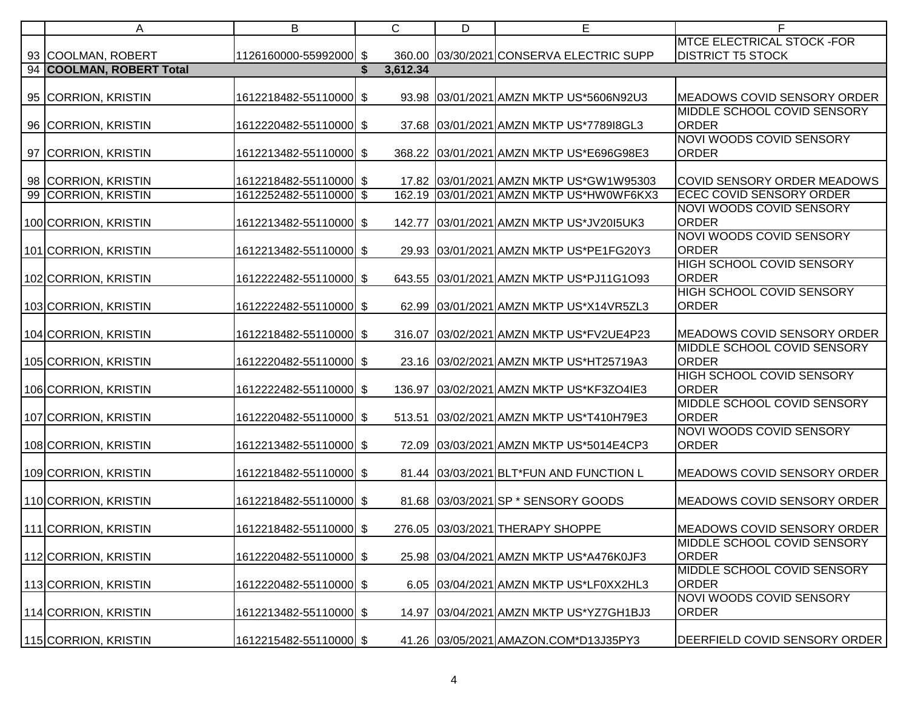| A                        | В                      | C        | D | Ε                                        | F                                  |
|--------------------------|------------------------|----------|---|------------------------------------------|------------------------------------|
|                          |                        |          |   |                                          | <b>MTCE ELECTRICAL STOCK-FOR</b>   |
| 93 COOLMAN, ROBERT       | 1126160000-55992000 \$ |          |   | 360.00 03/30/2021 CONSERVA ELECTRIC SUPP | <b>DISTRICT T5 STOCK</b>           |
| 94 COOLMAN, ROBERT Total |                        | 3,612.34 |   |                                          |                                    |
|                          |                        |          |   |                                          |                                    |
| 95 CORRION, KRISTIN      | 1612218482-55110000 \$ |          |   | 93.98 03/01/2021 AMZN MKTP US*5606N92U3  | MEADOWS COVID SENSORY ORDER        |
|                          |                        |          |   |                                          | MIDDLE SCHOOL COVID SENSORY        |
| 96 CORRION, KRISTIN      | 1612220482-55110000 \$ |          |   | 37.68 03/01/2021 AMZN MKTP US*778918GL3  | <b>ORDER</b>                       |
|                          |                        |          |   |                                          | NOVI WOODS COVID SENSORY           |
| 97 CORRION, KRISTIN      | 1612213482-55110000 \$ |          |   | 368.22 03/01/2021 AMZN MKTP US*E696G98E3 | <b>ORDER</b>                       |
|                          |                        |          |   |                                          |                                    |
| 98 CORRION, KRISTIN      | 1612218482-55110000 \$ |          |   | 17.82 03/01/2021 AMZN MKTP US*GW1W95303  | COVID SENSORY ORDER MEADOWS        |
| 99 CORRION, KRISTIN      | 1612252482-55110000 \$ |          |   | 162.19 03/01/2021 AMZN MKTP US*HW0WF6KX3 | <b>ECEC COVID SENSORY ORDER</b>    |
|                          |                        |          |   |                                          | NOVI WOODS COVID SENSORY           |
| 100 CORRION, KRISTIN     | 1612213482-55110000 \$ |          |   | 142.77 03/01/2021 AMZN MKTP US*JV2015UK3 | <b>ORDER</b>                       |
|                          |                        |          |   |                                          | NOVI WOODS COVID SENSORY           |
| 101 CORRION, KRISTIN     | 1612213482-55110000 \$ |          |   | 29.93 03/01/2021 AMZN MKTP US*PE1FG20Y3  | <b>ORDER</b>                       |
|                          |                        |          |   |                                          | <b>HIGH SCHOOL COVID SENSORY</b>   |
| 102 CORRION, KRISTIN     | 1612222482-55110000 \$ |          |   | 643.55 03/01/2021 AMZN MKTP US*PJ11G1O93 | <b>ORDER</b>                       |
|                          |                        |          |   |                                          | HIGH SCHOOL COVID SENSORY          |
| 103 CORRION, KRISTIN     | 1612222482-55110000 \$ |          |   | 62.99 03/01/2021 AMZN MKTP US*X14VR5ZL3  | <b>ORDER</b>                       |
|                          |                        |          |   |                                          |                                    |
| 104 CORRION, KRISTIN     | 1612218482-55110000 \$ | 316.07   |   | 03/02/2021 AMZN MKTP US*FV2UE4P23        | MEADOWS COVID SENSORY ORDER        |
|                          |                        |          |   |                                          | <b>MIDDLE SCHOOL COVID SENSORY</b> |
| 105 CORRION, KRISTIN     | 1612220482-55110000 \$ |          |   | 23.16 03/02/2021 AMZN MKTP US*HT25719A3  | <b>ORDER</b>                       |
|                          |                        |          |   |                                          | HIGH SCHOOL COVID SENSORY          |
| 106 CORRION, KRISTIN     | 1612222482-55110000 \$ | 136.97   |   | 03/02/2021 AMZN MKTP US*KF3ZO4IE3        | <b>ORDER</b>                       |
|                          |                        |          |   |                                          | MIDDLE SCHOOL COVID SENSORY        |
| 107 CORRION, KRISTIN     | 1612220482-55110000 \$ | 513.51   |   | 03/02/2021 AMZN MKTP US*T410H79E3        | <b>ORDER</b>                       |
|                          |                        |          |   |                                          | <b>NOVI WOODS COVID SENSORY</b>    |
| 108 CORRION, KRISTIN     | 1612213482-55110000 \$ |          |   | 72.09 03/03/2021 AMZN MKTP US*5014E4CP3  | <b>ORDER</b>                       |
|                          |                        |          |   |                                          |                                    |
| 109 CORRION, KRISTIN     | 1612218482-55110000 \$ |          |   | 81.44 03/03/2021 BLT*FUN AND FUNCTION L  | MEADOWS COVID SENSORY ORDER        |
|                          |                        |          |   |                                          |                                    |
| 110 CORRION, KRISTIN     | 1612218482-55110000 \$ |          |   | 81.68 03/03/2021 SP * SENSORY GOODS      | MEADOWS COVID SENSORY ORDER        |
|                          |                        |          |   |                                          |                                    |
| 111 CORRION, KRISTIN     | 1612218482-55110000 \$ |          |   | 276.05 03/03/2021 THERAPY SHOPPE         | MEADOWS COVID SENSORY ORDER        |
|                          |                        |          |   |                                          | MIDDLE SCHOOL COVID SENSORY        |
| 112 CORRION, KRISTIN     | 1612220482-55110000 \$ |          |   | 25.98 03/04/2021 AMZN MKTP US*A476K0JF3  | <b>ORDER</b>                       |
|                          |                        |          |   |                                          | MIDDLE SCHOOL COVID SENSORY        |
| 113 CORRION, KRISTIN     | 1612220482-55110000 \$ |          |   | 6.05 03/04/2021 AMZN MKTP US*LF0XX2HL3   | <b>ORDER</b>                       |
|                          |                        |          |   |                                          | NOVI WOODS COVID SENSORY           |
| 114 CORRION, KRISTIN     | 1612213482-55110000 \$ |          |   | 14.97 03/04/2021 AMZN MKTP US*YZ7GH1BJ3  | <b>ORDER</b>                       |
|                          |                        |          |   |                                          |                                    |
| 115 CORRION, KRISTIN     | 1612215482-55110000 \$ |          |   | 41.26 03/05/2021 AMAZON.COM*D13J35PY3    | DEERFIELD COVID SENSORY ORDER      |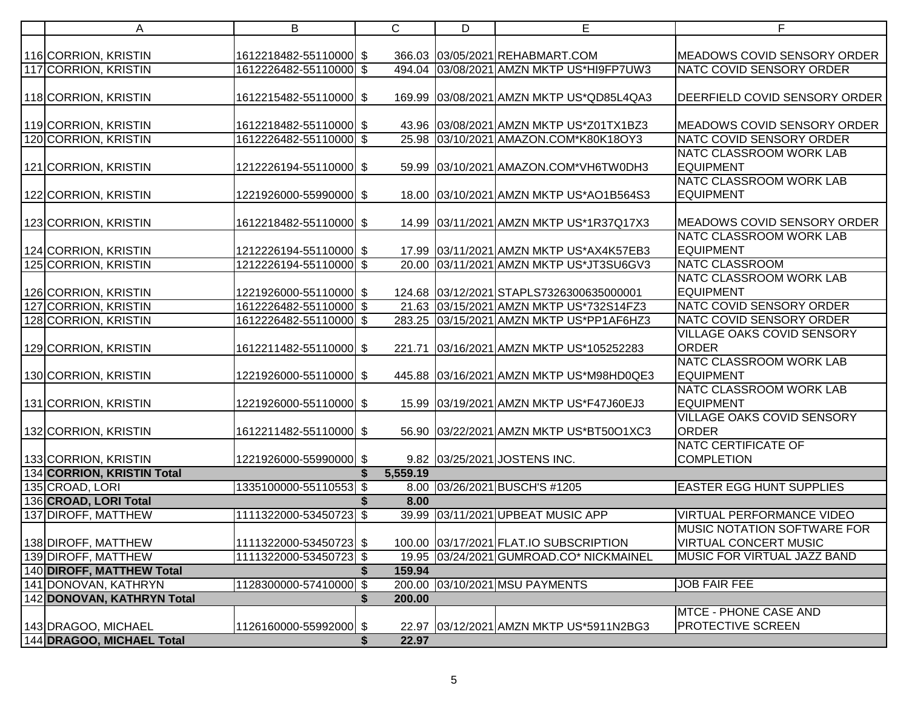| A                                                  | B                      | $\mathsf{C}$ | D | E                                        | F                                  |
|----------------------------------------------------|------------------------|--------------|---|------------------------------------------|------------------------------------|
|                                                    |                        |              |   |                                          |                                    |
| 116 CORRION, KRISTIN                               | 1612218482-55110000 \$ |              |   | 366.03 03/05/2021 REHABMART.COM          | MEADOWS COVID SENSORY ORDER        |
| 117 CORRION, KRISTIN                               | 1612226482-55110000 \$ |              |   | 494.04 03/08/2021 AMZN MKTP US*HI9FP7UW3 | NATC COVID SENSORY ORDER           |
|                                                    |                        |              |   |                                          |                                    |
| 118 CORRION, KRISTIN                               | 1612215482-55110000 \$ |              |   | 169.99 03/08/2021 AMZN MKTP US*QD85L4QA3 | DEERFIELD COVID SENSORY ORDER      |
| 119 CORRION, KRISTIN                               | 1612218482-55110000 \$ |              |   | 43.96 03/08/2021 AMZN MKTP US*Z01TX1BZ3  | MEADOWS COVID SENSORY ORDER        |
| 120 CORRION, KRISTIN                               | 1612226482-55110000 \$ |              |   | 25.98 03/10/2021 AMAZON.COM*K80K18OY3    | NATC COVID SENSORY ORDER           |
|                                                    |                        |              |   |                                          | NATC CLASSROOM WORK LAB            |
| 121 CORRION, KRISTIN                               | 1212226194-55110000 \$ |              |   | 59.99 03/10/2021 AMAZON.COM*VH6TW0DH3    | <b>EQUIPMENT</b>                   |
|                                                    |                        |              |   |                                          | NATC CLASSROOM WORK LAB            |
| 122 CORRION, KRISTIN                               | 1221926000-55990000 \$ |              |   | 18.00 03/10/2021 AMZN MKTP US*AO1B564S3  | <b>EQUIPMENT</b>                   |
|                                                    |                        |              |   |                                          |                                    |
| 123 CORRION, KRISTIN                               | 1612218482-55110000 \$ |              |   | 14.99 03/11/2021 AMZN MKTP US*1R37Q17X3  | MEADOWS COVID SENSORY ORDER        |
|                                                    |                        |              |   |                                          | NATC CLASSROOM WORK LAB            |
| 124 CORRION, KRISTIN                               | 1212226194-55110000 \$ |              |   | 17.99 03/11/2021 AMZN MKTP US*AX4K57EB3  | <b>EQUIPMENT</b>                   |
| 125 CORRION, KRISTIN                               | 1212226194-55110000 \$ |              |   | 20.00 03/11/2021 AMZN MKTP US*JT3SU6GV3  | <b>NATC CLASSROOM</b>              |
|                                                    |                        |              |   |                                          | NATC CLASSROOM WORK LAB            |
| 126 CORRION, KRISTIN                               | 1221926000-55110000 \$ |              |   | 124.68 03/12/2021 STAPLS7326300635000001 | <b>EQUIPMENT</b>                   |
| 127 CORRION, KRISTIN                               | 1612226482-55110000 \$ |              |   | 21.63 03/15/2021 AMZN MKTP US*732S14FZ3  | NATC COVID SENSORY ORDER           |
| 128 CORRION, KRISTIN                               | 1612226482-55110000 \$ |              |   | 283.25 03/15/2021 AMZN MKTP US*PP1AF6HZ3 | NATC COVID SENSORY ORDER           |
|                                                    |                        |              |   |                                          | <b>VILLAGE OAKS COVID SENSORY</b>  |
| 129 CORRION, KRISTIN                               | 1612211482-55110000 \$ | 221.71       |   | 03/16/2021 AMZN MKTP US*105252283        | <b>ORDER</b>                       |
|                                                    |                        |              |   |                                          | NATC CLASSROOM WORK LAB            |
| 130 CORRION, KRISTIN                               | 1221926000-55110000 \$ |              |   | 445.88 03/16/2021 AMZN MKTP US*M98HD0QE3 | <b>EQUIPMENT</b>                   |
|                                                    |                        |              |   |                                          | NATC CLASSROOM WORK LAB            |
| 131 CORRION, KRISTIN                               | 1221926000-55110000 \$ |              |   | 15.99 03/19/2021 AMZN MKTP US*F47J60EJ3  | <b>EQUIPMENT</b>                   |
|                                                    |                        |              |   |                                          | VILLAGE OAKS COVID SENSORY         |
| 132 CORRION, KRISTIN                               | 1612211482-55110000 \$ |              |   | 56.90 03/22/2021 AMZN MKTP US*BT50O1XC3  | <b>ORDER</b>                       |
|                                                    |                        |              |   |                                          | <b>NATC CERTIFICATE OF</b>         |
| 133 CORRION, KRISTIN<br>134 CORRION, KRISTIN Total | 1221926000-55990000 \$ | 5,559.19     |   | 9.82 03/25/2021 JOSTENS INC.             | <b>COMPLETION</b>                  |
| 135 CROAD, LORI                                    | 1335100000-55110553 \$ |              |   | 8.00 03/26/2021 BUSCH'S #1205            | <b>EASTER EGG HUNT SUPPLIES</b>    |
| 136 CROAD, LORI Total                              |                        | 8.00         |   |                                          |                                    |
| 137 DIROFF, MATTHEW                                | 1111322000-53450723 \$ |              |   | 39.99 03/11/2021 UPBEAT MUSIC APP        | <b>VIRTUAL PERFORMANCE VIDEO</b>   |
|                                                    |                        |              |   |                                          | <b>MUSIC NOTATION SOFTWARE FOR</b> |
| 138 DIROFF, MATTHEW                                | 1111322000-53450723 \$ |              |   | 100.00 03/17/2021 FLAT.IO SUBSCRIPTION   | <b>VIRTUAL CONCERT MUSIC</b>       |
| 139 DIROFF, MATTHEW                                | 1111322000-53450723 \$ |              |   | 19.95 03/24/2021 GUMROAD.CO* NICKMAINEL  | <b>MUSIC FOR VIRTUAL JAZZ BAND</b> |
| 140 DIROFF, MATTHEW Total                          |                        | 159.94       |   |                                          |                                    |
| 141 DONOVAN, KATHRYN                               | 1128300000-57410000 \$ |              |   | 200.00 03/10/2021 MSU PAYMENTS           | <b>JOB FAIR FEE</b>                |
| 142 DONOVAN, KATHRYN Total                         |                        | 200.00       |   |                                          |                                    |
|                                                    |                        |              |   |                                          | <b>MTCE - PHONE CASE AND</b>       |
| 143 DRAGOO, MICHAEL                                | 1126160000-55992000 \$ |              |   | 22.97 03/12/2021 AMZN MKTP US*5911N2BG3  | PROTECTIVE SCREEN                  |
| 144 DRAGOO, MICHAEL Total                          |                        | 22.97        |   |                                          |                                    |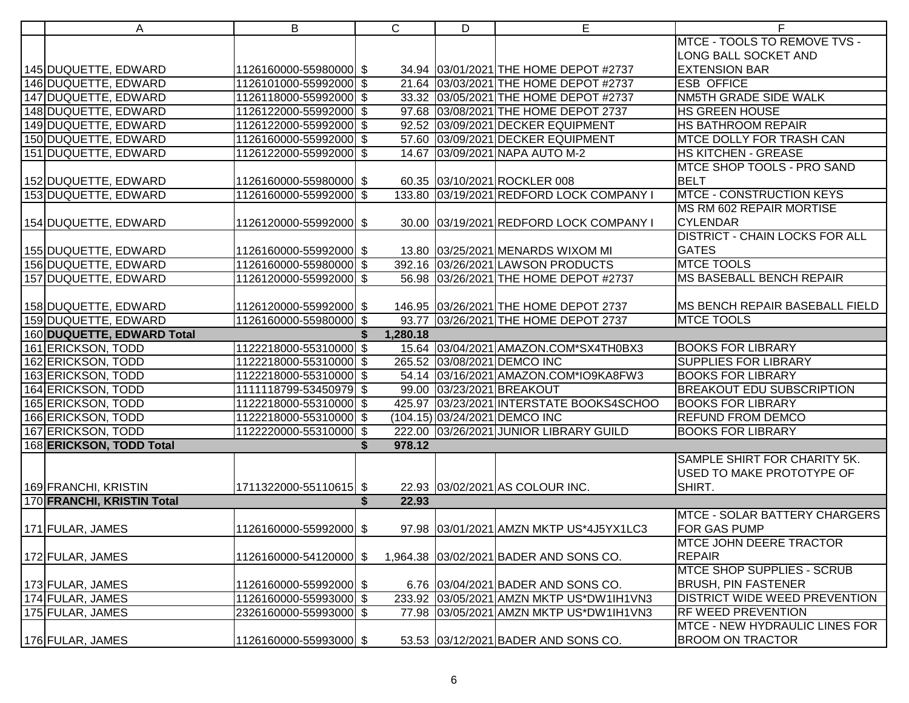| A                          | B                      | $\mathsf{C}$ | D | E                                        | F                                     |
|----------------------------|------------------------|--------------|---|------------------------------------------|---------------------------------------|
|                            |                        |              |   |                                          | MTCE - TOOLS TO REMOVE TVS -          |
|                            |                        |              |   |                                          | <b>LONG BALL SOCKET AND</b>           |
| 145 DUQUETTE, EDWARD       | 1126160000-55980000 \$ |              |   | 34.94 03/01/2021 THE HOME DEPOT #2737    | <b>EXTENSION BAR</b>                  |
| 146 DUQUETTE, EDWARD       | 1126101000-55992000 \$ |              |   | 21.64 03/03/2021 THE HOME DEPOT #2737    | <b>ESB OFFICE</b>                     |
| 147 DUQUETTE, EDWARD       | 1126118000-55992000 \$ |              |   | 33.32 03/05/2021 THE HOME DEPOT #2737    | NM5TH GRADE SIDE WALK                 |
| 148 DUQUETTE, EDWARD       | 1126122000-55992000 \$ |              |   | 97.68 03/08/2021 THE HOME DEPOT 2737     | HS GREEN HOUSE                        |
| 149 DUQUETTE, EDWARD       | 1126122000-55992000 \$ |              |   | 92.52 03/09/2021 DECKER EQUIPMENT        | HS BATHROOM REPAIR                    |
| 150 DUQUETTE, EDWARD       | 1126160000-55992000 \$ |              |   | 57.60 03/09/2021 DECKER EQUIPMENT        | <b>MTCE DOLLY FOR TRASH CAN</b>       |
| 151 DUQUETTE, EDWARD       | 1126122000-55992000 \$ |              |   | 14.67 03/09/2021 NAPA AUTO M-2           | <b>HS KITCHEN - GREASE</b>            |
|                            |                        |              |   |                                          | MTCE SHOP TOOLS - PRO SAND            |
| 152 DUQUETTE, EDWARD       | 1126160000-55980000 \$ |              |   | 60.35 03/10/2021 ROCKLER 008             | <b>BELT</b>                           |
| 153 DUQUETTE, EDWARD       | 1126160000-55992000 \$ |              |   | 133.80 03/19/2021 REDFORD LOCK COMPANY I | <b>MTCE - CONSTRUCTION KEYS</b>       |
|                            |                        |              |   |                                          | MS RM 602 REPAIR MORTISE              |
| 154 DUQUETTE, EDWARD       | 1126120000-55992000 \$ |              |   | 30.00 03/19/2021 REDFORD LOCK COMPANY I  | <b>CYLENDAR</b>                       |
|                            |                        |              |   |                                          | <b>DISTRICT - CHAIN LOCKS FOR ALL</b> |
| 155 DUQUETTE, EDWARD       | 1126160000-55992000 \$ |              |   | 13.80 03/25/2021 MENARDS WIXOM MI        | <b>GATES</b>                          |
| 156 DUQUETTE, EDWARD       | 1126160000-55980000 \$ |              |   | 392.16 03/26/2021 LAWSON PRODUCTS        | <b>MTCE TOOLS</b>                     |
| 157 DUQUETTE, EDWARD       | 1126120000-55992000 \$ |              |   | 56.98 03/26/2021 THE HOME DEPOT #2737    | <b>MS BASEBALL BENCH REPAIR</b>       |
|                            |                        |              |   |                                          |                                       |
| 158 DUQUETTE, EDWARD       | 1126120000-55992000 \$ |              |   | 146.95 03/26/2021 THE HOME DEPOT 2737    | MS BENCH REPAIR BASEBALL FIELD        |
| 159 DUQUETTE, EDWARD       | 1126160000-55980000 \$ |              |   | 93.77 03/26/2021 THE HOME DEPOT 2737     | <b>MTCE TOOLS</b>                     |
| 160 DUQUETTE, EDWARD Total |                        | 1,280.18     |   |                                          |                                       |
| 161 ERICKSON, TODD         | 1122218000-55310000 \$ |              |   | 15.64 03/04/2021 AMAZON.COM*SX4TH0BX3    | <b>BOOKS FOR LIBRARY</b>              |
| 162 ERICKSON, TODD         | 1122218000-55310000 \$ |              |   | 265.52 03/08/2021 DEMCO INC              | <b>SUPPLIES FOR LIBRARY</b>           |
| 163 ERICKSON, TODD         | 1122218000-55310000 \$ |              |   | 54.14 03/16/2021 AMAZON.COM*IO9KA8FW3    | <b>BOOKS FOR LIBRARY</b>              |
| 164 ERICKSON, TODD         | 1111118799-53450979 \$ |              |   | 99.00 03/23/2021 BREAKOUT                | <b>BREAKOUT EDU SUBSCRIPTION</b>      |
| 165 ERICKSON, TODD         | 1122218000-55310000 \$ |              |   | 425.97 03/23/2021 INTERSTATE BOOKS4SCHOO | <b>BOOKS FOR LIBRARY</b>              |
| 166 ERICKSON, TODD         | 1122218000-55310000 \$ |              |   | (104.15) 03/24/2021 DEMCO INC            | <b>REFUND FROM DEMCO</b>              |
| 167 ERICKSON, TODD         | 1122220000-55310000 \$ |              |   | 222.00 03/26/2021 JUNIOR LIBRARY GUILD   | <b>BOOKS FOR LIBRARY</b>              |
| 168 ERICKSON, TODD Total   |                        | 978.12       |   |                                          |                                       |
|                            |                        |              |   |                                          | SAMPLE SHIRT FOR CHARITY 5K.          |
|                            |                        |              |   |                                          | USED TO MAKE PROTOTYPE OF             |
| 169 FRANCHI, KRISTIN       | 1711322000-55110615 \$ |              |   | 22.93 03/02/2021 AS COLOUR INC.          | SHIRT.                                |
| 170 FRANCHI, KRISTIN Total |                        | \$<br>22.93  |   |                                          |                                       |
|                            |                        |              |   |                                          | <b>MTCE - SOLAR BATTERY CHARGERS</b>  |
| 171 FULAR, JAMES           | 1126160000-55992000 \$ |              |   | 97.98 03/01/2021 AMZN MKTP US*4J5YX1LC3  | FOR GAS PUMP                          |
|                            |                        |              |   |                                          | <b>MTCE JOHN DEERE TRACTOR</b>        |
| 172 FULAR, JAMES           | 1126160000-54120000 \$ |              |   | 1,964.38 03/02/2021 BADER AND SONS CO.   | <b>REPAIR</b>                         |
|                            |                        |              |   |                                          | <b>MTCE SHOP SUPPLIES - SCRUB</b>     |
| 173 FULAR, JAMES           | 1126160000-55992000 \$ |              |   | 6.76 03/04/2021 BADER AND SONS CO.       | <b>BRUSH, PIN FASTENER</b>            |
| 174 FULAR, JAMES           | 1126160000-55993000 \$ |              |   | 233.92 03/05/2021 AMZN MKTP US*DW1IH1VN3 | <b>DISTRICT WIDE WEED PREVENTION</b>  |
| 175 FULAR, JAMES           | 2326160000-55993000 \$ |              |   | 77.98 03/05/2021 AMZN MKTP US*DW1IH1VN3  | <b>RF WEED PREVENTION</b>             |
|                            |                        |              |   |                                          | MTCE - NEW HYDRAULIC LINES FOR        |
| 176 FULAR, JAMES           | 1126160000-55993000 \$ |              |   | 53.53 03/12/2021 BADER AND SONS CO.      | <b>BROOM ON TRACTOR</b>               |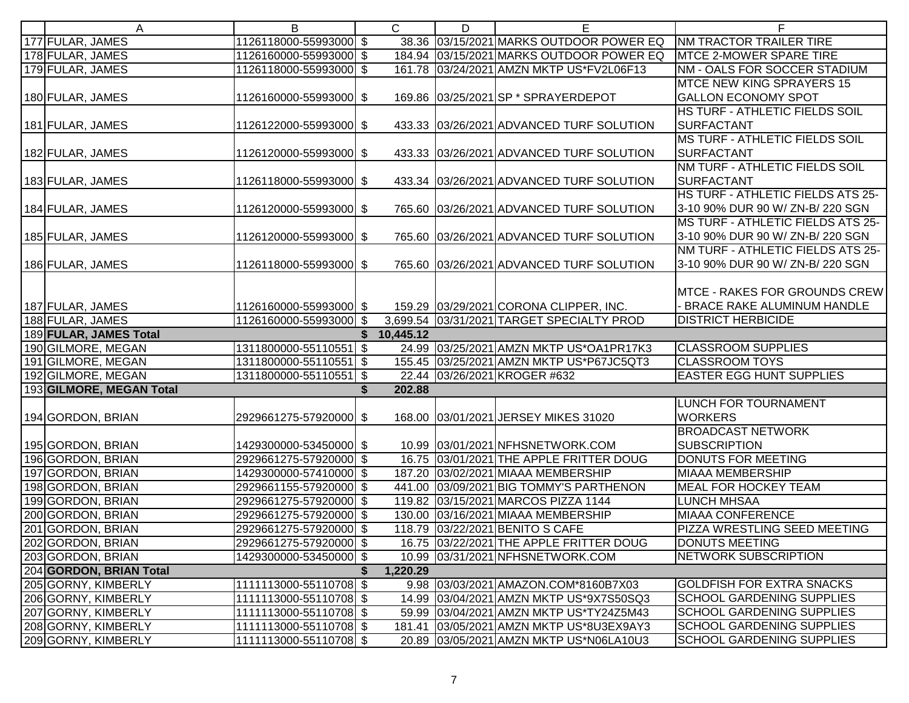| A                        | B                      |    | $\mathsf{C}$ | D | Е                                         | F                                 |
|--------------------------|------------------------|----|--------------|---|-------------------------------------------|-----------------------------------|
| 177 FULAR, JAMES         | 1126118000-55993000 \$ |    |              |   | 38.36 03/15/2021 MARKS OUTDOOR POWER EQ   | NM TRACTOR TRAILER TIRE           |
| 178 FULAR, JAMES         | 1126160000-55993000 \$ |    |              |   | 184.94 03/15/2021 MARKS OUTDOOR POWER EQ  | MTCE 2-MOWER SPARE TIRE           |
| 179 FULAR, JAMES         | 1126118000-55993000 \$ |    |              |   | 161.78 03/24/2021 AMZN MKTP US*FV2L06F13  | NM - OALS FOR SOCCER STADIUM      |
|                          |                        |    |              |   |                                           | <b>MTCE NEW KING SPRAYERS 15</b>  |
| 180 FULAR, JAMES         | 1126160000-55993000 \$ |    |              |   | 169.86 03/25/2021 SP * SPRAYERDEPOT       | <b>GALLON ECONOMY SPOT</b>        |
|                          |                        |    |              |   |                                           | HS TURF - ATHLETIC FIELDS SOIL    |
| 181 FULAR, JAMES         | 1126122000-55993000 \$ |    |              |   | 433.33 03/26/2021 ADVANCED TURF SOLUTION  | <b>SURFACTANT</b>                 |
|                          |                        |    |              |   |                                           | MS TURF - ATHLETIC FIELDS SOIL    |
| 182 FULAR, JAMES         | 1126120000-55993000 \$ |    |              |   | 433.33 03/26/2021 ADVANCED TURF SOLUTION  | <b>SURFACTANT</b>                 |
|                          |                        |    |              |   |                                           | NM TURF - ATHLETIC FIELDS SOIL    |
| 183 FULAR, JAMES         | 1126118000-55993000 \$ |    |              |   | 433.34 03/26/2021 ADVANCED TURF SOLUTION  | <b>SURFACTANT</b>                 |
|                          |                        |    |              |   |                                           | HS TURF - ATHLETIC FIELDS ATS 25- |
| 184 FULAR, JAMES         | 1126120000-55993000 \$ |    |              |   | 765.60 03/26/2021 ADVANCED TURF SOLUTION  | 3-10 90% DUR 90 W/ ZN-B/ 220 SGN  |
|                          |                        |    |              |   |                                           | MS TURF - ATHLETIC FIELDS ATS 25- |
| 185 FULAR, JAMES         | 1126120000-55993000 \$ |    |              |   | 765.60 03/26/2021 ADVANCED TURF SOLUTION  | 3-10 90% DUR 90 W/ ZN-B/ 220 SGN  |
|                          |                        |    |              |   |                                           | NM TURF - ATHLETIC FIELDS ATS 25- |
| 186 FULAR, JAMES         | 1126118000-55993000 \$ |    |              |   | 765.60 03/26/2021 ADVANCED TURF SOLUTION  | 3-10 90% DUR 90 W/ ZN-B/ 220 SGN  |
|                          |                        |    |              |   |                                           |                                   |
|                          |                        |    |              |   |                                           | MTCE - RAKES FOR GROUNDS CREW     |
| 187 FULAR, JAMES         | 1126160000-55993000 \$ |    |              |   | 159.29 03/29/2021 CORONA CLIPPER, INC.    | - BRACE RAKE ALUMINUM HANDLE      |
| 188 FULAR, JAMES         | 1126160000-55993000 \$ |    |              |   | 3,699.54 03/31/2021 TARGET SPECIALTY PROD | <b>DISTRICT HERBICIDE</b>         |
| 189 FULAR, JAMES Total   |                        | S. | 10,445.12    |   |                                           |                                   |
| 190 GILMORE, MEGAN       | 1311800000-55110551 \$ |    |              |   | 24.99 03/25/2021 AMZN MKTP US*OA1PR17K3   | <b>CLASSROOM SUPPLIES</b>         |
| 191 GILMORE, MEGAN       | 1311800000-55110551 \$ |    |              |   | 155.45 03/25/2021 AMZN MKTP US*P67JC5QT3  | <b>CLASSROOM TOYS</b>             |
| 192 GILMORE, MEGAN       | 1311800000-55110551 \$ |    |              |   | 22.44 03/26/2021 KROGER #632              | <b>EASTER EGG HUNT SUPPLIES</b>   |
| 193 GILMORE, MEGAN Total |                        |    | 202.88       |   |                                           |                                   |
|                          |                        |    |              |   |                                           | <b>LUNCH FOR TOURNAMENT</b>       |
| 194 GORDON, BRIAN        | 2929661275-57920000 \$ |    |              |   | 168.00 03/01/2021 JERSEY MIKES 31020      | <b>WORKERS</b>                    |
|                          |                        |    |              |   |                                           | <b>BROADCAST NETWORK</b>          |
| 195 GORDON, BRIAN        | 1429300000-53450000 \$ |    |              |   | 10.99 03/01/2021 NFHSNETWORK.COM          | <b>SUBSCRIPTION</b>               |
| 196 GORDON, BRIAN        | 2929661275-57920000 \$ |    |              |   | 16.75 03/01/2021 THE APPLE FRITTER DOUG   | <b>DONUTS FOR MEETING</b>         |
| 197 GORDON, BRIAN        | 1429300000-57410000 \$ |    |              |   | 187.20 03/02/2021 MIAAA MEMBERSHIP        | <b>MIAAA MEMBERSHIP</b>           |
| 198 GORDON, BRIAN        | 2929661155-57920000 \$ |    |              |   | 441.00 03/09/2021 BIG TOMMY'S PARTHENON   | <b>MEAL FOR HOCKEY TEAM</b>       |
| 199 GORDON, BRIAN        | 2929661275-57920000 \$ |    |              |   | 119.82 03/15/2021 MARCOS PIZZA 1144       | <b>LUNCH MHSAA</b>                |
| 200 GORDON, BRIAN        | 2929661275-57920000 \$ |    |              |   | 130.00 03/16/2021 MIAAA MEMBERSHIP        | <b>MIAAA CONFERENCE</b>           |
| 201 GORDON, BRIAN        | 2929661275-57920000 \$ |    |              |   | 118.79 03/22/2021 BENITO S CAFE           | PIZZA WRESTLING SEED MEETING      |
| 202 GORDON, BRIAN        | 2929661275-57920000 \$ |    |              |   | 16.75 03/22/2021 THE APPLE FRITTER DOUG   | <b>DONUTS MEETING</b>             |
| 203 GORDON, BRIAN        | 1429300000-53450000 \$ |    |              |   | 10.99 03/31/2021 NFHSNETWORK.COM          | <b>NETWORK SUBSCRIPTION</b>       |
| 204 GORDON, BRIAN Total  |                        |    | 1,220.29     |   |                                           |                                   |
| 205 GORNY, KIMBERLY      | 1111113000-55110708 \$ |    |              |   | 9.98 03/03/2021 AMAZON.COM*8160B7X03      | <b>GOLDFISH FOR EXTRA SNACKS</b>  |
| 206 GORNY, KIMBERLY      | 1111113000-55110708 \$ |    |              |   | 14.99 03/04/2021 AMZN MKTP US*9X7S50SQ3   | <b>SCHOOL GARDENING SUPPLIES</b>  |
| 207 GORNY, KIMBERLY      | 1111113000-55110708 \$ |    |              |   | 59.99 03/04/2021 AMZN MKTP US*TY24Z5M43   | <b>SCHOOL GARDENING SUPPLIES</b>  |
| 208 GORNY, KIMBERLY      | 1111113000-55110708 \$ |    |              |   | 181.41 03/05/2021 AMZN MKTP US*8U3EX9AY3  | <b>SCHOOL GARDENING SUPPLIES</b>  |
| 209 GORNY, KIMBERLY      | 1111113000-55110708 \$ |    |              |   | 20.89 03/05/2021 AMZN MKTP US*N06LA10U3   | <b>SCHOOL GARDENING SUPPLIES</b>  |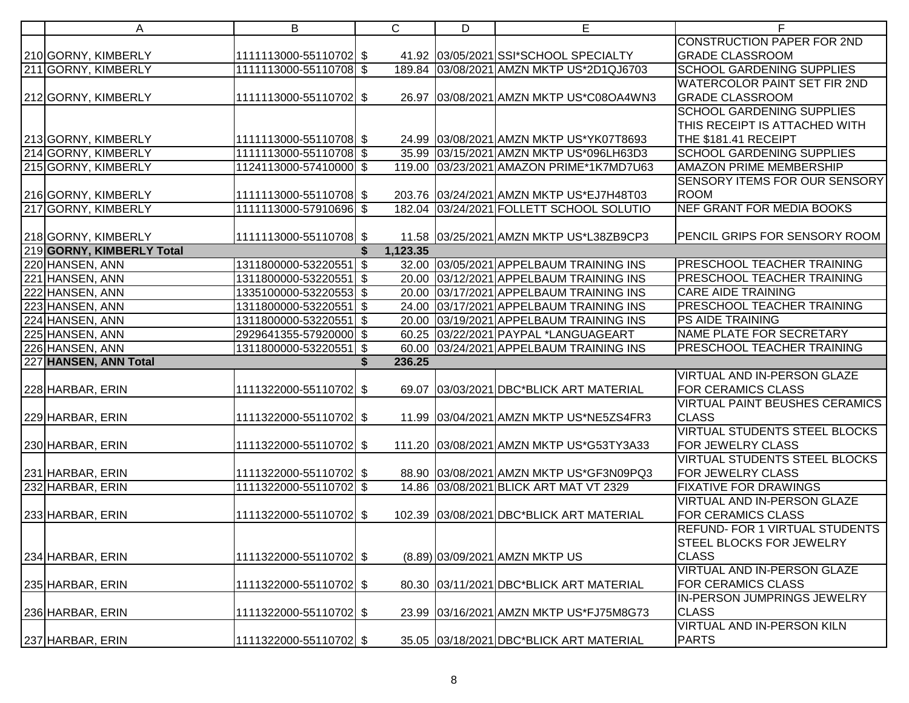| A                         | B                      |     | $\mathsf{C}$ | D | Е                                        | F                                     |
|---------------------------|------------------------|-----|--------------|---|------------------------------------------|---------------------------------------|
|                           |                        |     |              |   |                                          | <b>CONSTRUCTION PAPER FOR 2ND</b>     |
| 210 GORNY, KIMBERLY       | 1111113000-55110702 \$ |     |              |   | 41.92 03/05/2021 SSI*SCHOOL SPECIALTY    | <b>GRADE CLASSROOM</b>                |
| 211 GORNY, KIMBERLY       | 1111113000-55110708 \$ |     |              |   | 189.84 03/08/2021 AMZN MKTP US*2D1QJ6703 | <b>SCHOOL GARDENING SUPPLIES</b>      |
|                           |                        |     |              |   |                                          | <b>WATERCOLOR PAINT SET FIR 2ND</b>   |
| 212 GORNY, KIMBERLY       | 1111113000-55110702 \$ |     |              |   | 26.97 03/08/2021 AMZN MKTP US*C08OA4WN3  | <b>GRADE CLASSROOM</b>                |
|                           |                        |     |              |   |                                          | <b>SCHOOL GARDENING SUPPLIES</b>      |
|                           |                        |     |              |   |                                          | THIS RECEIPT IS ATTACHED WITH         |
| 213 GORNY, KIMBERLY       | 1111113000-55110708 \$ |     |              |   | 24.99 03/08/2021 AMZN MKTP US*YK07T8693  | THE \$181.41 RECEIPT                  |
| 214 GORNY, KIMBERLY       | 1111113000-55110708 \$ |     |              |   | 35.99 03/15/2021 AMZN MKTP US*096LH63D3  | <b>SCHOOL GARDENING SUPPLIES</b>      |
| 215 GORNY, KIMBERLY       | 1124113000-57410000 \$ |     |              |   | 119.00 03/23/2021 AMAZON PRIME*1K7MD7U63 | <b>AMAZON PRIME MEMBERSHIP</b>        |
|                           |                        |     |              |   |                                          | SENSORY ITEMS FOR OUR SENSORY         |
| 216 GORNY, KIMBERLY       | 1111113000-55110708 \$ |     |              |   | 203.76 03/24/2021 AMZN MKTP US*EJ7H48T03 | <b>ROOM</b>                           |
| 217 GORNY, KIMBERLY       | 1111113000-57910696 \$ |     |              |   | 182.04 03/24/2021 FOLLETT SCHOOL SOLUTIO | <b>NEF GRANT FOR MEDIA BOOKS</b>      |
|                           |                        |     |              |   |                                          |                                       |
| 218 GORNY, KIMBERLY       | 1111113000-55110708 \$ |     |              |   | 11.58 03/25/2021 AMZN MKTP US*L38ZB9CP3  | PENCIL GRIPS FOR SENSORY ROOM         |
| 219 GORNY, KIMBERLY Total |                        |     | 1,123.35     |   |                                          |                                       |
| 220 HANSEN, ANN           | 1311800000-53220551 \$ |     |              |   | 32.00 03/05/2021 APPELBAUM TRAINING INS  | <b>PRESCHOOL TEACHER TRAINING</b>     |
| 221 HANSEN, ANN           | 1311800000-53220551 \$ |     |              |   | 20.00 03/12/2021 APPELBAUM TRAINING INS  | PRESCHOOL TEACHER TRAINING            |
| 222 HANSEN, ANN           | 1335100000-53220553 \$ |     |              |   | 20.00 03/17/2021 APPELBAUM TRAINING INS  | <b>CARE AIDE TRAINING</b>             |
| 223 HANSEN, ANN           | 1311800000-53220551    | \$  |              |   | 24.00 03/17/2021 APPELBAUM TRAINING INS  | PRESCHOOL TEACHER TRAINING            |
| 224 HANSEN, ANN           | 1311800000-53220551    | -\$ |              |   | 20.00 03/19/2021 APPELBAUM TRAINING INS  | PS AIDE TRAINING                      |
| 225 HANSEN, ANN           | 2929641355-57920000 \$ |     |              |   | 60.25 03/22/2021 PAYPAL *LANGUAGEART     | NAME PLATE FOR SECRETARY              |
| 226 HANSEN, ANN           | 1311800000-53220551 \$ |     |              |   | 60.00 03/24/2021 APPELBAUM TRAINING INS  | PRESCHOOL TEACHER TRAINING            |
| 227 HANSEN, ANN Total     |                        | \$. | 236.25       |   |                                          |                                       |
|                           |                        |     |              |   |                                          | VIRTUAL AND IN-PERSON GLAZE           |
| 228 HARBAR, ERIN          | 1111322000-55110702 \$ |     |              |   | 69.07 03/03/2021 DBC*BLICK ART MATERIAL  | <b>FOR CERAMICS CLASS</b>             |
|                           |                        |     |              |   |                                          | <b>VIRTUAL PAINT BEUSHES CERAMICS</b> |
| 229 HARBAR, ERIN          | 1111322000-55110702 \$ |     |              |   | 11.99 03/04/2021 AMZN MKTP US*NE5ZS4FR3  | <b>CLASS</b>                          |
|                           |                        |     |              |   |                                          | <b>VIRTUAL STUDENTS STEEL BLOCKS</b>  |
| 230 HARBAR, ERIN          | 1111322000-55110702 \$ |     |              |   | 111.20 03/08/2021 AMZN MKTP US*G53TY3A33 | FOR JEWELRY CLASS                     |
|                           |                        |     |              |   |                                          | <b>VIRTUAL STUDENTS STEEL BLOCKS</b>  |
| 231 HARBAR, ERIN          | 1111322000-55110702 \$ |     |              |   | 88.90 03/08/2021 AMZN MKTP US*GF3N09PQ3  | FOR JEWELRY CLASS                     |
| 232 HARBAR, ERIN          | 1111322000-55110702 \$ |     |              |   | 14.86 03/08/2021 BLICK ART MAT VT 2329   | <b>FIXATIVE FOR DRAWINGS</b>          |
|                           |                        |     |              |   |                                          | VIRTUAL AND IN-PERSON GLAZE           |
| 233 HARBAR, ERIN          | 1111322000-55110702 \$ |     |              |   | 102.39 03/08/2021 DBC*BLICK ART MATERIAL | <b>FOR CERAMICS CLASS</b>             |
|                           |                        |     |              |   |                                          | <b>REFUND- FOR 1 VIRTUAL STUDENTS</b> |
|                           |                        |     |              |   |                                          | <b>STEEL BLOCKS FOR JEWELRY</b>       |
| 234 HARBAR, ERIN          | 1111322000-55110702 \$ |     |              |   | (8.89) 03/09/2021 AMZN MKTP US           | <b>CLASS</b>                          |
|                           |                        |     |              |   |                                          | <b>VIRTUAL AND IN-PERSON GLAZE</b>    |
| 235 HARBAR, ERIN          | 1111322000-55110702 \$ |     |              |   | 80.30 03/11/2021 DBC*BLICK ART MATERIAL  | <b>FOR CERAMICS CLASS</b>             |
|                           |                        |     |              |   |                                          | IN-PERSON JUMPRINGS JEWELRY           |
| 236 HARBAR, ERIN          | 1111322000-55110702 \$ |     |              |   | 23.99 03/16/2021 AMZN MKTP US*FJ75M8G73  | <b>CLASS</b>                          |
|                           |                        |     |              |   |                                          | <b>VIRTUAL AND IN-PERSON KILN</b>     |
| 237 HARBAR, ERIN          | 1111322000-55110702 \$ |     |              |   | 35.05 03/18/2021 DBC*BLICK ART MATERIAL  | <b>PARTS</b>                          |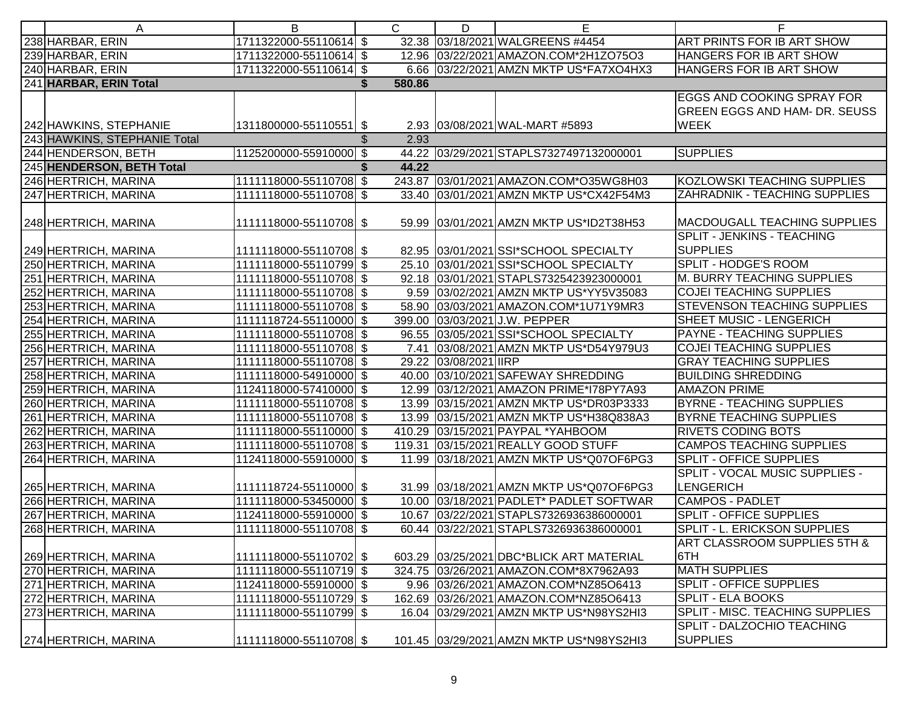| A                            | B                      | C      | D                    | E                                        | F                                       |
|------------------------------|------------------------|--------|----------------------|------------------------------------------|-----------------------------------------|
| 238 HARBAR, ERIN             | 1711322000-55110614 \$ |        |                      | 32.38 03/18/2021 WALGREENS #4454         | ART PRINTS FOR IB ART SHOW              |
| 239 HARBAR, ERIN             | 1711322000-55110614 \$ |        |                      | 12.96 03/22/2021 AMAZON.COM*2H1ZO75O3    | HANGERS FOR IB ART SHOW                 |
| 240 HARBAR, ERIN             | 1711322000-55110614 \$ |        |                      | 6.66 03/22/2021 AMZN MKTP US*FA7XO4HX3   | HANGERS FOR IB ART SHOW                 |
| 241 HARBAR, ERIN Total       |                        | 580.86 |                      |                                          |                                         |
|                              |                        |        |                      |                                          | EGGS AND COOKING SPRAY FOR              |
|                              |                        |        |                      |                                          | GREEN EGGS AND HAM- DR. SEUSS           |
| 242 HAWKINS, STEPHANIE       | 1311800000-55110551 \$ |        |                      | 2.93 03/08/2021 WAL-MART #5893           | <b>WEEK</b>                             |
| 243 HAWKINS, STEPHANIE Total |                        | 2.93   |                      |                                          |                                         |
| 244 HENDERSON, BETH          | 1125200000-55910000 \$ |        |                      | 44.22 03/29/2021 STAPLS7327497132000001  | SUPPLIES                                |
| 245 HENDERSON, BETH Total    |                        | 44.22  |                      |                                          |                                         |
| 246 HERTRICH, MARINA         | 1111118000-55110708 \$ |        |                      | 243.87 03/01/2021 AMAZON.COM*O35WG8H03   | KOZLOWSKI TEACHING SUPPLIES             |
| 247 HERTRICH, MARINA         | 1111118000-55110708 \$ |        |                      | 33.40 03/01/2021 AMZN MKTP US*CX42F54M3  | ZAHRADNIK - TEACHING SUPPLIES           |
|                              |                        |        |                      |                                          |                                         |
| 248 HERTRICH, MARINA         | 1111118000-55110708 \$ |        |                      | 59.99 03/01/2021 AMZN MKTP US*ID2T38H53  | MACDOUGALL TEACHING SUPPLIES            |
|                              |                        |        |                      |                                          | SPLIT - JENKINS - TEACHING              |
| 249 HERTRICH, MARINA         | 1111118000-55110708 \$ |        |                      | 82.95 03/01/2021 SSI*SCHOOL SPECIALTY    | <b>SUPPLIES</b>                         |
| 250 HERTRICH, MARINA         | 1111118000-55110799 \$ |        |                      | 25.10 03/01/2021 SSI*SCHOOL SPECIALTY    | <b>SPLIT - HODGE'S ROOM</b>             |
| 251 HERTRICH, MARINA         | 1111118000-55110708 \$ |        |                      | 92.18 03/01/2021 STAPLS7325423923000001  | M. BURRY TEACHING SUPPLIES              |
| 252 HERTRICH, MARINA         | 1111118000-55110708 \$ |        |                      | 9.59 03/02/2021 AMZN MKTP US*YY5V35083   | <b>COJEI TEACHING SUPPLIES</b>          |
| 253 HERTRICH, MARINA         | 1111118000-55110708 \$ |        |                      | 58.90 03/03/2021 AMAZON.COM*1U71Y9MR3    | <b>STEVENSON TEACHING SUPPLIES</b>      |
| 254 HERTRICH, MARINA         | 1111118724-55110000 \$ |        |                      | 399.00 03/03/2021 J.W. PEPPER            | SHEET MUSIC - LENGERICH                 |
| 255 HERTRICH, MARINA         | 1111118000-55110708 \$ |        |                      | 96.55 03/05/2021 SSI*SCHOOL SPECIALTY    | PAYNE - TEACHING SUPPLIES               |
| 256 HERTRICH, MARINA         | 1111118000-55110708 \$ |        |                      | 7.41 03/08/2021 AMZN MKTP US*D54Y979U3   | <b>COJEI TEACHING SUPPLIES</b>          |
| 257 HERTRICH, MARINA         | 1111118000-55110708 \$ |        | 29.22 03/08/2021 IRP |                                          | <b>GRAY TEACHING SUPPLIES</b>           |
| 258 HERTRICH, MARINA         | 1111118000-54910000 \$ |        |                      | 40.00 03/10/2021 SAFEWAY SHREDDING       | <b>BUILDING SHREDDING</b>               |
| 259 HERTRICH, MARINA         | 1124118000-57410000 \$ |        |                      | 12.99 03/12/2021 AMAZON PRIME*178PY7A93  | <b>AMAZON PRIME</b>                     |
| 260 HERTRICH, MARINA         | 1111118000-55110708 \$ |        |                      | 13.99 03/15/2021 AMZN MKTP US*DR03P3333  | <b>BYRNE - TEACHING SUPPLIES</b>        |
| 261 HERTRICH, MARINA         | 1111118000-55110708 \$ |        |                      | 13.99 03/15/2021 AMZN MKTP US*H38Q838A3  | <b>BYRNE TEACHING SUPPLIES</b>          |
| 262 HERTRICH, MARINA         | 1111118000-55110000 \$ |        |                      | 410.29 03/15/2021 PAYPAL *YAHBOOM        | <b>RIVETS CODING BOTS</b>               |
| 263 HERTRICH, MARINA         | 1111118000-55110708 \$ |        |                      | 119.31 03/15/2021 REALLY GOOD STUFF      | <b>CAMPOS TEACHING SUPPLIES</b>         |
| 264 HERTRICH, MARINA         | 1124118000-55910000 \$ |        |                      | 11.99 03/18/2021 AMZN MKTP US*Q07OF6PG3  | <b>SPLIT - OFFICE SUPPLIES</b>          |
|                              |                        |        |                      |                                          | <b>SPLIT - VOCAL MUSIC SUPPLIES -</b>   |
| 265 HERTRICH, MARINA         | 1111118724-55110000 \$ |        |                      | 31.99 03/18/2021 AMZN MKTP US*Q07OF6PG3  | <b>LENGERICH</b>                        |
| 266 HERTRICH, MARINA         | 1111118000-53450000 \$ |        |                      | 10.00 03/18/2021 PADLET* PADLET SOFTWAR  | <b>CAMPOS - PADLET</b>                  |
| 267 HERTRICH, MARINA         | 1124118000-55910000 \$ |        |                      | 10.67 03/22/2021 STAPLS7326936386000001  | <b>SPLIT - OFFICE SUPPLIES</b>          |
| 268 HERTRICH, MARINA         | 1111118000-55110708 \$ |        |                      | 60.44 03/22/2021 STAPLS7326936386000001  | <b>SPLIT - L. ERICKSON SUPPLIES</b>     |
|                              |                        |        |                      |                                          | <b>ART CLASSROOM SUPPLIES 5TH &amp;</b> |
| 269 HERTRICH, MARINA         | 1111118000-55110702 \$ |        |                      | 603.29 03/25/2021 DBC*BLICK ART MATERIAL | 6TH                                     |
| 270 HERTRICH, MARINA         | 1111118000-55110719 \$ |        |                      | 324.75 03/26/2021 AMAZON.COM*8X7962A93   | <b>MATH SUPPLIES</b>                    |
| 271 HERTRICH, MARINA         | 1124118000-55910000 \$ |        |                      | 9.96 03/26/2021 AMAZON.COM*NZ85O6413     | <b>SPLIT - OFFICE SUPPLIES</b>          |
| 272 HERTRICH, MARINA         | 1111118000-55110729 \$ |        |                      | 162.69 03/26/2021 AMAZON.COM*NZ85O6413   | <b>SPLIT - ELA BOOKS</b>                |
| 273 HERTRICH, MARINA         | 1111118000-55110799 \$ |        |                      | 16.04 03/29/2021 AMZN MKTP US*N98YS2HI3  | SPLIT - MISC. TEACHING SUPPLIES         |
|                              |                        |        |                      |                                          | SPLIT - DALZOCHIO TEACHING              |
| 274 HERTRICH, MARINA         | 1111118000-55110708 \$ |        |                      | 101.45 03/29/2021 AMZN MKTP US*N98YS2HI3 | <b>SUPPLIES</b>                         |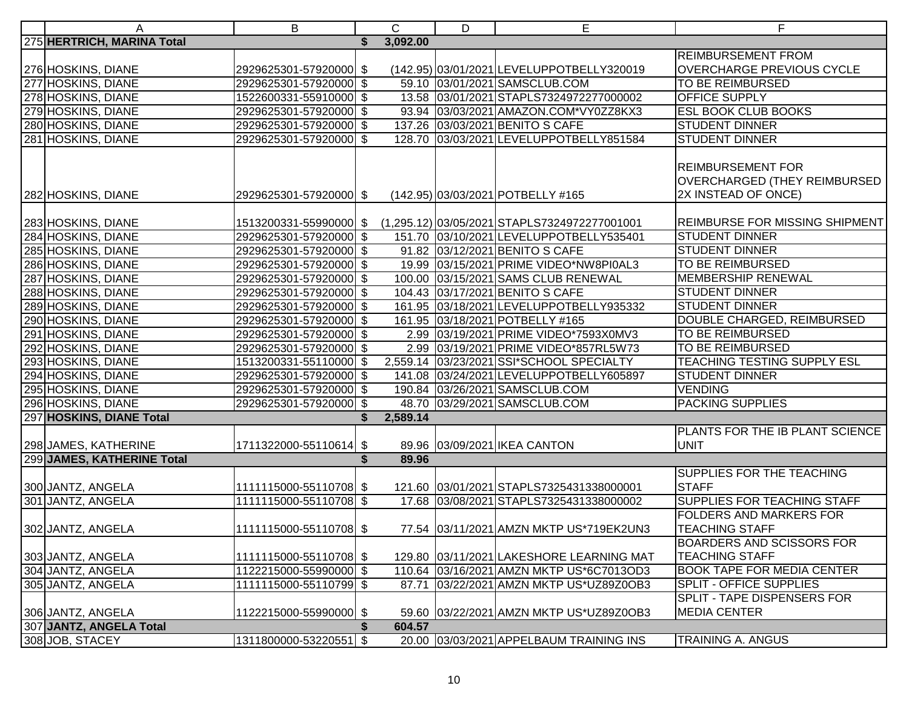| A                          | B                      |    | $\mathsf{C}$ | D | E                                                                   | F                                  |
|----------------------------|------------------------|----|--------------|---|---------------------------------------------------------------------|------------------------------------|
| 275 HERTRICH, MARINA Total |                        |    | 3,092.00     |   |                                                                     |                                    |
|                            |                        |    |              |   |                                                                     | REIMBURSEMENT FROM                 |
| 276 HOSKINS, DIANE         | 2929625301-57920000 \$ |    |              |   | (142.95) 03/01/2021 LEVELUPPOTBELLY320019                           | OVERCHARGE PREVIOUS CYCLE          |
| 277 HOSKINS, DIANE         | 2929625301-57920000 \$ |    |              |   | 59.10 03/01/2021 SAMSCLUB.COM                                       | TO BE REIMBURSED                   |
| 278 HOSKINS, DIANE         | 1522600331-55910000 \$ |    |              |   | 13.58 03/01/2021 STAPLS7324972277000002                             | <b>OFFICE SUPPLY</b>               |
| 279 HOSKINS, DIANE         | 2929625301-57920000 \$ |    |              |   | 93.94 03/03/2021 AMAZON.COM*VY0ZZ8KX3                               | ESL BOOK CLUB BOOKS                |
| 280 HOSKINS, DIANE         | 2929625301-57920000 \$ |    |              |   | 137.26 03/03/2021 BENITO S CAFE                                     | <b>STUDENT DINNER</b>              |
| 281 HOSKINS, DIANE         | 2929625301-57920000 \$ |    |              |   | 128.70 03/03/2021 LEVELUPPOTBELLY851584                             | <b>STUDENT DINNER</b>              |
|                            |                        |    |              |   |                                                                     |                                    |
|                            |                        |    |              |   |                                                                     | <b>REIMBURSEMENT FOR</b>           |
|                            |                        |    |              |   |                                                                     | OVERCHARGED (THEY REIMBURSED       |
| 282 HOSKINS, DIANE         | 2929625301-57920000 \$ |    |              |   | (142.95) 03/03/2021 POTBELLY #165                                   | 2X INSTEAD OF ONCE)                |
|                            |                        |    |              |   |                                                                     |                                    |
| 283 HOSKINS, DIANE         |                        |    |              |   | 1513200331-55990000 \$ (1,295.12) 03/05/2021 STAPLS7324972277001001 | REIMBURSE FOR MISSING SHIPMENT     |
| 284 HOSKINS, DIANE         | 2929625301-57920000 \$ |    |              |   | 151.70 03/10/2021 LEVELUPPOTBELLY535401                             | <b>STUDENT DINNER</b>              |
| 285 HOSKINS, DIANE         | 2929625301-57920000 \$ |    |              |   | 91.82 03/12/2021 BENITO S CAFE                                      | <b>STUDENT DINNER</b>              |
| 286 HOSKINS, DIANE         | 2929625301-57920000 \$ |    |              |   | 19.99 03/15/2021 PRIME VIDEO*NW8PI0AL3                              | <b>TO BE REIMBURSED</b>            |
| 287 HOSKINS, DIANE         | 2929625301-57920000 \$ |    |              |   | 100.00 03/15/2021 SAMS CLUB RENEWAL                                 | <b>MEMBERSHIP RENEWAL</b>          |
| 288 HOSKINS, DIANE         | 2929625301-57920000 \$ |    |              |   | 104.43 03/17/2021 BENITO S CAFE                                     | <b>STUDENT DINNER</b>              |
| 289 HOSKINS, DIANE         | 2929625301-57920000 \$ |    |              |   | 161.95 03/18/2021 LEVELUPPOTBELLY935332                             | <b>STUDENT DINNER</b>              |
| 290 HOSKINS, DIANE         | 2929625301-57920000 \$ |    |              |   | 161.95 03/18/2021 POTBELLY #165                                     | DOUBLE CHARGED, REIMBURSED         |
| 291 HOSKINS, DIANE         | 2929625301-57920000 \$ |    |              |   | 2.99 03/19/2021 PRIME VIDEO*7593X0MV3                               | TO BE REIMBURSED                   |
| 292 HOSKINS, DIANE         | 2929625301-57920000 \$ |    |              |   | 2.99 03/19/2021 PRIME VIDEO*857RL5W73                               | <b>TO BE REIMBURSED</b>            |
| 293 HOSKINS, DIANE         | 1513200331-55110000 \$ |    |              |   | 2,559.14 03/23/2021 SSI*SCHOOL SPECIALTY                            | <b>TEACHING TESTING SUPPLY ESL</b> |
| 294 HOSKINS, DIANE         | 2929625301-57920000 \$ |    |              |   | 141.08 03/24/2021 LEVELUPPOTBELLY605897                             | <b>STUDENT DINNER</b>              |
| 295 HOSKINS, DIANE         | 2929625301-57920000 \$ |    |              |   | 190.84 03/26/2021 SAMSCLUB.COM                                      | <b>VENDING</b>                     |
| 296 HOSKINS, DIANE         | 2929625301-57920000 \$ |    |              |   | 48.70 03/29/2021 SAMSCLUB.COM                                       | <b>PACKING SUPPLIES</b>            |
| 297 HOSKINS, DIANE Total   |                        |    | 2,589.14     |   |                                                                     |                                    |
|                            |                        |    |              |   |                                                                     | PLANTS FOR THE IB PLANT SCIENCE    |
| 298 JAMES, KATHERINE       | 1711322000-55110614 \$ |    |              |   | 89.96 03/09/2021 IKEA CANTON                                        | <b>UNIT</b>                        |
| 299 JAMES, KATHERINE Total |                        | \$ | 89.96        |   |                                                                     |                                    |
|                            |                        |    |              |   |                                                                     | SUPPLIES FOR THE TEACHING          |
| 300 JANTZ, ANGELA          | 1111115000-55110708 \$ |    |              |   | 121.60 03/01/2021 STAPLS7325431338000001                            | <b>STAFF</b>                       |
| 301 JANTZ, ANGELA          | 1111115000-55110708 \$ |    |              |   | 17.68 03/08/2021 STAPLS7325431338000002                             | SUPPLIES FOR TEACHING STAFF        |
|                            |                        |    |              |   |                                                                     | <b>FOLDERS AND MARKERS FOR</b>     |
| 302 JANTZ, ANGELA          | 1111115000-55110708 \$ |    |              |   | 77.54 03/11/2021 AMZN MKTP US*719EK2UN3                             | <b>TEACHING STAFF</b>              |
|                            |                        |    |              |   |                                                                     | <b>BOARDERS AND SCISSORS FOR</b>   |
| 303 JANTZ, ANGELA          | 1111115000-55110708 \$ |    |              |   | 129.80 03/11/2021 LAKESHORE LEARNING MAT                            | <b>TEACHING STAFF</b>              |
| 304 JANTZ, ANGELA          | 1122215000-55990000 \$ |    |              |   | 110.64 03/16/2021 AMZN MKTP US*6C7013OD3                            | <b>BOOK TAPE FOR MEDIA CENTER</b>  |
| 305 JANTZ, ANGELA          | 1111115000-55110799 \$ |    | 87.71        |   | 03/22/2021 AMZN MKTP US*UZ89Z0OB3                                   | <b>SPLIT - OFFICE SUPPLIES</b>     |
|                            |                        |    |              |   |                                                                     | SPLIT - TAPE DISPENSERS FOR        |
| 306 JANTZ, ANGELA          | 1122215000-55990000 \$ |    |              |   | 59.60 03/22/2021 AMZN MKTP US*UZ89Z0OB3                             | <b>MEDIA CENTER</b>                |
| 307 JANTZ, ANGELA Total    |                        | S  | 604.57       |   |                                                                     |                                    |
| 308 JOB, STACEY            | 1311800000-53220551 \$ |    |              |   | 20.00 03/03/2021 APPELBAUM TRAINING INS                             | <b>TRAINING A. ANGUS</b>           |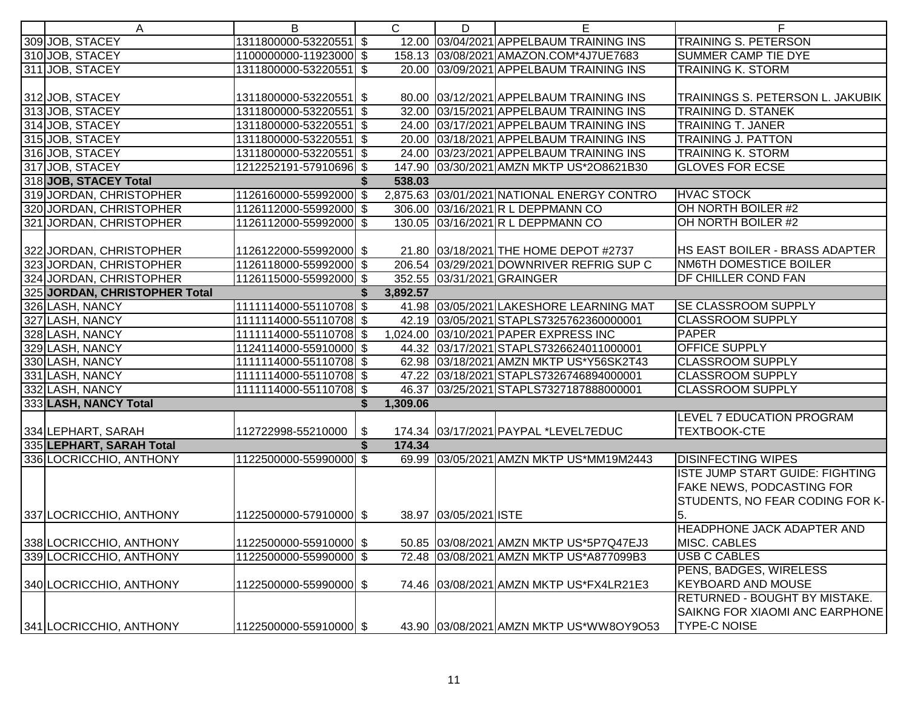| 12.00 03/04/2021 APPELBAUM TRAINING INS<br>TRAINING S. PETERSON<br>309 JOB, STACEY<br>1311800000-53220551 \$<br>310 JOB, STACEY<br>1100000000-11923000 \$<br>158.13 03/08/2021 AMAZON.COM*4J7UE7683<br><b>SUMMER CAMP TIE DYE</b><br>311 JOB, STACEY<br>1311800000-53220551 \$<br>20.00 03/09/2021 APPELBAUM TRAINING INS<br><b>TRAINING K. STORM</b><br>TRAININGS S. PETERSON L. JAKUBIK<br>312 JOB, STACEY<br>1311800000-53220551 \$<br>80.00 03/12/2021 APPELBAUM TRAINING INS<br>313 JOB, STACEY<br>1311800000-53220551 \$<br>32.00 03/15/2021 APPELBAUM TRAINING INS<br><b>TRAINING D. STANEK</b><br>314 JOB, STACEY<br>1311800000-53220551 \$<br>24.00 03/17/2021 APPELBAUM TRAINING INS<br><b>TRAINING T. JANER</b><br>315 JOB, STACEY<br>1311800000-53220551 \$<br>20.00 03/18/2021 APPELBAUM TRAINING INS<br><b>TRAINING J. PATTON</b><br>316 JOB, STACEY<br>1311800000-53220551 \$<br>24.00 03/23/2021 APPELBAUM TRAINING INS<br><b>TRAINING K. STORM</b><br>317JOB, STACEY<br><b>GLOVES FOR ECSE</b><br>1212252191-57910696 \$<br>147.90 03/30/2021 AMZN MKTP US*2O8621B30<br>318 JOB, STACEY Total<br>538.03<br>319 JORDAN, CHRISTOPHER<br>1126160000-55992000 \$<br>2,875.63 03/01/2021 NATIONAL ENERGY CONTRO<br><b>HVAC STOCK</b><br>OH NORTH BOILER #2<br>320 JORDAN, CHRISTOPHER<br>1126112000-55992000 \$<br>306.00 03/16/2021 R L DEPPMANN CO<br>OH NORTH BOILER #2<br>321 JORDAN, CHRISTOPHER<br>1126112000-55992000 \$<br>130.05 03/16/2021 R L DEPPMANN CO<br>322 JORDAN, CHRISTOPHER<br>21.80 03/18/2021 THE HOME DEPOT #2737<br><b>HS EAST BOILER - BRASS ADAPTER</b><br>1126122000-55992000 \$<br>323 JORDAN, CHRISTOPHER<br>1126118000-55992000 \$<br>206.54 03/29/2021 DOWNRIVER REFRIG SUP C<br><b>NM6TH DOMESTICE BOILER</b><br>324 JORDAN, CHRISTOPHER<br>352.55 03/31/2021 GRAINGER<br><b>DF CHILLER COND FAN</b><br>1126115000-55992000 \$<br>325 JORDAN, CHRISTOPHER Total<br>3,892.57<br>326 LASH, NANCY<br>41.98 03/05/2021 LAKESHORE LEARNING MAT<br><b>SE CLASSROOM SUPPLY</b><br>1111114000-55110708 \$<br>327 LASH, NANCY<br>42.19 03/05/2021 STAPLS7325762360000001<br>1111114000-55110708 \$<br><b>CLASSROOM SUPPLY</b><br>328 LASH, NANCY<br>1,024.00 03/10/2021 PAPER EXPRESS INC<br>PAPER<br>1111114000-55110708 \$<br><b>OFFICE SUPPLY</b><br>329 LASH, NANCY<br>1124114000-55910000 \$<br>44.32 03/17/2021 STAPLS7326624011000001<br><b>CLASSROOM SUPPLY</b><br>330 LASH, NANCY<br>62.98 03/18/2021 AMZN MKTP US*Y56SK2T43<br>1111114000-55110708 \$<br>47.22 03/18/2021 STAPLS7326746894000001<br><b>CLASSROOM SUPPLY</b><br>331 LASH, NANCY<br>1111114000-55110708 \$<br>46.37 03/25/2021 STAPLS7327187888000001<br><b>CLASSROOM SUPPLY</b><br>332 LASH, NANCY<br>1111114000-55110708 \$<br>333 LASH, NANCY Total<br>1,309.06<br>\$<br>LEVEL 7 EDUCATION PROGRAM<br><b>TEXTBOOK-CTE</b><br>174.34 03/17/2021 PAYPAL *LEVEL7EDUC<br>334 LEPHART, SARAH<br>112722998-55210000<br>\$<br>335 LEPHART, SARAH Total<br>174.34<br>\$<br><b>DISINFECTING WIPES</b><br>336 LOCRICCHIO, ANTHONY<br>1122500000-55990000 \$<br>69.99 03/05/2021 AMZN MKTP US*MM19M2443<br><b>ISTE JUMP START GUIDE: FIGHTING</b><br><b>FAKE NEWS, PODCASTING FOR</b><br>STUDENTS, NO FEAR CODING FOR K-<br>5.<br>337 LOCRICCHIO, ANTHONY<br>1122500000-57910000 \$<br>38.97 03/05/2021 ISTE<br><b>HEADPHONE JACK ADAPTER AND</b><br>338 LOCRICCHIO, ANTHONY<br>MISC. CABLES<br>1122500000-55910000 \$<br>50.85 03/08/2021 AMZN MKTP US*5P7Q47EJ3<br>339 LOCRICCHIO, ANTHONY<br><b>USB C CABLES</b><br>72.48 03/08/2021 AMZN MKTP US*A877099B3<br>1122500000-55990000 \$<br>PENS, BADGES, WIRELESS<br><b>KEYBOARD AND MOUSE</b><br>340 LOCRICCHIO, ANTHONY<br>1122500000-55990000 \$<br>74.46 03/08/2021 AMZN MKTP US*FX4LR21E3<br><b>RETURNED - BOUGHT BY MISTAKE.</b> | A | B | $\mathbf{C}$ | D | Е | F |
|--------------------------------------------------------------------------------------------------------------------------------------------------------------------------------------------------------------------------------------------------------------------------------------------------------------------------------------------------------------------------------------------------------------------------------------------------------------------------------------------------------------------------------------------------------------------------------------------------------------------------------------------------------------------------------------------------------------------------------------------------------------------------------------------------------------------------------------------------------------------------------------------------------------------------------------------------------------------------------------------------------------------------------------------------------------------------------------------------------------------------------------------------------------------------------------------------------------------------------------------------------------------------------------------------------------------------------------------------------------------------------------------------------------------------------------------------------------------------------------------------------------------------------------------------------------------------------------------------------------------------------------------------------------------------------------------------------------------------------------------------------------------------------------------------------------------------------------------------------------------------------------------------------------------------------------------------------------------------------------------------------------------------------------------------------------------------------------------------------------------------------------------------------------------------------------------------------------------------------------------------------------------------------------------------------------------------------------------------------------------------------------------------------------------------------------------------------------------------------------------------------------------------------------------------------------------------------------------------------------------------------------------------------------------------------------------------------------------------------------------------------------------------------------------------------------------------------------------------------------------------------------------------------------------------------------------------------------------------------------------------------------------------------------------------------------------------------------------------------------------------------------------------------------------------------------------------------------------------------------------------------------------------------------------------------------------------------------------------------------------------------------------------------------------------------------------------------------------------------------------------------------------------------------------------------------------------------------------------------------------------------------------------------------------------------------------------------------------------------------------------------------------------------------------|---|---|--------------|---|---|---|
|                                                                                                                                                                                                                                                                                                                                                                                                                                                                                                                                                                                                                                                                                                                                                                                                                                                                                                                                                                                                                                                                                                                                                                                                                                                                                                                                                                                                                                                                                                                                                                                                                                                                                                                                                                                                                                                                                                                                                                                                                                                                                                                                                                                                                                                                                                                                                                                                                                                                                                                                                                                                                                                                                                                                                                                                                                                                                                                                                                                                                                                                                                                                                                                                                                                                                                                                                                                                                                                                                                                                                                                                                                                                                                                                                                                            |   |   |              |   |   |   |
|                                                                                                                                                                                                                                                                                                                                                                                                                                                                                                                                                                                                                                                                                                                                                                                                                                                                                                                                                                                                                                                                                                                                                                                                                                                                                                                                                                                                                                                                                                                                                                                                                                                                                                                                                                                                                                                                                                                                                                                                                                                                                                                                                                                                                                                                                                                                                                                                                                                                                                                                                                                                                                                                                                                                                                                                                                                                                                                                                                                                                                                                                                                                                                                                                                                                                                                                                                                                                                                                                                                                                                                                                                                                                                                                                                                            |   |   |              |   |   |   |
|                                                                                                                                                                                                                                                                                                                                                                                                                                                                                                                                                                                                                                                                                                                                                                                                                                                                                                                                                                                                                                                                                                                                                                                                                                                                                                                                                                                                                                                                                                                                                                                                                                                                                                                                                                                                                                                                                                                                                                                                                                                                                                                                                                                                                                                                                                                                                                                                                                                                                                                                                                                                                                                                                                                                                                                                                                                                                                                                                                                                                                                                                                                                                                                                                                                                                                                                                                                                                                                                                                                                                                                                                                                                                                                                                                                            |   |   |              |   |   |   |
|                                                                                                                                                                                                                                                                                                                                                                                                                                                                                                                                                                                                                                                                                                                                                                                                                                                                                                                                                                                                                                                                                                                                                                                                                                                                                                                                                                                                                                                                                                                                                                                                                                                                                                                                                                                                                                                                                                                                                                                                                                                                                                                                                                                                                                                                                                                                                                                                                                                                                                                                                                                                                                                                                                                                                                                                                                                                                                                                                                                                                                                                                                                                                                                                                                                                                                                                                                                                                                                                                                                                                                                                                                                                                                                                                                                            |   |   |              |   |   |   |
|                                                                                                                                                                                                                                                                                                                                                                                                                                                                                                                                                                                                                                                                                                                                                                                                                                                                                                                                                                                                                                                                                                                                                                                                                                                                                                                                                                                                                                                                                                                                                                                                                                                                                                                                                                                                                                                                                                                                                                                                                                                                                                                                                                                                                                                                                                                                                                                                                                                                                                                                                                                                                                                                                                                                                                                                                                                                                                                                                                                                                                                                                                                                                                                                                                                                                                                                                                                                                                                                                                                                                                                                                                                                                                                                                                                            |   |   |              |   |   |   |
|                                                                                                                                                                                                                                                                                                                                                                                                                                                                                                                                                                                                                                                                                                                                                                                                                                                                                                                                                                                                                                                                                                                                                                                                                                                                                                                                                                                                                                                                                                                                                                                                                                                                                                                                                                                                                                                                                                                                                                                                                                                                                                                                                                                                                                                                                                                                                                                                                                                                                                                                                                                                                                                                                                                                                                                                                                                                                                                                                                                                                                                                                                                                                                                                                                                                                                                                                                                                                                                                                                                                                                                                                                                                                                                                                                                            |   |   |              |   |   |   |
|                                                                                                                                                                                                                                                                                                                                                                                                                                                                                                                                                                                                                                                                                                                                                                                                                                                                                                                                                                                                                                                                                                                                                                                                                                                                                                                                                                                                                                                                                                                                                                                                                                                                                                                                                                                                                                                                                                                                                                                                                                                                                                                                                                                                                                                                                                                                                                                                                                                                                                                                                                                                                                                                                                                                                                                                                                                                                                                                                                                                                                                                                                                                                                                                                                                                                                                                                                                                                                                                                                                                                                                                                                                                                                                                                                                            |   |   |              |   |   |   |
|                                                                                                                                                                                                                                                                                                                                                                                                                                                                                                                                                                                                                                                                                                                                                                                                                                                                                                                                                                                                                                                                                                                                                                                                                                                                                                                                                                                                                                                                                                                                                                                                                                                                                                                                                                                                                                                                                                                                                                                                                                                                                                                                                                                                                                                                                                                                                                                                                                                                                                                                                                                                                                                                                                                                                                                                                                                                                                                                                                                                                                                                                                                                                                                                                                                                                                                                                                                                                                                                                                                                                                                                                                                                                                                                                                                            |   |   |              |   |   |   |
|                                                                                                                                                                                                                                                                                                                                                                                                                                                                                                                                                                                                                                                                                                                                                                                                                                                                                                                                                                                                                                                                                                                                                                                                                                                                                                                                                                                                                                                                                                                                                                                                                                                                                                                                                                                                                                                                                                                                                                                                                                                                                                                                                                                                                                                                                                                                                                                                                                                                                                                                                                                                                                                                                                                                                                                                                                                                                                                                                                                                                                                                                                                                                                                                                                                                                                                                                                                                                                                                                                                                                                                                                                                                                                                                                                                            |   |   |              |   |   |   |
|                                                                                                                                                                                                                                                                                                                                                                                                                                                                                                                                                                                                                                                                                                                                                                                                                                                                                                                                                                                                                                                                                                                                                                                                                                                                                                                                                                                                                                                                                                                                                                                                                                                                                                                                                                                                                                                                                                                                                                                                                                                                                                                                                                                                                                                                                                                                                                                                                                                                                                                                                                                                                                                                                                                                                                                                                                                                                                                                                                                                                                                                                                                                                                                                                                                                                                                                                                                                                                                                                                                                                                                                                                                                                                                                                                                            |   |   |              |   |   |   |
|                                                                                                                                                                                                                                                                                                                                                                                                                                                                                                                                                                                                                                                                                                                                                                                                                                                                                                                                                                                                                                                                                                                                                                                                                                                                                                                                                                                                                                                                                                                                                                                                                                                                                                                                                                                                                                                                                                                                                                                                                                                                                                                                                                                                                                                                                                                                                                                                                                                                                                                                                                                                                                                                                                                                                                                                                                                                                                                                                                                                                                                                                                                                                                                                                                                                                                                                                                                                                                                                                                                                                                                                                                                                                                                                                                                            |   |   |              |   |   |   |
|                                                                                                                                                                                                                                                                                                                                                                                                                                                                                                                                                                                                                                                                                                                                                                                                                                                                                                                                                                                                                                                                                                                                                                                                                                                                                                                                                                                                                                                                                                                                                                                                                                                                                                                                                                                                                                                                                                                                                                                                                                                                                                                                                                                                                                                                                                                                                                                                                                                                                                                                                                                                                                                                                                                                                                                                                                                                                                                                                                                                                                                                                                                                                                                                                                                                                                                                                                                                                                                                                                                                                                                                                                                                                                                                                                                            |   |   |              |   |   |   |
|                                                                                                                                                                                                                                                                                                                                                                                                                                                                                                                                                                                                                                                                                                                                                                                                                                                                                                                                                                                                                                                                                                                                                                                                                                                                                                                                                                                                                                                                                                                                                                                                                                                                                                                                                                                                                                                                                                                                                                                                                                                                                                                                                                                                                                                                                                                                                                                                                                                                                                                                                                                                                                                                                                                                                                                                                                                                                                                                                                                                                                                                                                                                                                                                                                                                                                                                                                                                                                                                                                                                                                                                                                                                                                                                                                                            |   |   |              |   |   |   |
|                                                                                                                                                                                                                                                                                                                                                                                                                                                                                                                                                                                                                                                                                                                                                                                                                                                                                                                                                                                                                                                                                                                                                                                                                                                                                                                                                                                                                                                                                                                                                                                                                                                                                                                                                                                                                                                                                                                                                                                                                                                                                                                                                                                                                                                                                                                                                                                                                                                                                                                                                                                                                                                                                                                                                                                                                                                                                                                                                                                                                                                                                                                                                                                                                                                                                                                                                                                                                                                                                                                                                                                                                                                                                                                                                                                            |   |   |              |   |   |   |
|                                                                                                                                                                                                                                                                                                                                                                                                                                                                                                                                                                                                                                                                                                                                                                                                                                                                                                                                                                                                                                                                                                                                                                                                                                                                                                                                                                                                                                                                                                                                                                                                                                                                                                                                                                                                                                                                                                                                                                                                                                                                                                                                                                                                                                                                                                                                                                                                                                                                                                                                                                                                                                                                                                                                                                                                                                                                                                                                                                                                                                                                                                                                                                                                                                                                                                                                                                                                                                                                                                                                                                                                                                                                                                                                                                                            |   |   |              |   |   |   |
|                                                                                                                                                                                                                                                                                                                                                                                                                                                                                                                                                                                                                                                                                                                                                                                                                                                                                                                                                                                                                                                                                                                                                                                                                                                                                                                                                                                                                                                                                                                                                                                                                                                                                                                                                                                                                                                                                                                                                                                                                                                                                                                                                                                                                                                                                                                                                                                                                                                                                                                                                                                                                                                                                                                                                                                                                                                                                                                                                                                                                                                                                                                                                                                                                                                                                                                                                                                                                                                                                                                                                                                                                                                                                                                                                                                            |   |   |              |   |   |   |
|                                                                                                                                                                                                                                                                                                                                                                                                                                                                                                                                                                                                                                                                                                                                                                                                                                                                                                                                                                                                                                                                                                                                                                                                                                                                                                                                                                                                                                                                                                                                                                                                                                                                                                                                                                                                                                                                                                                                                                                                                                                                                                                                                                                                                                                                                                                                                                                                                                                                                                                                                                                                                                                                                                                                                                                                                                                                                                                                                                                                                                                                                                                                                                                                                                                                                                                                                                                                                                                                                                                                                                                                                                                                                                                                                                                            |   |   |              |   |   |   |
|                                                                                                                                                                                                                                                                                                                                                                                                                                                                                                                                                                                                                                                                                                                                                                                                                                                                                                                                                                                                                                                                                                                                                                                                                                                                                                                                                                                                                                                                                                                                                                                                                                                                                                                                                                                                                                                                                                                                                                                                                                                                                                                                                                                                                                                                                                                                                                                                                                                                                                                                                                                                                                                                                                                                                                                                                                                                                                                                                                                                                                                                                                                                                                                                                                                                                                                                                                                                                                                                                                                                                                                                                                                                                                                                                                                            |   |   |              |   |   |   |
|                                                                                                                                                                                                                                                                                                                                                                                                                                                                                                                                                                                                                                                                                                                                                                                                                                                                                                                                                                                                                                                                                                                                                                                                                                                                                                                                                                                                                                                                                                                                                                                                                                                                                                                                                                                                                                                                                                                                                                                                                                                                                                                                                                                                                                                                                                                                                                                                                                                                                                                                                                                                                                                                                                                                                                                                                                                                                                                                                                                                                                                                                                                                                                                                                                                                                                                                                                                                                                                                                                                                                                                                                                                                                                                                                                                            |   |   |              |   |   |   |
|                                                                                                                                                                                                                                                                                                                                                                                                                                                                                                                                                                                                                                                                                                                                                                                                                                                                                                                                                                                                                                                                                                                                                                                                                                                                                                                                                                                                                                                                                                                                                                                                                                                                                                                                                                                                                                                                                                                                                                                                                                                                                                                                                                                                                                                                                                                                                                                                                                                                                                                                                                                                                                                                                                                                                                                                                                                                                                                                                                                                                                                                                                                                                                                                                                                                                                                                                                                                                                                                                                                                                                                                                                                                                                                                                                                            |   |   |              |   |   |   |
|                                                                                                                                                                                                                                                                                                                                                                                                                                                                                                                                                                                                                                                                                                                                                                                                                                                                                                                                                                                                                                                                                                                                                                                                                                                                                                                                                                                                                                                                                                                                                                                                                                                                                                                                                                                                                                                                                                                                                                                                                                                                                                                                                                                                                                                                                                                                                                                                                                                                                                                                                                                                                                                                                                                                                                                                                                                                                                                                                                                                                                                                                                                                                                                                                                                                                                                                                                                                                                                                                                                                                                                                                                                                                                                                                                                            |   |   |              |   |   |   |
|                                                                                                                                                                                                                                                                                                                                                                                                                                                                                                                                                                                                                                                                                                                                                                                                                                                                                                                                                                                                                                                                                                                                                                                                                                                                                                                                                                                                                                                                                                                                                                                                                                                                                                                                                                                                                                                                                                                                                                                                                                                                                                                                                                                                                                                                                                                                                                                                                                                                                                                                                                                                                                                                                                                                                                                                                                                                                                                                                                                                                                                                                                                                                                                                                                                                                                                                                                                                                                                                                                                                                                                                                                                                                                                                                                                            |   |   |              |   |   |   |
|                                                                                                                                                                                                                                                                                                                                                                                                                                                                                                                                                                                                                                                                                                                                                                                                                                                                                                                                                                                                                                                                                                                                                                                                                                                                                                                                                                                                                                                                                                                                                                                                                                                                                                                                                                                                                                                                                                                                                                                                                                                                                                                                                                                                                                                                                                                                                                                                                                                                                                                                                                                                                                                                                                                                                                                                                                                                                                                                                                                                                                                                                                                                                                                                                                                                                                                                                                                                                                                                                                                                                                                                                                                                                                                                                                                            |   |   |              |   |   |   |
|                                                                                                                                                                                                                                                                                                                                                                                                                                                                                                                                                                                                                                                                                                                                                                                                                                                                                                                                                                                                                                                                                                                                                                                                                                                                                                                                                                                                                                                                                                                                                                                                                                                                                                                                                                                                                                                                                                                                                                                                                                                                                                                                                                                                                                                                                                                                                                                                                                                                                                                                                                                                                                                                                                                                                                                                                                                                                                                                                                                                                                                                                                                                                                                                                                                                                                                                                                                                                                                                                                                                                                                                                                                                                                                                                                                            |   |   |              |   |   |   |
|                                                                                                                                                                                                                                                                                                                                                                                                                                                                                                                                                                                                                                                                                                                                                                                                                                                                                                                                                                                                                                                                                                                                                                                                                                                                                                                                                                                                                                                                                                                                                                                                                                                                                                                                                                                                                                                                                                                                                                                                                                                                                                                                                                                                                                                                                                                                                                                                                                                                                                                                                                                                                                                                                                                                                                                                                                                                                                                                                                                                                                                                                                                                                                                                                                                                                                                                                                                                                                                                                                                                                                                                                                                                                                                                                                                            |   |   |              |   |   |   |
|                                                                                                                                                                                                                                                                                                                                                                                                                                                                                                                                                                                                                                                                                                                                                                                                                                                                                                                                                                                                                                                                                                                                                                                                                                                                                                                                                                                                                                                                                                                                                                                                                                                                                                                                                                                                                                                                                                                                                                                                                                                                                                                                                                                                                                                                                                                                                                                                                                                                                                                                                                                                                                                                                                                                                                                                                                                                                                                                                                                                                                                                                                                                                                                                                                                                                                                                                                                                                                                                                                                                                                                                                                                                                                                                                                                            |   |   |              |   |   |   |
|                                                                                                                                                                                                                                                                                                                                                                                                                                                                                                                                                                                                                                                                                                                                                                                                                                                                                                                                                                                                                                                                                                                                                                                                                                                                                                                                                                                                                                                                                                                                                                                                                                                                                                                                                                                                                                                                                                                                                                                                                                                                                                                                                                                                                                                                                                                                                                                                                                                                                                                                                                                                                                                                                                                                                                                                                                                                                                                                                                                                                                                                                                                                                                                                                                                                                                                                                                                                                                                                                                                                                                                                                                                                                                                                                                                            |   |   |              |   |   |   |
|                                                                                                                                                                                                                                                                                                                                                                                                                                                                                                                                                                                                                                                                                                                                                                                                                                                                                                                                                                                                                                                                                                                                                                                                                                                                                                                                                                                                                                                                                                                                                                                                                                                                                                                                                                                                                                                                                                                                                                                                                                                                                                                                                                                                                                                                                                                                                                                                                                                                                                                                                                                                                                                                                                                                                                                                                                                                                                                                                                                                                                                                                                                                                                                                                                                                                                                                                                                                                                                                                                                                                                                                                                                                                                                                                                                            |   |   |              |   |   |   |
|                                                                                                                                                                                                                                                                                                                                                                                                                                                                                                                                                                                                                                                                                                                                                                                                                                                                                                                                                                                                                                                                                                                                                                                                                                                                                                                                                                                                                                                                                                                                                                                                                                                                                                                                                                                                                                                                                                                                                                                                                                                                                                                                                                                                                                                                                                                                                                                                                                                                                                                                                                                                                                                                                                                                                                                                                                                                                                                                                                                                                                                                                                                                                                                                                                                                                                                                                                                                                                                                                                                                                                                                                                                                                                                                                                                            |   |   |              |   |   |   |
|                                                                                                                                                                                                                                                                                                                                                                                                                                                                                                                                                                                                                                                                                                                                                                                                                                                                                                                                                                                                                                                                                                                                                                                                                                                                                                                                                                                                                                                                                                                                                                                                                                                                                                                                                                                                                                                                                                                                                                                                                                                                                                                                                                                                                                                                                                                                                                                                                                                                                                                                                                                                                                                                                                                                                                                                                                                                                                                                                                                                                                                                                                                                                                                                                                                                                                                                                                                                                                                                                                                                                                                                                                                                                                                                                                                            |   |   |              |   |   |   |
|                                                                                                                                                                                                                                                                                                                                                                                                                                                                                                                                                                                                                                                                                                                                                                                                                                                                                                                                                                                                                                                                                                                                                                                                                                                                                                                                                                                                                                                                                                                                                                                                                                                                                                                                                                                                                                                                                                                                                                                                                                                                                                                                                                                                                                                                                                                                                                                                                                                                                                                                                                                                                                                                                                                                                                                                                                                                                                                                                                                                                                                                                                                                                                                                                                                                                                                                                                                                                                                                                                                                                                                                                                                                                                                                                                                            |   |   |              |   |   |   |
|                                                                                                                                                                                                                                                                                                                                                                                                                                                                                                                                                                                                                                                                                                                                                                                                                                                                                                                                                                                                                                                                                                                                                                                                                                                                                                                                                                                                                                                                                                                                                                                                                                                                                                                                                                                                                                                                                                                                                                                                                                                                                                                                                                                                                                                                                                                                                                                                                                                                                                                                                                                                                                                                                                                                                                                                                                                                                                                                                                                                                                                                                                                                                                                                                                                                                                                                                                                                                                                                                                                                                                                                                                                                                                                                                                                            |   |   |              |   |   |   |
|                                                                                                                                                                                                                                                                                                                                                                                                                                                                                                                                                                                                                                                                                                                                                                                                                                                                                                                                                                                                                                                                                                                                                                                                                                                                                                                                                                                                                                                                                                                                                                                                                                                                                                                                                                                                                                                                                                                                                                                                                                                                                                                                                                                                                                                                                                                                                                                                                                                                                                                                                                                                                                                                                                                                                                                                                                                                                                                                                                                                                                                                                                                                                                                                                                                                                                                                                                                                                                                                                                                                                                                                                                                                                                                                                                                            |   |   |              |   |   |   |
|                                                                                                                                                                                                                                                                                                                                                                                                                                                                                                                                                                                                                                                                                                                                                                                                                                                                                                                                                                                                                                                                                                                                                                                                                                                                                                                                                                                                                                                                                                                                                                                                                                                                                                                                                                                                                                                                                                                                                                                                                                                                                                                                                                                                                                                                                                                                                                                                                                                                                                                                                                                                                                                                                                                                                                                                                                                                                                                                                                                                                                                                                                                                                                                                                                                                                                                                                                                                                                                                                                                                                                                                                                                                                                                                                                                            |   |   |              |   |   |   |
|                                                                                                                                                                                                                                                                                                                                                                                                                                                                                                                                                                                                                                                                                                                                                                                                                                                                                                                                                                                                                                                                                                                                                                                                                                                                                                                                                                                                                                                                                                                                                                                                                                                                                                                                                                                                                                                                                                                                                                                                                                                                                                                                                                                                                                                                                                                                                                                                                                                                                                                                                                                                                                                                                                                                                                                                                                                                                                                                                                                                                                                                                                                                                                                                                                                                                                                                                                                                                                                                                                                                                                                                                                                                                                                                                                                            |   |   |              |   |   |   |
|                                                                                                                                                                                                                                                                                                                                                                                                                                                                                                                                                                                                                                                                                                                                                                                                                                                                                                                                                                                                                                                                                                                                                                                                                                                                                                                                                                                                                                                                                                                                                                                                                                                                                                                                                                                                                                                                                                                                                                                                                                                                                                                                                                                                                                                                                                                                                                                                                                                                                                                                                                                                                                                                                                                                                                                                                                                                                                                                                                                                                                                                                                                                                                                                                                                                                                                                                                                                                                                                                                                                                                                                                                                                                                                                                                                            |   |   |              |   |   |   |
|                                                                                                                                                                                                                                                                                                                                                                                                                                                                                                                                                                                                                                                                                                                                                                                                                                                                                                                                                                                                                                                                                                                                                                                                                                                                                                                                                                                                                                                                                                                                                                                                                                                                                                                                                                                                                                                                                                                                                                                                                                                                                                                                                                                                                                                                                                                                                                                                                                                                                                                                                                                                                                                                                                                                                                                                                                                                                                                                                                                                                                                                                                                                                                                                                                                                                                                                                                                                                                                                                                                                                                                                                                                                                                                                                                                            |   |   |              |   |   |   |
|                                                                                                                                                                                                                                                                                                                                                                                                                                                                                                                                                                                                                                                                                                                                                                                                                                                                                                                                                                                                                                                                                                                                                                                                                                                                                                                                                                                                                                                                                                                                                                                                                                                                                                                                                                                                                                                                                                                                                                                                                                                                                                                                                                                                                                                                                                                                                                                                                                                                                                                                                                                                                                                                                                                                                                                                                                                                                                                                                                                                                                                                                                                                                                                                                                                                                                                                                                                                                                                                                                                                                                                                                                                                                                                                                                                            |   |   |              |   |   |   |
|                                                                                                                                                                                                                                                                                                                                                                                                                                                                                                                                                                                                                                                                                                                                                                                                                                                                                                                                                                                                                                                                                                                                                                                                                                                                                                                                                                                                                                                                                                                                                                                                                                                                                                                                                                                                                                                                                                                                                                                                                                                                                                                                                                                                                                                                                                                                                                                                                                                                                                                                                                                                                                                                                                                                                                                                                                                                                                                                                                                                                                                                                                                                                                                                                                                                                                                                                                                                                                                                                                                                                                                                                                                                                                                                                                                            |   |   |              |   |   |   |
|                                                                                                                                                                                                                                                                                                                                                                                                                                                                                                                                                                                                                                                                                                                                                                                                                                                                                                                                                                                                                                                                                                                                                                                                                                                                                                                                                                                                                                                                                                                                                                                                                                                                                                                                                                                                                                                                                                                                                                                                                                                                                                                                                                                                                                                                                                                                                                                                                                                                                                                                                                                                                                                                                                                                                                                                                                                                                                                                                                                                                                                                                                                                                                                                                                                                                                                                                                                                                                                                                                                                                                                                                                                                                                                                                                                            |   |   |              |   |   |   |
|                                                                                                                                                                                                                                                                                                                                                                                                                                                                                                                                                                                                                                                                                                                                                                                                                                                                                                                                                                                                                                                                                                                                                                                                                                                                                                                                                                                                                                                                                                                                                                                                                                                                                                                                                                                                                                                                                                                                                                                                                                                                                                                                                                                                                                                                                                                                                                                                                                                                                                                                                                                                                                                                                                                                                                                                                                                                                                                                                                                                                                                                                                                                                                                                                                                                                                                                                                                                                                                                                                                                                                                                                                                                                                                                                                                            |   |   |              |   |   |   |
| <b>SAIKNG FOR XIAOMI ANC EARPHONE</b>                                                                                                                                                                                                                                                                                                                                                                                                                                                                                                                                                                                                                                                                                                                                                                                                                                                                                                                                                                                                                                                                                                                                                                                                                                                                                                                                                                                                                                                                                                                                                                                                                                                                                                                                                                                                                                                                                                                                                                                                                                                                                                                                                                                                                                                                                                                                                                                                                                                                                                                                                                                                                                                                                                                                                                                                                                                                                                                                                                                                                                                                                                                                                                                                                                                                                                                                                                                                                                                                                                                                                                                                                                                                                                                                                      |   |   |              |   |   |   |
| <b>TYPE-C NOISE</b><br>341 LOCRICCHIO, ANTHONY<br>1122500000-55910000 \$<br>43.90 03/08/2021 AMZN MKTP US*WW8OY9O53                                                                                                                                                                                                                                                                                                                                                                                                                                                                                                                                                                                                                                                                                                                                                                                                                                                                                                                                                                                                                                                                                                                                                                                                                                                                                                                                                                                                                                                                                                                                                                                                                                                                                                                                                                                                                                                                                                                                                                                                                                                                                                                                                                                                                                                                                                                                                                                                                                                                                                                                                                                                                                                                                                                                                                                                                                                                                                                                                                                                                                                                                                                                                                                                                                                                                                                                                                                                                                                                                                                                                                                                                                                                        |   |   |              |   |   |   |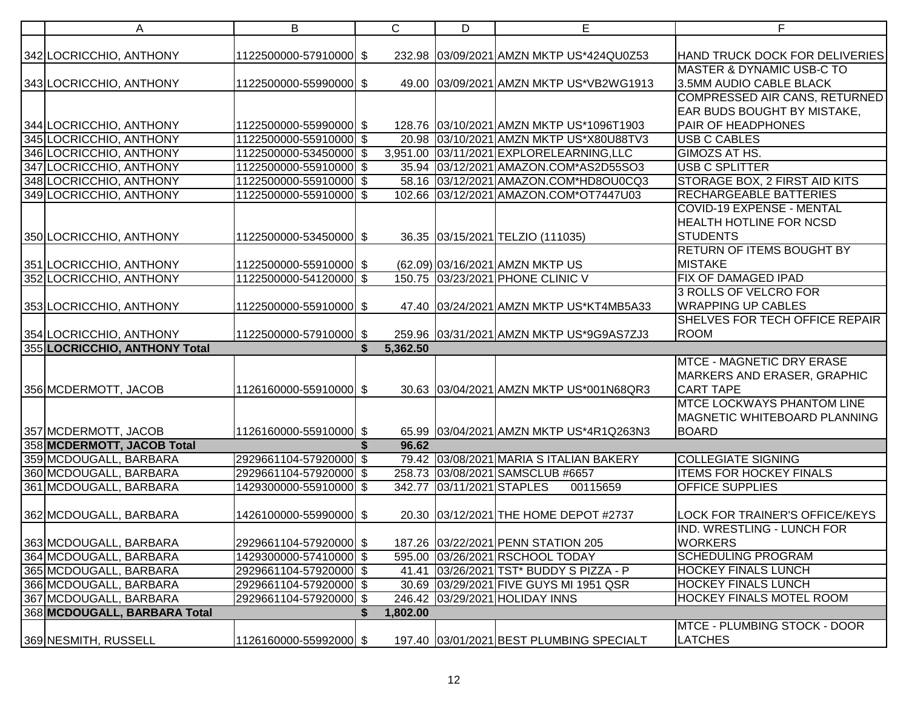| A                                                  | B                                                | $\mathsf{C}$  | D                         | E                                                                                 | F.                                                |
|----------------------------------------------------|--------------------------------------------------|---------------|---------------------------|-----------------------------------------------------------------------------------|---------------------------------------------------|
|                                                    |                                                  |               |                           |                                                                                   |                                                   |
| 342 LOCRICCHIO, ANTHONY                            | 1122500000-57910000 \$                           |               |                           | 232.98 03/09/2021 AMZN MKTP US*424QU0Z53                                          | HAND TRUCK DOCK FOR DELIVERIES                    |
|                                                    |                                                  |               |                           |                                                                                   | MASTER & DYNAMIC USB-C TO                         |
| 343 LOCRICCHIO, ANTHONY                            | 1122500000-55990000 \$                           |               |                           | 49.00 03/09/2021 AMZN MKTP US*VB2WG1913                                           | 3.5MM AUDIO CABLE BLACK                           |
|                                                    |                                                  |               |                           |                                                                                   | COMPRESSED AIR CANS, RETURNED                     |
|                                                    |                                                  |               |                           |                                                                                   | EAR BUDS BOUGHT BY MISTAKE,                       |
| 344 LOCRICCHIO, ANTHONY                            | 1122500000-55990000 \$                           |               |                           | 128.76 03/10/2021 AMZN MKTP US*1096T1903                                          | <b>PAIR OF HEADPHONES</b>                         |
| 345 LOCRICCHIO, ANTHONY                            | 1122500000-55910000 \$<br>1122500000-53450000 \$ |               |                           | 20.98 03/10/2021 AMZN MKTP US*X80U88TV3                                           | <b>USB C CABLES</b><br><b>GIMOZS AT HS.</b>       |
| 346 LOCRICCHIO, ANTHONY                            |                                                  |               |                           | 3,951.00 03/11/2021 EXPLORELEARNING, LLC<br>35.94 03/12/2021 AMAZON.COM*AS2D55SO3 | <b>USB C SPLITTER</b>                             |
| 347 LOCRICCHIO, ANTHONY                            | 1122500000-55910000 \$                           |               |                           |                                                                                   | <b>STORAGE BOX, 2 FIRST AID KITS</b>              |
| 348 LOCRICCHIO, ANTHONY                            | 1122500000-55910000 \$                           |               |                           | 58.16 03/12/2021 AMAZON.COM*HD8OU0CQ3                                             |                                                   |
| 349 LOCRICCHIO, ANTHONY                            | 1122500000-55910000 \$                           |               |                           | 102.66 03/12/2021 AMAZON.COM*OT7447U03                                            | <b>RECHARGEABLE BATTERIES</b>                     |
|                                                    |                                                  |               |                           |                                                                                   | <b>COVID-19 EXPENSE - MENTAL</b>                  |
|                                                    |                                                  |               |                           |                                                                                   | <b>HEALTH HOTLINE FOR NCSD</b><br><b>STUDENTS</b> |
| 350 LOCRICCHIO, ANTHONY                            | 1122500000-53450000 \$                           |               |                           | 36.35 03/15/2021 TELZIO (111035)                                                  | <b>RETURN OF ITEMS BOUGHT BY</b>                  |
|                                                    |                                                  |               |                           |                                                                                   | <b>MISTAKE</b>                                    |
| 351 LOCRICCHIO, ANTHONY<br>352 LOCRICCHIO, ANTHONY | 1122500000-55910000 \$<br>1122500000-54120000 \$ |               |                           | (62.09) 03/16/2021 AMZN MKTP US<br>150.75 03/23/2021 PHONE CLINIC V               | <b>FIX OF DAMAGED IPAD</b>                        |
|                                                    |                                                  |               |                           |                                                                                   | 3 ROLLS OF VELCRO FOR                             |
|                                                    |                                                  |               |                           |                                                                                   | <b>WRAPPING UP CABLES</b>                         |
| 353 LOCRICCHIO, ANTHONY                            | 1122500000-55910000 \$                           |               |                           | 47.40 03/24/2021 AMZN MKTP US*KT4MB5A33                                           | SHELVES FOR TECH OFFICE REPAIR                    |
| 354 LOCRICCHIO, ANTHONY                            |                                                  |               |                           |                                                                                   | ROOM                                              |
| 355 LOCRICCHIO, ANTHONY Total                      | 1122500000-57910000 \$                           | 5,362.50      |                           | 259.96 03/31/2021 AMZN MKTP US*9G9AS7ZJ3                                          |                                                   |
|                                                    |                                                  |               |                           |                                                                                   | <b>MTCE - MAGNETIC DRY ERASE</b>                  |
|                                                    |                                                  |               |                           |                                                                                   | MARKERS AND ERASER, GRAPHIC                       |
| 356 MCDERMOTT, JACOB                               | 1126160000-55910000 \$                           |               |                           | 30.63 03/04/2021 AMZN MKTP US*001N68QR3                                           | <b>CART TAPE</b>                                  |
|                                                    |                                                  |               |                           |                                                                                   | <b>MTCE LOCKWAYS PHANTOM LINE</b>                 |
|                                                    |                                                  |               |                           |                                                                                   | <b>MAGNETIC WHITEBOARD PLANNING</b>               |
| 357 MCDERMOTT, JACOB                               | 1126160000-55910000 \$                           |               |                           | 65.99 03/04/2021 AMZN MKTP US*4R1Q263N3                                           | <b>BOARD</b>                                      |
| 358 MCDERMOTT, JACOB Total                         |                                                  | \$<br>96.62   |                           |                                                                                   |                                                   |
| 359 MCDOUGALL, BARBARA                             | 2929661104-57920000 \$                           |               |                           | 79.42 03/08/2021 MARIA S ITALIAN BAKERY                                           | <b>COLLEGIATE SIGNING</b>                         |
| 360 MCDOUGALL, BARBARA                             | 2929661104-57920000 \$                           |               |                           | 258.73 03/08/2021 SAMSCLUB #6657                                                  | <b>ITEMS FOR HOCKEY FINALS</b>                    |
| 361 MCDOUGALL, BARBARA                             | 1429300000-55910000 \$                           |               | 342.77 03/11/2021 STAPLES | 00115659                                                                          | <b>OFFICE SUPPLIES</b>                            |
|                                                    |                                                  |               |                           |                                                                                   |                                                   |
| 362 MCDOUGALL, BARBARA                             | 1426100000-55990000 \$                           |               |                           | 20.30 03/12/2021 THE HOME DEPOT #2737                                             | LOCK FOR TRAINER'S OFFICE/KEYS                    |
|                                                    |                                                  |               |                           |                                                                                   | <b>IND. WRESTLING - LUNCH FOR</b>                 |
| 363 MCDOUGALL, BARBARA                             | 2929661104-57920000 \$                           |               |                           | 187.26 03/22/2021 PENN STATION 205                                                | <b>WORKERS</b>                                    |
| 364 MCDOUGALL, BARBARA                             | 1429300000-57410000 \$                           |               |                           | 595.00 03/26/2021 RSCHOOL TODAY                                                   | <b>SCHEDULING PROGRAM</b>                         |
| 365 MCDOUGALL, BARBARA                             | 2929661104-57920000 \$                           |               |                           | 41.41 03/26/2021 TST* BUDDY S PIZZA - P                                           | <b>HOCKEY FINALS LUNCH</b>                        |
| 366 MCDOUGALL, BARBARA                             | 2929661104-57920000 \$                           |               |                           | 30.69 03/29/2021 FIVE GUYS MI 1951 QSR                                            | <b>HOCKEY FINALS LUNCH</b>                        |
| 367 MCDOUGALL, BARBARA                             | 2929661104-57920000 \$                           |               |                           | 246.42 03/29/2021 HOLIDAY INNS                                                    | HOCKEY FINALS MOTEL ROOM                          |
| 368 MCDOUGALL, BARBARA Total                       |                                                  | 1,802.00<br>S |                           |                                                                                   |                                                   |
|                                                    |                                                  |               |                           |                                                                                   | MTCE - PLUMBING STOCK - DOOR                      |
| 369 NESMITH, RUSSELL                               | 1126160000-55992000 \$                           |               |                           | 197.40 03/01/2021 BEST PLUMBING SPECIALT                                          | <b>LATCHES</b>                                    |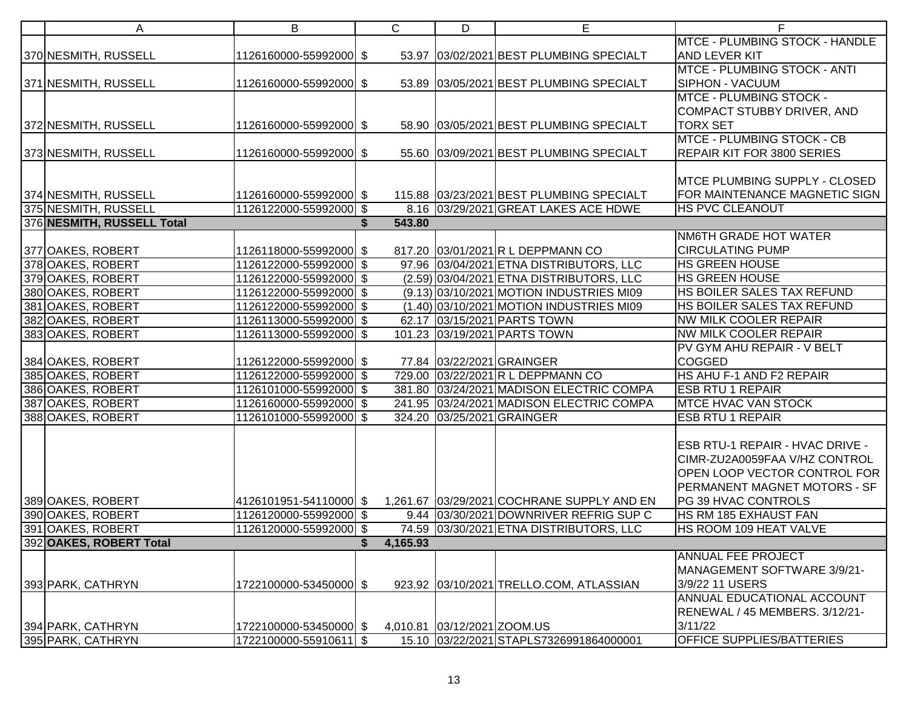| A                                      | B                                                |   | $\mathsf{C}$ | D                           | E                                                                                    | F                                           |
|----------------------------------------|--------------------------------------------------|---|--------------|-----------------------------|--------------------------------------------------------------------------------------|---------------------------------------------|
|                                        |                                                  |   |              |                             |                                                                                      | MTCE - PLUMBING STOCK - HANDLE              |
| 370 NESMITH, RUSSELL                   | 1126160000-55992000 \$                           |   |              |                             | 53.97 03/02/2021 BEST PLUMBING SPECIALT                                              | <b>AND LEVER KIT</b>                        |
|                                        |                                                  |   |              |                             |                                                                                      | <b>MTCE - PLUMBING STOCK - ANTI</b>         |
| 371 NESMITH, RUSSELL                   | 1126160000-55992000 \$                           |   |              |                             | 53.89 03/05/2021 BEST PLUMBING SPECIALT                                              | <b>SIPHON - VACUUM</b>                      |
|                                        |                                                  |   |              |                             |                                                                                      | <b>MTCE - PLUMBING STOCK -</b>              |
|                                        |                                                  |   |              |                             |                                                                                      | COMPACT STUBBY DRIVER, AND                  |
| 372 NESMITH, RUSSELL                   | 1126160000-55992000 \$                           |   |              |                             | 58.90 03/05/2021 BEST PLUMBING SPECIALT                                              | <b>TORX SET</b>                             |
|                                        |                                                  |   |              |                             |                                                                                      | <b>MTCE - PLUMBING STOCK - CB</b>           |
| 373 NESMITH, RUSSELL                   | 1126160000-55992000 \$                           |   |              |                             | 55.60 03/09/2021 BEST PLUMBING SPECIALT                                              | REPAIR KIT FOR 3800 SERIES                  |
|                                        |                                                  |   |              |                             |                                                                                      |                                             |
|                                        |                                                  |   |              |                             |                                                                                      | MTCE PLUMBING SUPPLY - CLOSED               |
| 374 NESMITH, RUSSELL                   | 1126160000-55992000 \$                           |   |              |                             | 115.88 03/23/2021 BEST PLUMBING SPECIALT                                             | FOR MAINTENANCE MAGNETIC SIGN               |
| 375 NESMITH, RUSSELL                   | 1126122000-55992000 \$                           |   |              |                             | 8.16 03/29/2021 GREAT LAKES ACE HDWE                                                 | <b>HS PVC CLEANOUT</b>                      |
| 376 NESMITH, RUSSELL Total             |                                                  |   | 543.80       |                             |                                                                                      |                                             |
|                                        |                                                  |   |              |                             |                                                                                      | NM6TH GRADE HOT WATER                       |
| 377 OAKES, ROBERT                      | 1126118000-55992000 \$                           |   |              |                             | 817.20 03/01/2021 R L DEPPMANN CO                                                    | <b>CIRCULATING PUMP</b>                     |
| 378 OAKES, ROBERT                      | 1126122000-55992000 \$                           |   |              |                             | 97.96 03/04/2021 ETNA DISTRIBUTORS, LLC                                              | <b>HS GREEN HOUSE</b>                       |
| 379 OAKES, ROBERT                      | 1126122000-55992000 \$                           |   |              |                             | (2.59) 03/04/2021 ETNA DISTRIBUTORS, LLC                                             | <b>HS GREEN HOUSE</b>                       |
| 380 OAKES, ROBERT                      | 1126122000-55992000 \$                           |   |              |                             | (9.13) 03/10/2021 MOTION INDUSTRIES MI09                                             | <b>HS BOILER SALES TAX REFUND</b>           |
| 381 OAKES, ROBERT                      | 1126122000-55992000 \$                           |   |              |                             | (1.40) 03/10/2021 MOTION INDUSTRIES MI09                                             | <b>HS BOILER SALES TAX REFUND</b>           |
| 382 OAKES, ROBERT                      | 1126113000-55992000 \$                           |   |              |                             | 62.17 03/15/2021 PARTS TOWN                                                          | <b>NW MILK COOLER REPAIR</b>                |
| 383 OAKES, ROBERT                      | 1126113000-55992000 \$                           |   |              |                             | 101.23 03/19/2021 PARTS TOWN                                                         | <b>NW MILK COOLER REPAIR</b>                |
|                                        |                                                  |   |              |                             |                                                                                      | PV GYM AHU REPAIR - V BELT                  |
| 384 OAKES, ROBERT                      | 1126122000-55992000 \$                           |   |              |                             | 77.84 03/22/2021 GRAINGER                                                            | COGGED<br>HS AHU F-1 AND F2 REPAIR          |
| 385 OAKES, ROBERT                      | 1126122000-55992000 \$                           |   |              |                             | 729.00 03/22/2021 R L DEPPMANN CO                                                    | <b>ESB RTU 1 REPAIR</b>                     |
| 386 OAKES, ROBERT<br>387 OAKES, ROBERT | 1126101000-55992000 \$                           |   |              |                             | 381.80 03/24/2021 MADISON ELECTRIC COMPA<br>241.95 03/24/2021 MADISON ELECTRIC COMPA | <b>MTCE HVAC VAN STOCK</b>                  |
| 388 OAKES, ROBERT                      | 1126160000-55992000 \$                           |   |              |                             | 324.20 03/25/2021 GRAINGER                                                           | <b>ESB RTU 1 REPAIR</b>                     |
|                                        | 1126101000-55992000 \$                           |   |              |                             |                                                                                      |                                             |
|                                        |                                                  |   |              |                             |                                                                                      | ESB RTU-1 REPAIR - HVAC DRIVE -             |
|                                        |                                                  |   |              |                             |                                                                                      | CIMR-ZU2A0059FAA V/HZ CONTROL               |
|                                        |                                                  |   |              |                             |                                                                                      | OPEN LOOP VECTOR CONTROL FOR                |
|                                        |                                                  |   |              |                             |                                                                                      | PERMANENT MAGNET MOTORS - SF                |
| 389 OAKES, ROBERT                      |                                                  |   |              |                             |                                                                                      | PG 39 HVAC CONTROLS                         |
| 390 OAKES, ROBERT                      | 1126120000-55992000 \$                           |   |              |                             | 9.44 03/30/2021 DOWNRIVER REFRIG SUP C                                               | <b>HS RM 185 EXHAUST FAN</b>                |
| 391 OAKES, ROBERT                      | 1126120000-55992000 \$                           |   |              |                             | 74.59 03/30/2021 ETNA DISTRIBUTORS, LLC                                              | <b>HS ROOM 109 HEAT VALVE</b>               |
| 392 OAKES, ROBERT Total                |                                                  | S | 4,165.93     |                             |                                                                                      |                                             |
|                                        |                                                  |   |              |                             |                                                                                      | <b>ANNUAL FEE PROJECT</b>                   |
|                                        |                                                  |   |              |                             |                                                                                      | MANAGEMENT SOFTWARE 3/9/21-                 |
| 393 PARK, CATHRYN                      | 1722100000-53450000 \$                           |   |              |                             | 923.92 03/10/2021 TRELLO.COM, ATLASSIAN                                              | 3/9/22 11 USERS                             |
|                                        |                                                  |   |              |                             |                                                                                      | <b>ANNUAL EDUCATIONAL ACCOUNT</b>           |
|                                        |                                                  |   |              |                             |                                                                                      | RENEWAL / 45 MEMBERS. 3/12/21-              |
|                                        |                                                  |   |              |                             |                                                                                      |                                             |
|                                        |                                                  |   |              |                             |                                                                                      |                                             |
| 394 PARK, CATHRYN<br>395 PARK, CATHRYN | 1722100000-53450000 \$<br>1722100000-55910611 \$ |   |              | 4,010.81 03/12/2021 ZOOM.US | 15.10 03/22/2021 STAPLS7326991864000001                                              | 3/11/22<br><b>OFFICE SUPPLIES/BATTERIES</b> |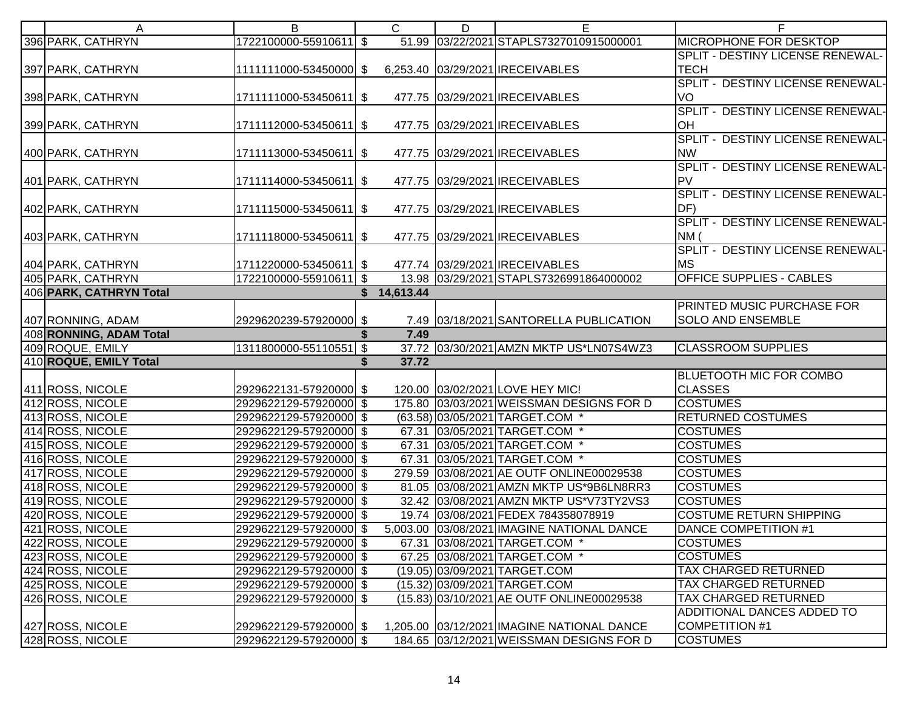| A                       | B                                                       | C           | D | Е                                          | F                                 |
|-------------------------|---------------------------------------------------------|-------------|---|--------------------------------------------|-----------------------------------|
| 396 PARK, CATHRYN       | 1722100000-55910611 \$                                  |             |   | 51.99 03/22/2021 STAPLS7327010915000001    | <b>MICROPHONE FOR DESKTOP</b>     |
|                         |                                                         |             |   |                                            | SPLIT - DESTINY LICENSE RENEWAL-  |
| 397 PARK, CATHRYN       | 1111111000-53450000 \$ 6,253.40 03/29/2021 IRECEIVABLES |             |   |                                            | <b>TECH</b>                       |
|                         |                                                         |             |   |                                            | SPLIT - DESTINY LICENSE RENEWAL-  |
| 398 PARK, CATHRYN       | 1711111000-53450611 \$                                  |             |   | 477.75 03/29/2021 IRECEIVABLES             | VO                                |
|                         |                                                         |             |   |                                            | SPLIT - DESTINY LICENSE RENEWAL-  |
| 399 PARK, CATHRYN       | 1711112000-53450611 \$                                  |             |   | 477.75 03/29/2021 IRECEIVABLES             | OH                                |
|                         |                                                         |             |   |                                            | SPLIT - DESTINY LICENSE RENEWAL-  |
| 400 PARK, CATHRYN       | 1711113000-53450611 \$                                  |             |   | 477.75 03/29/2021 IRECEIVABLES             | <b>NW</b>                         |
|                         |                                                         |             |   |                                            | SPLIT - DESTINY LICENSE RENEWAL-  |
| 401 PARK, CATHRYN       | 1711114000-53450611 \$                                  |             |   | 477.75 03/29/2021 IRECEIVABLES             | PV                                |
|                         |                                                         |             |   |                                            | SPLIT - DESTINY LICENSE RENEWAL-  |
| 402 PARK, CATHRYN       | 1711115000-53450611 \$                                  |             |   | 477.75 03/29/2021 IRECEIVABLES             | DF)                               |
|                         |                                                         |             |   |                                            | SPLIT - DESTINY LICENSE RENEWAL-  |
| 403 PARK, CATHRYN       | 1711118000-53450611 \$                                  |             |   | 477.75 03/29/2021 IRECEIVABLES             | NM                                |
|                         |                                                         |             |   |                                            | SPLIT - DESTINY LICENSE RENEWAL-  |
| 404 PARK, CATHRYN       | 1711220000-53450611 \$                                  |             |   | 477.74 03/29/2021 IRECEIVABLES             | MS.                               |
| 405 PARK, CATHRYN       | 1722100000-55910611 \$                                  |             |   | 13.98 03/29/2021 STAPLS7326991864000002    | <b>OFFICE SUPPLIES - CABLES</b>   |
| 406 PARK, CATHRYN Total |                                                         | \$14,613.44 |   |                                            |                                   |
|                         |                                                         |             |   |                                            | <b>PRINTED MUSIC PURCHASE FOR</b> |
| 407 RONNING, ADAM       | 2929620239-57920000 \$                                  |             |   | 7.49 03/18/2021 SANTORELLA PUBLICATION     | <b>SOLO AND ENSEMBLE</b>          |
| 408 RONNING, ADAM Total |                                                         | 7.49        |   |                                            |                                   |
| 409 ROQUE, EMILY        | 1311800000-55110551 \$                                  |             |   | 37.72 03/30/2021 AMZN MKTP US*LN07S4WZ3    | <b>CLASSROOM SUPPLIES</b>         |
| 410 ROQUE, EMILY Total  |                                                         | \$<br>37.72 |   |                                            |                                   |
|                         |                                                         |             |   |                                            | <b>BLUETOOTH MIC FOR COMBO</b>    |
| 411 ROSS, NICOLE        | 2929622131-57920000 \$                                  |             |   | 120.00 03/02/2021 LOVE HEY MIC!            | <b>CLASSES</b>                    |
| 412 ROSS, NICOLE        | 2929622129-57920000 \$                                  |             |   | 175.80 03/03/2021 WEISSMAN DESIGNS FOR D   | <b>COSTUMES</b>                   |
| 413 ROSS, NICOLE        | 2929622129-57920000 \$                                  |             |   | (63.58) 03/05/2021 TARGET.COM *            | <b>RETURNED COSTUMES</b>          |
| 414 ROSS, NICOLE        | 2929622129-57920000 \$                                  |             |   | 67.31 03/05/2021 TARGET.COM *              | <b>COSTUMES</b>                   |
| 415 ROSS, NICOLE        | 2929622129-57920000 \$                                  |             |   | 67.31 03/05/2021 TARGET.COM *              | <b>COSTUMES</b>                   |
| 416 ROSS, NICOLE        | 2929622129-57920000 \$                                  |             |   | 67.31 03/05/2021 TARGET.COM *              | <b>COSTUMES</b>                   |
| 417 ROSS, NICOLE        | 2929622129-57920000 \$                                  |             |   | 279.59 03/08/2021 AE OUTF ONLINE00029538   | <b>COSTUMES</b>                   |
| 418 ROSS, NICOLE        | 2929622129-57920000 \$                                  |             |   | 81.05 03/08/2021 AMZN MKTP US*9B6LN8RR3    | <b>COSTUMES</b>                   |
| 419 ROSS, NICOLE        | 2929622129-57920000 \$                                  |             |   | 32.42 03/08/2021 AMZN MKTP US*V73TY2VS3    | <b>COSTUMES</b>                   |
| 420 ROSS, NICOLE        | 2929622129-57920000 \$                                  |             |   | 19.74 03/08/2021 FEDEX 784358078919        | <b>COSTUME RETURN SHIPPING</b>    |
| 421 ROSS, NICOLE        | 2929622129-57920000 \$                                  |             |   | 5,003.00 03/08/2021 IMAGINE NATIONAL DANCE | <b>DANCE COMPETITION #1</b>       |
| 422 ROSS, NICOLE        | 2929622129-57920000 \$                                  |             |   | 67.31 03/08/2021 TARGET.COM *              | <b>COSTUMES</b>                   |
| 423 ROSS, NICOLE        | 2929622129-57920000 \$                                  |             |   | 67.25 03/08/2021 TARGET.COM *              | <b>COSTUMES</b>                   |
| 424 ROSS, NICOLE        | 2929622129-57920000 \$                                  |             |   | (19.05) 03/09/2021 TARGET.COM              | TAX CHARGED RETURNED              |
| 425 ROSS, NICOLE        | 2929622129-57920000 \$                                  |             |   | (15.32) 03/09/2021 TARGET.COM              | <b>TAX CHARGED RETURNED</b>       |
| 426 ROSS, NICOLE        | 2929622129-57920000 \$                                  |             |   | (15.83) 03/10/2021 AE OUTF ONLINE00029538  | <b>TAX CHARGED RETURNED</b>       |
|                         |                                                         |             |   |                                            | ADDITIONAL DANCES ADDED TO        |
| 427 ROSS, NICOLE        | 2929622129-57920000 \$                                  |             |   | 1,205.00 03/12/2021 IMAGINE NATIONAL DANCE | <b>COMPETITION #1</b>             |
| 428 ROSS, NICOLE        | 2929622129-57920000 \$                                  |             |   | 184.65 03/12/2021 WEISSMAN DESIGNS FOR D   | <b>COSTUMES</b>                   |
|                         |                                                         |             |   |                                            |                                   |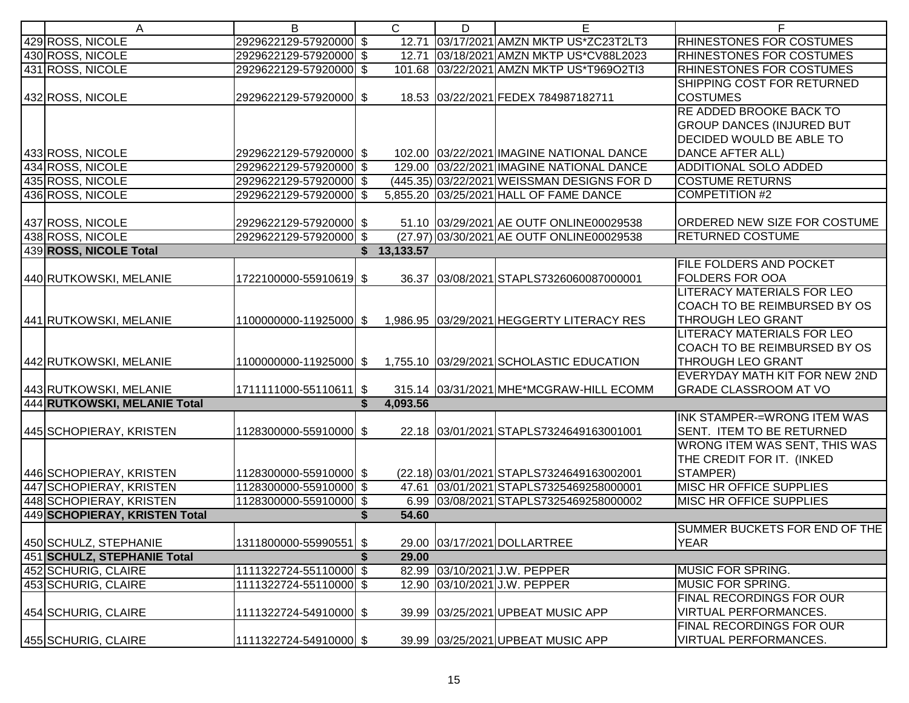| A                             | B                      | $\mathsf{C}$ | D | E.                                         | F                                 |
|-------------------------------|------------------------|--------------|---|--------------------------------------------|-----------------------------------|
| 429 ROSS, NICOLE              | 2929622129-57920000 \$ |              |   | 12.71 03/17/2021 AMZN MKTP US*ZC23T2LT3    | <b>RHINESTONES FOR COSTUMES</b>   |
| 430 ROSS, NICOLE              | 2929622129-57920000 \$ |              |   | 12.71 03/18/2021 AMZN MKTP US*CV88L2023    | <b>RHINESTONES FOR COSTUMES</b>   |
| 431 ROSS, NICOLE              | 2929622129-57920000 \$ |              |   | 101.68 03/22/2021 AMZN MKTP US*T969O2TI3   | RHINESTONES FOR COSTUMES          |
|                               |                        |              |   |                                            | SHIPPING COST FOR RETURNED        |
| 432 ROSS, NICOLE              | 2929622129-57920000 \$ |              |   | 18.53 03/22/2021 FEDEX 784987182711        | <b>COSTUMES</b>                   |
|                               |                        |              |   |                                            | <b>RE ADDED BROOKE BACK TO</b>    |
|                               |                        |              |   |                                            | <b>GROUP DANCES (INJURED BUT</b>  |
|                               |                        |              |   |                                            | DECIDED WOULD BE ABLE TO          |
| 433 ROSS, NICOLE              | 2929622129-57920000 \$ |              |   | 102.00 03/22/2021 IMAGINE NATIONAL DANCE   | <b>DANCE AFTER ALL)</b>           |
| 434 ROSS, NICOLE              | 2929622129-57920000 \$ |              |   | 129.00 03/22/2021 IMAGINE NATIONAL DANCE   | <b>ADDITIONAL SOLO ADDED</b>      |
| 435 ROSS, NICOLE              | 2929622129-57920000 \$ |              |   | (445.35) 03/22/2021 WEISSMAN DESIGNS FOR D | <b>COSTUME RETURNS</b>            |
| 436 ROSS, NICOLE              | 2929622129-57920000 \$ |              |   | 5,855.20 03/25/2021 HALL OF FAME DANCE     | <b>COMPETITION #2</b>             |
|                               |                        |              |   |                                            |                                   |
| 437 ROSS, NICOLE              | 2929622129-57920000 \$ |              |   | 51.10 03/29/2021 AE OUTF ONLINE00029538    | ORDERED NEW SIZE FOR COSTUME      |
| 438 ROSS, NICOLE              | 2929622129-57920000 \$ |              |   | (27.97) 03/30/2021 AE OUTF ONLINE00029538  | <b>RETURNED COSTUME</b>           |
| 439 ROSS, NICOLE Total        |                        | \$13,133.57  |   |                                            |                                   |
|                               |                        |              |   |                                            | <b>FILE FOLDERS AND POCKET</b>    |
| 440 RUTKOWSKI, MELANIE        | 1722100000-55910619 \$ |              |   | 36.37 03/08/2021 STAPLS7326060087000001    | <b>FOLDERS FOR OOA</b>            |
|                               |                        |              |   |                                            | LITERACY MATERIALS FOR LEO        |
|                               |                        |              |   |                                            | COACH TO BE REIMBURSED BY OS      |
| 441 RUTKOWSKI, MELANIE        | 1100000000-11925000 \$ |              |   | 1,986.95 03/29/2021 HEGGERTY LITERACY RES  | THROUGH LEO GRANT                 |
|                               |                        |              |   |                                            | <b>LITERACY MATERIALS FOR LEO</b> |
|                               |                        |              |   |                                            | COACH TO BE REIMBURSED BY OS      |
| 442 RUTKOWSKI, MELANIE        | 1100000000-11925000 \$ |              |   | 1,755.10 03/29/2021 SCHOLASTIC EDUCATION   | THROUGH LEO GRANT                 |
|                               |                        |              |   |                                            | EVERYDAY MATH KIT FOR NEW 2ND     |
| 443 RUTKOWSKI, MELANIE        | 1711111000-55110611 \$ |              |   | 315.14 03/31/2021 MHE*MCGRAW-HILL ECOMM    | <b>GRADE CLASSROOM AT VO</b>      |
| 444 RUTKOWSKI, MELANIE Total  |                        | 4,093.56     |   |                                            |                                   |
|                               |                        |              |   |                                            | INK STAMPER-=WRONG ITEM WAS       |
| 445 SCHOPIERAY, KRISTEN       | 1128300000-55910000 \$ |              |   | 22.18 03/01/2021 STAPLS7324649163001001    | SENT. ITEM TO BE RETURNED         |
|                               |                        |              |   |                                            | WRONG ITEM WAS SENT, THIS WAS     |
|                               |                        |              |   |                                            | THE CREDIT FOR IT. (INKED         |
| 446 SCHOPIERAY, KRISTEN       | 1128300000-55910000 \$ |              |   | (22.18) 03/01/2021 STAPLS7324649163002001  | STAMPER)                          |
| 447 SCHOPIERAY, KRISTEN       | 1128300000-55910000 \$ |              |   | 47.61 03/01/2021 STAPLS7325469258000001    | <b>MISC HR OFFICE SUPPLIES</b>    |
| 448 SCHOPIERAY, KRISTEN       | 1128300000-55910000 \$ |              |   | 6.99 03/08/2021 STAPLS7325469258000002     | <b>MISC HR OFFICE SUPPLIES</b>    |
| 449 SCHOPIERAY, KRISTEN Total |                        | 54.60        |   |                                            |                                   |
|                               |                        |              |   |                                            | SUMMER BUCKETS FOR END OF THE     |
| 450 SCHULZ, STEPHANIE         | 1311800000-55990551 \$ |              |   | 29.00 03/17/2021 DOLLARTREE                | <b>YEAR</b>                       |
| 451 SCHULZ, STEPHANIE Total   |                        | 29.00        |   |                                            |                                   |
| 452 SCHURIG, CLAIRE           | 1111322724-55110000 \$ |              |   | 82.99 03/10/2021 J.W. PEPPER               | <b>MUSIC FOR SPRING.</b>          |
| 453 SCHURIG, CLAIRE           | 1111322724-55110000 \$ |              |   | 12.90 03/10/2021 J.W. PEPPER               | <b>MUSIC FOR SPRING.</b>          |
|                               |                        |              |   |                                            | FINAL RECORDINGS FOR OUR          |
| 454 SCHURIG, CLAIRE           | 1111322724-54910000 \$ |              |   | 39.99 03/25/2021 UPBEAT MUSIC APP          | <b>VIRTUAL PERFORMANCES.</b>      |
|                               |                        |              |   |                                            | FINAL RECORDINGS FOR OUR          |
| 455 SCHURIG, CLAIRE           | 1111322724-54910000 \$ |              |   | 39.99 03/25/2021 UPBEAT MUSIC APP          | <b>VIRTUAL PERFORMANCES.</b>      |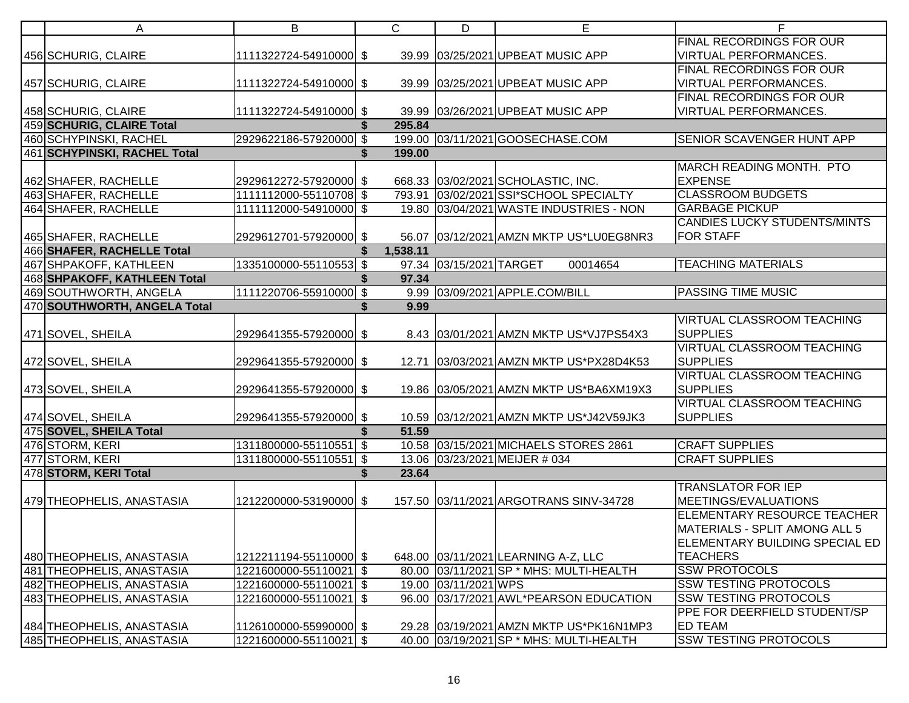| A                                   | B                      | $\mathsf{C}$ | D                       | E                                           | F                                                 |
|-------------------------------------|------------------------|--------------|-------------------------|---------------------------------------------|---------------------------------------------------|
|                                     |                        |              |                         |                                             | FINAL RECORDINGS FOR OUR                          |
| 456 SCHURIG, CLAIRE                 | 1111322724-54910000 \$ |              |                         | 39.99 03/25/2021 UPBEAT MUSIC APP           | <b>VIRTUAL PERFORMANCES.</b>                      |
|                                     |                        |              |                         |                                             | FINAL RECORDINGS FOR OUR                          |
| 457 SCHURIG, CLAIRE                 | 1111322724-54910000 \$ |              |                         | 39.99 03/25/2021 UPBEAT MUSIC APP           | <b>VIRTUAL PERFORMANCES.</b>                      |
|                                     |                        |              |                         |                                             | FINAL RECORDINGS FOR OUR                          |
| 458 SCHURIG, CLAIRE                 | 1111322724-54910000 \$ |              |                         | 39.99 03/26/2021 UPBEAT MUSIC APP           | VIRTUAL PERFORMANCES.                             |
| 459 SCHURIG, CLAIRE Total           |                        | 295.84       |                         |                                             |                                                   |
| 460 SCHYPINSKI, RACHEL              | 2929622186-57920000 \$ |              |                         | 199.00 03/11/2021 GOOSECHASE.COM            | <b>SENIOR SCAVENGER HUNT APP</b>                  |
| <b>461 SCHYPINSKI, RACHEL Total</b> |                        | 199.00       |                         |                                             | MARCH READING MONTH. PTO                          |
| 462 SHAFER, RACHELLE                | 2929612272-57920000 \$ |              |                         | 668.33 03/02/2021 SCHOLASTIC, INC.          | <b>EXPENSE</b>                                    |
| 463 SHAFER, RACHELLE                | 1111112000-55110708 \$ |              |                         | 793.91 03/02/2021 SSI*SCHOOL SPECIALTY      | <b>CLASSROOM BUDGETS</b>                          |
| 464 SHAFER, RACHELLE                | 1111112000-54910000 \$ |              |                         | 19.80 03/04/2021 WASTE INDUSTRIES - NON     | <b>GARBAGE PICKUP</b>                             |
|                                     |                        |              |                         |                                             | <b>CANDIES LUCKY STUDENTS/MINTS</b>               |
| 465 SHAFER, RACHELLE                | 2929612701-57920000 \$ |              |                         | 56.07 03/12/2021 AMZN MKTP US*LU0EG8NR3     | <b>FOR STAFF</b>                                  |
| 466 SHAFER, RACHELLE Total          |                        | 1,538.11     |                         |                                             |                                                   |
| 467 SHPAKOFF, KATHLEEN              | 1335100000-55110553 \$ |              | 97.34 03/15/2021 TARGET | 00014654                                    | <b>TEACHING MATERIALS</b>                         |
| 468 SHPAKOFF, KATHLEEN Total        |                        | 97.34        |                         |                                             |                                                   |
| 469 SOUTHWORTH, ANGELA              | 1111220706-55910000 \$ |              |                         | 9.99 03/09/2021 APPLE.COM/BILL              | <b>PASSING TIME MUSIC</b>                         |
| 470 SOUTHWORTH, ANGELA Total        |                        | 9.99         |                         |                                             |                                                   |
|                                     |                        |              |                         |                                             | <b>VIRTUAL CLASSROOM TEACHING</b>                 |
| 471 SOVEL, SHEILA                   | 2929641355-57920000 \$ |              |                         | 8.43 03/01/2021 AMZN MKTP US*VJ7PS54X3      | <b>SUPPLIES</b>                                   |
|                                     |                        |              |                         |                                             | <b>VIRTUAL CLASSROOM TEACHING</b>                 |
| 472 SOVEL, SHEILA                   | 2929641355-57920000 \$ |              |                         | 12.71   03/03/2021   AMZN MKTP US*PX28D4K53 | <b>SUPPLIES</b>                                   |
|                                     |                        |              |                         |                                             | <b>VIRTUAL CLASSROOM TEACHING</b>                 |
| 473 SOVEL, SHEILA                   | 2929641355-57920000 \$ |              |                         | 19.86 03/05/2021 AMZN MKTP US*BA6XM19X3     | <b>SUPPLIES</b>                                   |
|                                     |                        |              |                         |                                             | <b>VIRTUAL CLASSROOM TEACHING</b>                 |
| 474 SOVEL, SHEILA                   | 2929641355-57920000 \$ |              |                         | 10.59 03/12/2021 AMZN MKTP US*J42V59JK3     | <b>SUPPLIES</b>                                   |
| 475 SOVEL, SHEILA Total             |                        | 51.59        |                         |                                             |                                                   |
| 476 STORM, KERI                     | 1311800000-55110551 \$ |              |                         | 10.58 03/15/2021 MICHAELS STORES 2861       | <b>CRAFT SUPPLIES</b>                             |
| 477 STORM, KERI                     | 1311800000-55110551 \$ |              |                         | 13.06 03/23/2021 MEIJER # 034               | <b>CRAFT SUPPLIES</b>                             |
| 478 STORM, KERI Total               |                        | 23.64        |                         |                                             |                                                   |
|                                     |                        |              |                         |                                             | <b>TRANSLATOR FOR IEP</b><br>MEETINGS/EVALUATIONS |
| 479 THEOPHELIS, ANASTASIA           | 1212200000-53190000 \$ |              |                         | 157.50 03/11/2021 ARGOTRANS SINV-34728      | <b>ELEMENTARY RESOURCE TEACHER</b>                |
|                                     |                        |              |                         |                                             | MATERIALS - SPLIT AMONG ALL 5                     |
|                                     |                        |              |                         |                                             | ELEMENTARY BUILDING SPECIAL ED                    |
| 480 THEOPHELIS, ANASTASIA           | 1212211194-55110000 \$ |              |                         | 648.00 03/11/2021 LEARNING A-Z, LLC         | <b>TEACHERS</b>                                   |
| 481 THEOPHELIS, ANASTASIA           | 1221600000-55110021 \$ |              |                         | 80.00 03/11/2021 SP * MHS: MULTI-HEALTH     | <b>SSW PROTOCOLS</b>                              |
| 482 THEOPHELIS, ANASTASIA           | 1221600000-55110021 \$ |              | 19.00 03/11/2021 WPS    |                                             | <b>SSW TESTING PROTOCOLS</b>                      |
| 483 THEOPHELIS, ANASTASIA           | 1221600000-55110021 \$ |              |                         | 96.00 03/17/2021 AWL*PEARSON EDUCATION      | <b>SSW TESTING PROTOCOLS</b>                      |
|                                     |                        |              |                         |                                             | PPE FOR DEERFIELD STUDENT/SP                      |
| 484 THEOPHELIS, ANASTASIA           | 1126100000-55990000 \$ |              |                         | 29.28 03/19/2021 AMZN MKTP US*PK16N1MP3     | <b>ED TEAM</b>                                    |
| 485 THEOPHELIS, ANASTASIA           | 1221600000-55110021 \$ |              |                         | 40.00 03/19/2021 SP * MHS: MULTI-HEALTH     | <b>SSW TESTING PROTOCOLS</b>                      |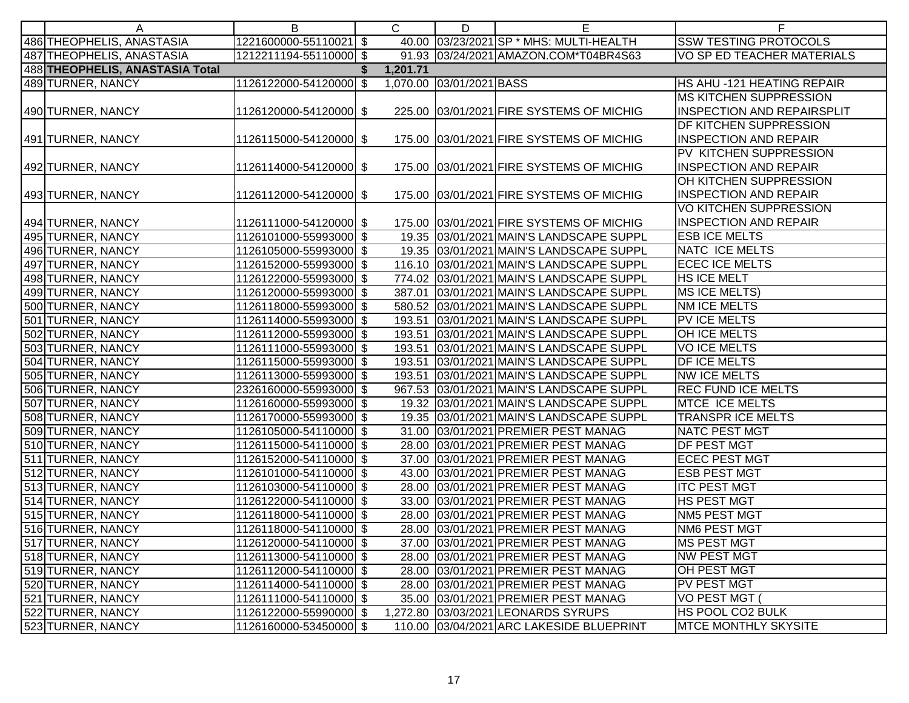| A                               | B                      | $\mathsf{C}$ | D                        | Е                                        | F                                 |
|---------------------------------|------------------------|--------------|--------------------------|------------------------------------------|-----------------------------------|
| 486 THEOPHELIS, ANASTASIA       | 1221600000-55110021 \$ |              |                          | 40.00 03/23/2021 SP * MHS: MULTI-HEALTH  | <b>SSW TESTING PROTOCOLS</b>      |
| 487 THEOPHELIS, ANASTASIA       | 1212211194-55110000 \$ |              |                          | 91.93 03/24/2021 AMAZON.COM*T04BR4S63    | VO SP ED TEACHER MATERIALS        |
| 488 THEOPHELIS, ANASTASIA Total |                        | 1,201.71     |                          |                                          |                                   |
| 489 TURNER, NANCY               | 1126122000-54120000 \$ |              | 1,070.00 03/01/2021 BASS |                                          | HS AHU -121 HEATING REPAIR        |
|                                 |                        |              |                          |                                          | <b>MS KITCHEN SUPPRESSION</b>     |
| 490 TURNER, NANCY               | 1126120000-54120000 \$ |              |                          | 225.00 03/01/2021 FIRE SYSTEMS OF MICHIG | <b>INSPECTION AND REPAIRSPLIT</b> |
|                                 |                        |              |                          |                                          | DF KITCHEN SUPPRESSION            |
| 491 TURNER, NANCY               | 1126115000-54120000 \$ |              |                          | 175.00 03/01/2021 FIRE SYSTEMS OF MICHIG | <b>INSPECTION AND REPAIR</b>      |
|                                 |                        |              |                          |                                          | PV KITCHEN SUPPRESSION            |
| 492 TURNER, NANCY               | 1126114000-54120000 \$ |              |                          | 175.00 03/01/2021 FIRE SYSTEMS OF MICHIG | <b>INSPECTION AND REPAIR</b>      |
|                                 |                        |              |                          |                                          | OH KITCHEN SUPPRESSION            |
| 493 TURNER, NANCY               | 1126112000-54120000 \$ |              |                          | 175.00 03/01/2021 FIRE SYSTEMS OF MICHIG | <b>INSPECTION AND REPAIR</b>      |
|                                 |                        |              |                          |                                          | <b>VO KITCHEN SUPPRESSION</b>     |
| 494 TURNER, NANCY               | 1126111000-54120000 \$ |              |                          | 175.00 03/01/2021 FIRE SYSTEMS OF MICHIG | <b>INSPECTION AND REPAIR</b>      |
| 495 TURNER, NANCY               | 1126101000-55993000 \$ |              |                          | 19.35 03/01/2021 MAIN'S LANDSCAPE SUPPL  | <b>ESB ICE MELTS</b>              |
| 496 TURNER, NANCY               | 1126105000-55993000 \$ |              |                          | 19.35 03/01/2021 MAIN'S LANDSCAPE SUPPL  | NATC ICE MELTS                    |
| 497 TURNER, NANCY               | 1126152000-55993000 \$ |              |                          | 116.10 03/01/2021 MAIN'S LANDSCAPE SUPPL | <b>ECEC ICE MELTS</b>             |
| 498 TURNER, NANCY               | 1126122000-55993000 \$ |              |                          | 774.02 03/01/2021 MAIN'S LANDSCAPE SUPPL | <b>HS ICE MELT</b>                |
| 499 TURNER, NANCY               | 1126120000-55993000 \$ |              |                          | 387.01 03/01/2021 MAIN'S LANDSCAPE SUPPL | MS ICE MELTS)                     |
| 500 TURNER, NANCY               | 1126118000-55993000 \$ |              |                          | 580.52 03/01/2021 MAIN'S LANDSCAPE SUPPL | <b>NM ICE MELTS</b>               |
| 501 TURNER, NANCY               | 1126114000-55993000 \$ |              |                          | 193.51 03/01/2021 MAIN'S LANDSCAPE SUPPL | PV ICE MELTS                      |
| 502 TURNER, NANCY               | 1126112000-55993000 \$ |              |                          | 193.51 03/01/2021 MAIN'S LANDSCAPE SUPPL | OH ICE MELTS                      |
| 503 TURNER, NANCY               | 1126111000-55993000 \$ |              |                          | 193.51 03/01/2021 MAIN'S LANDSCAPE SUPPL | <b>VOICE MELTS</b>                |
| 504 TURNER, NANCY               | 1126115000-55993000 \$ |              |                          | 193.51 03/01/2021 MAIN'S LANDSCAPE SUPPL | <b>DF ICE MELTS</b>               |
| 505 TURNER, NANCY               | 1126113000-55993000 \$ |              |                          | 193.51 03/01/2021 MAIN'S LANDSCAPE SUPPL | <b>NW ICE MELTS</b>               |
| 506 TURNER, NANCY               | 2326160000-55993000 \$ |              |                          | 967.53 03/01/2021 MAIN'S LANDSCAPE SUPPL | <b>REC FUND ICE MELTS</b>         |
| 507 TURNER, NANCY               | 1126160000-55993000 \$ |              |                          | 19.32 03/01/2021 MAIN'S LANDSCAPE SUPPL  | MTCE ICE MELTS                    |
| 508 TURNER, NANCY               | 1126170000-55993000 \$ |              |                          | 19.35 03/01/2021 MAIN'S LANDSCAPE SUPPL  | <b>TRANSPR ICE MELTS</b>          |
| 509 TURNER, NANCY               | 1126105000-54110000 \$ |              |                          | 31.00 03/01/2021 PREMIER PEST MANAG      | <b>NATC PEST MGT</b>              |
| 510 TURNER, NANCY               | 1126115000-54110000 \$ |              |                          | 28.00 03/01/2021 PREMIER PEST MANAG      | DF PEST MGT                       |
| 511 TURNER, NANCY               | 1126152000-54110000 \$ |              |                          | 37.00 03/01/2021 PREMIER PEST MANAG      | <b>ECEC PEST MGT</b>              |
| 512 TURNER, NANCY               | 1126101000-54110000 \$ |              |                          | 43.00 03/01/2021 PREMIER PEST MANAG      | <b>ESB PEST MGT</b>               |
| 513 TURNER, NANCY               | 1126103000-54110000 \$ |              |                          | 28.00 03/01/2021 PREMIER PEST MANAG      | <b>ITC PEST MGT</b>               |
| 514 TURNER, NANCY               | 1126122000-54110000 \$ |              |                          | 33.00 03/01/2021 PREMIER PEST MANAG      | <b>HS PEST MGT</b>                |
| 515 TURNER, NANCY               | 1126118000-54110000 \$ |              |                          | 28.00 03/01/2021 PREMIER PEST MANAG      | NM5 PEST MGT                      |
| 516 TURNER, NANCY               | 1126118000-54110000 \$ |              |                          | 28.00 03/01/2021 PREMIER PEST MANAG      | <b>NM6 PEST MGT</b>               |
| 517 TURNER, NANCY               | 1126120000-54110000 \$ |              |                          | 37.00 03/01/2021 PREMIER PEST MANAG      | MS PEST MGT                       |
| 518 TURNER, NANCY               | 1126113000-54110000 \$ |              |                          | 28.00 03/01/2021 PREMIER PEST MANAG      | <b>NW PEST MGT</b>                |
| 519 TURNER, NANCY               | 1126112000-54110000 \$ |              |                          | 28.00 03/01/2021 PREMIER PEST MANAG      | OH PEST MGT                       |
| 520 TURNER, NANCY               | 1126114000-54110000 \$ |              |                          | 28.00 03/01/2021 PREMIER PEST MANAG      | PV PEST MGT                       |
| 521 TURNER, NANCY               | 1126111000-54110000 \$ |              |                          | 35.00 03/01/2021 PREMIER PEST MANAG      | VO PEST MGT (                     |
| 522 TURNER, NANCY               | 1126122000-55990000 \$ |              |                          | 1,272.80 03/03/2021 LEONARDS SYRUPS      | HS POOL CO2 BULK                  |
| 523 TURNER, NANCY               | 1126160000-53450000 \$ |              |                          | 110.00 03/04/2021 ARC LAKESIDE BLUEPRINT | <b>MTCE MONTHLY SKYSITE</b>       |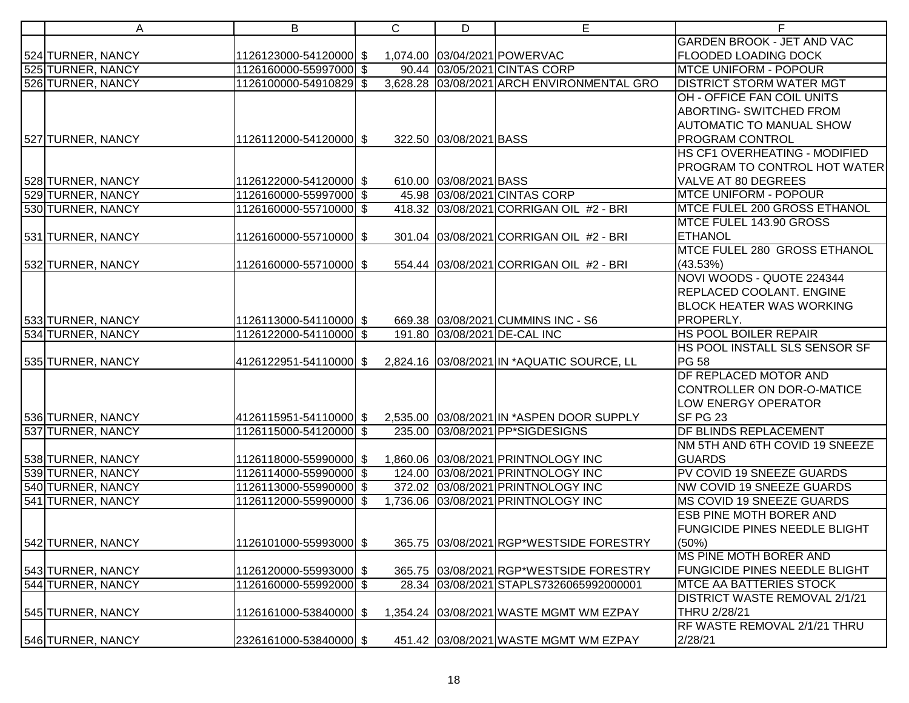| A                 | B                      | $\mathsf{C}$ | D                      | E                                          | F                                    |
|-------------------|------------------------|--------------|------------------------|--------------------------------------------|--------------------------------------|
|                   |                        |              |                        |                                            | <b>GARDEN BROOK - JET AND VAC</b>    |
| 524 TURNER, NANCY | 1126123000-54120000 \$ |              |                        | 1,074.00 03/04/2021 POWERVAC               | <b>FLOODED LOADING DOCK</b>          |
| 525 TURNER, NANCY | 1126160000-55997000 \$ |              |                        | 90.44 03/05/2021 CINTAS CORP               | <b>MTCE UNIFORM - POPOUR</b>         |
| 526 TURNER, NANCY | 1126100000-54910829 \$ |              |                        | 3,628.28 03/08/2021 ARCH ENVIRONMENTAL GRO | <b>DISTRICT STORM WATER MGT</b>      |
|                   |                        |              |                        |                                            | OH - OFFICE FAN COIL UNITS           |
|                   |                        |              |                        |                                            | ABORTING- SWITCHED FROM              |
|                   |                        |              |                        |                                            | AUTOMATIC TO MANUAL SHOW             |
| 527 TURNER, NANCY | 1126112000-54120000 \$ |              | 322.50 03/08/2021 BASS |                                            | PROGRAM CONTROL                      |
|                   |                        |              |                        |                                            | HS CF1 OVERHEATING - MODIFIED        |
|                   |                        |              |                        |                                            | PROGRAM TO CONTROL HOT WATER         |
| 528 TURNER, NANCY | 1126122000-54120000 \$ |              | 610.00 03/08/2021 BASS |                                            | VALVE AT 80 DEGREES                  |
| 529 TURNER, NANCY | 1126160000-55997000 \$ |              |                        | 45.98 03/08/2021 CINTAS CORP               | <b>MTCE UNIFORM - POPOUR</b>         |
| 530 TURNER, NANCY | 1126160000-55710000 \$ |              |                        | 418.32 03/08/2021 CORRIGAN OIL #2 - BRI    | MTCE FULEL 200 GROSS ETHANOL         |
|                   |                        |              |                        |                                            | MTCE FULEL 143.90 GROSS              |
| 531 TURNER, NANCY | 1126160000-55710000 \$ |              |                        | 301.04 03/08/2021 CORRIGAN OIL #2 - BRI    | <b>ETHANOL</b>                       |
|                   |                        |              |                        |                                            | MTCE FULEL 280 GROSS ETHANOL         |
| 532 TURNER, NANCY | 1126160000-55710000 \$ |              |                        | 554.44 03/08/2021 CORRIGAN OIL #2 - BRI    | (43.53%)                             |
|                   |                        |              |                        |                                            | NOVI WOODS - QUOTE 224344            |
|                   |                        |              |                        |                                            | REPLACED COOLANT. ENGINE             |
|                   |                        |              |                        |                                            | <b>BLOCK HEATER WAS WORKING</b>      |
| 533 TURNER, NANCY | 1126113000-54110000 \$ |              |                        | 669.38 03/08/2021 CUMMINS INC - S6         | <b>PROPERLY.</b>                     |
| 534 TURNER, NANCY | 1126122000-54110000 \$ |              |                        | 191.80 03/08/2021 DE-CAL INC               | <b>HS POOL BOILER REPAIR</b>         |
|                   |                        |              |                        |                                            | <b>HS POOL INSTALL SLS SENSOR SF</b> |
| 535 TURNER, NANCY |                        |              |                        |                                            | <b>PG 58</b>                         |
|                   |                        |              |                        |                                            | DF REPLACED MOTOR AND                |
|                   |                        |              |                        |                                            | CONTROLLER ON DOR-O-MATICE           |
|                   |                        |              |                        |                                            | LOW ENERGY OPERATOR                  |
| 536 TURNER, NANCY | 4126115951-54110000 \$ |              |                        | 2,535.00 03/08/2021 IN * ASPEN DOOR SUPPLY | SF PG 23                             |
| 537 TURNER, NANCY | 1126115000-54120000 \$ |              |                        | 235.00 03/08/2021 PP*SIGDESIGNS            | <b>DF BLINDS REPLACEMENT</b>         |
|                   |                        |              |                        |                                            | NM 5TH AND 6TH COVID 19 SNEEZE       |
| 538 TURNER, NANCY | 1126118000-55990000 \$ |              |                        | 1,860.06 03/08/2021 PRINTNOLOGY INC        | <b>GUARDS</b>                        |
| 539 TURNER, NANCY | 1126114000-55990000 \$ |              |                        | 124.00 03/08/2021 PRINTNOLOGY INC          | PV COVID 19 SNEEZE GUARDS            |
| 540 TURNER, NANCY | 1126113000-55990000 \$ |              |                        | 372.02 03/08/2021 PRINTNOLOGY INC          | <b>NW COVID 19 SNEEZE GUARDS</b>     |
| 541 TURNER, NANCY | 1126112000-55990000 \$ |              |                        | 1,736.06 03/08/2021 PRINTNOLOGY INC        | MS COVID 19 SNEEZE GUARDS            |
|                   |                        |              |                        |                                            | <b>ESB PINE MOTH BORER AND</b>       |
|                   |                        |              |                        |                                            | FUNGICIDE PINES NEEDLE BLIGHT        |
| 542 TURNER, NANCY | 1126101000-55993000 \$ |              |                        | 365.75 03/08/2021 RGP*WESTSIDE FORESTRY    | (50%)                                |
|                   |                        |              |                        |                                            | <b>MS PINE MOTH BORER AND</b>        |
| 543 TURNER, NANCY | 1126120000-55993000 \$ |              |                        | 365.75 03/08/2021 RGP*WESTSIDE FORESTRY    | <b>FUNGICIDE PINES NEEDLE BLIGHT</b> |
| 544 TURNER, NANCY | 1126160000-55992000 \$ |              |                        | 28.34 03/08/2021 STAPLS7326065992000001    | <b>MTCE AA BATTERIES STOCK</b>       |
|                   |                        |              |                        |                                            | DISTRICT WASTE REMOVAL 2/1/21        |
| 545 TURNER, NANCY | 1126161000-53840000 \$ |              |                        | 1,354.24 03/08/2021 WASTE MGMT WM EZPAY    | THRU 2/28/21                         |
|                   |                        |              |                        |                                            | RF WASTE REMOVAL 2/1/21 THRU         |
| 546 TURNER, NANCY | 2326161000-53840000 \$ |              |                        | 451.42 03/08/2021 WASTE MGMT WM EZPAY      | 2/28/21                              |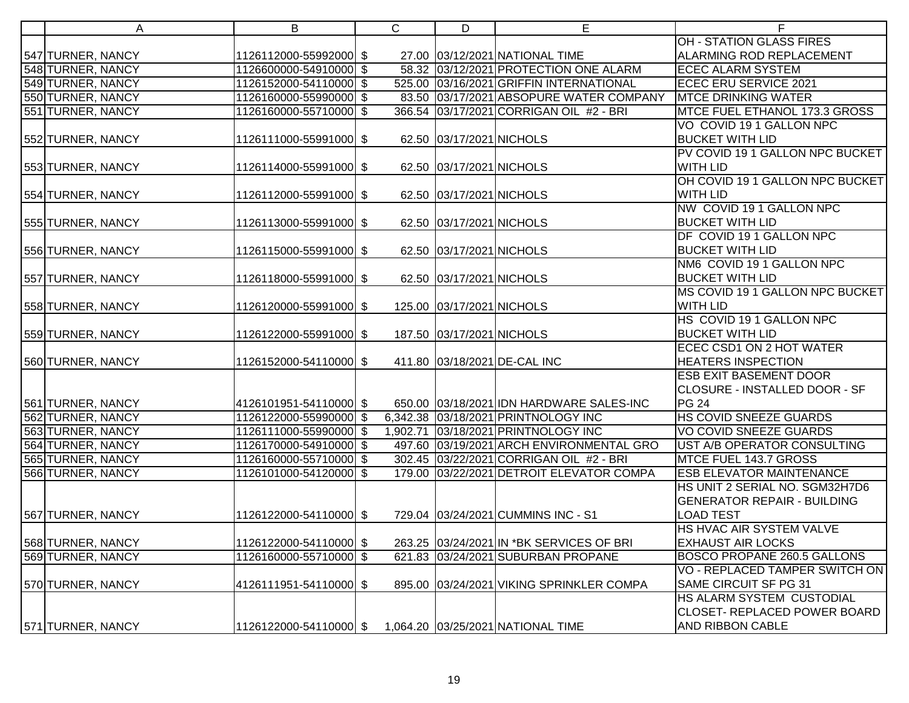| Α                 | B                       | $\mathsf{C}$ | D                         | E                                         | F                                   |
|-------------------|-------------------------|--------------|---------------------------|-------------------------------------------|-------------------------------------|
|                   |                         |              |                           |                                           | <b>OH - STATION GLASS FIRES</b>     |
| 547 TURNER, NANCY | 1126112000-55992000 \$  |              |                           | 27.00 03/12/2021 NATIONAL TIME            | ALARMING ROD REPLACEMENT            |
| 548 TURNER, NANCY | 1126600000-54910000 \$  |              |                           | 58.32 03/12/2021 PROTECTION ONE ALARM     | <b>ECEC ALARM SYSTEM</b>            |
| 549 TURNER, NANCY | 1126152000-54110000 \$  |              |                           | 525.00 03/16/2021 GRIFFIN INTERNATIONAL   | <b>ECEC ERU SERVICE 2021</b>        |
| 550 TURNER, NANCY | 1126160000-55990000 \$  |              |                           | 83.50 03/17/2021 ABSOPURE WATER COMPANY   | <b>MTCE DRINKING WATER</b>          |
| 551 TURNER, NANCY | 1126160000-55710000 \$  |              |                           | 366.54 03/17/2021 CORRIGAN OIL #2 - BRI   | MTCE FUEL ETHANOL 173.3 GROSS       |
|                   |                         |              |                           |                                           | VO COVID 19 1 GALLON NPC            |
| 552 TURNER, NANCY | 1126111000-55991000 \$  |              | 62.50 03/17/2021 NICHOLS  |                                           | <b>BUCKET WITH LID</b>              |
|                   |                         |              |                           |                                           | PV COVID 19 1 GALLON NPC BUCKET     |
| 553 TURNER, NANCY | 1126114000-55991000 \$  |              | 62.50 03/17/2021 NICHOLS  |                                           | <b>WITH LID</b>                     |
|                   |                         |              |                           |                                           | OH COVID 19 1 GALLON NPC BUCKET     |
| 554 TURNER, NANCY | 1126112000-55991000 \$  |              | 62.50 03/17/2021 NICHOLS  |                                           | WITH LID                            |
|                   |                         |              |                           |                                           | NW COVID 19 1 GALLON NPC            |
| 555 TURNER, NANCY | 1126113000-55991000 \$  |              | 62.50 03/17/2021 NICHOLS  |                                           | <b>BUCKET WITH LID</b>              |
|                   |                         |              |                           |                                           | DF COVID 19 1 GALLON NPC            |
| 556 TURNER, NANCY | 1126115000-55991000 \$  |              | 62.50 03/17/2021 NICHOLS  |                                           | <b>BUCKET WITH LID</b>              |
|                   |                         |              |                           |                                           | NM6 COVID 19 1 GALLON NPC           |
| 557 TURNER, NANCY | 1126118000-55991000 \$  |              | 62.50 03/17/2021 NICHOLS  |                                           | <b>BUCKET WITH LID</b>              |
|                   |                         |              |                           |                                           | MS COVID 19 1 GALLON NPC BUCKET     |
| 558 TURNER, NANCY | 1126120000-55991000 \$  |              | 125.00 03/17/2021 NICHOLS |                                           | WITH LID                            |
|                   |                         |              |                           |                                           | HS COVID 19 1 GALLON NPC            |
| 559 TURNER, NANCY | 1126122000-55991000 \$  |              | 187.50 03/17/2021 NICHOLS |                                           | <b>BUCKET WITH LID</b>              |
|                   |                         |              |                           |                                           | <b>ECEC CSD1 ON 2 HOT WATER</b>     |
| 560 TURNER, NANCY | 1126152000-54110000 \$  |              |                           | 411.80 03/18/2021 DE-CAL INC              | <b>HEATERS INSPECTION</b>           |
|                   |                         |              |                           |                                           | <b>ESB EXIT BASEMENT DOOR</b>       |
|                   |                         |              |                           |                                           | CLOSURE - INSTALLED DOOR - SF       |
| 561 TURNER, NANCY | 4126101951-54110000 \$  |              |                           | 650.00 03/18/2021 IDN HARDWARE SALES-INC  | <b>PG 24</b>                        |
| 562 TURNER, NANCY | 1126122000-55990000 \$  |              |                           | 6,342.38 03/18/2021 PRINTNOLOGY INC       | HS COVID SNEEZE GUARDS              |
| 563 TURNER, NANCY | 1126111000-55990000 \$  |              |                           | 1,902.71 03/18/2021 PRINTNOLOGY INC       | <b>VO COVID SNEEZE GUARDS</b>       |
| 564 TURNER, NANCY | 1126170000-54910000 \$  |              |                           | 497.60 03/19/2021 ARCH ENVIRONMENTAL GRO  | UST A/B OPERATOR CONSULTING         |
| 565 TURNER, NANCY | 1126160000-55710000 \$  |              |                           | 302.45 03/22/2021 CORRIGAN OIL #2 - BRI   | MTCE FUEL 143.7 GROSS               |
| 566 TURNER, NANCY | 1126101000-54120000 \$  |              |                           | 179.00 03/22/2021 DETROIT ELEVATOR COMPA  | <b>ESB ELEVATOR MAINTENANCE</b>     |
|                   |                         |              |                           |                                           | HS UNIT 2 SERIAL NO. SGM32H7D6      |
|                   |                         |              |                           |                                           | <b>GENERATOR REPAIR - BUILDING</b>  |
| 567 TURNER, NANCY | 1126122000-54110000 \$  |              |                           | 729.04 03/24/2021 CUMMINS INC - S1        | <b>LOAD TEST</b>                    |
|                   |                         |              |                           |                                           | HS HVAC AIR SYSTEM VALVE            |
| 568 TURNER, NANCY | 1126122000-54110000 \$  |              |                           | 263.25 03/24/2021 IN * BK SERVICES OF BRI | <b>EXHAUST AIR LOCKS</b>            |
| 569 TURNER, NANCY | 1126160000-55710000 \$  |              |                           | 621.83 03/24/2021 SUBURBAN PROPANE        | <b>BOSCO PROPANE 260.5 GALLONS</b>  |
|                   |                         |              |                           |                                           | VO - REPLACED TAMPER SWITCH ON      |
| 570 TURNER, NANCY | 4126111951-54110000  \$ |              |                           | 895.00 03/24/2021 VIKING SPRINKLER COMPA  | SAME CIRCUIT SF PG 31               |
|                   |                         |              |                           |                                           | HS ALARM SYSTEM CUSTODIAL           |
|                   |                         |              |                           |                                           | <b>CLOSET- REPLACED POWER BOARD</b> |
| 571 TURNER, NANCY | 1126122000-54110000 \$  |              |                           | 1,064.20 03/25/2021 NATIONAL TIME         | AND RIBBON CABLE                    |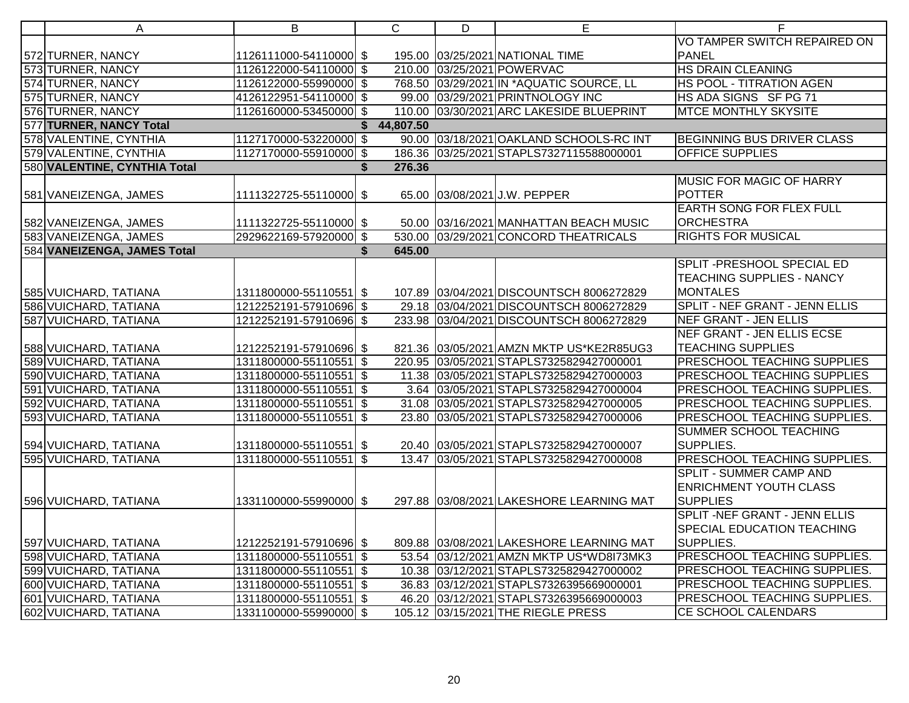| A                            | B                        |    | $\mathsf{C}$ | D | E                                         | F.                                    |
|------------------------------|--------------------------|----|--------------|---|-------------------------------------------|---------------------------------------|
|                              |                          |    |              |   |                                           | VO TAMPER SWITCH REPAIRED ON          |
| 572 TURNER, NANCY            | 1126111000-54110000 \$   |    |              |   | 195.00 03/25/2021 NATIONAL TIME           | <b>PANEL</b>                          |
| 573 TURNER, NANCY            | 1126122000-54110000 \$   |    |              |   | 210.00 03/25/2021 POWERVAC                | <b>HS DRAIN CLEANING</b>              |
| 574 TURNER, NANCY            | 1126122000-55990000 \$   |    |              |   | 768.50 03/29/2021 IN * AQUATIC SOURCE, LL | HS POOL - TITRATION AGEN              |
| 575 TURNER, NANCY            | 4126122951-54110000 \$   |    |              |   | 99.00 03/29/2021 PRINTNOLOGY INC          | HS ADA SIGNS SF PG 71                 |
| 576 TURNER, NANCY            | 1126160000-53450000 \$   |    |              |   | 110.00 03/30/2021 ARC LAKESIDE BLUEPRINT  | <b>MTCE MONTHLY SKYSITE</b>           |
| 577 TURNER, NANCY Total      |                          | \$ | 44,807.50    |   |                                           |                                       |
| 578 VALENTINE, CYNTHIA       | 1127170000-53220000 \$   |    |              |   | 90.00 03/18/2021 OAKLAND SCHOOLS-RC INT   | <b>BEGINNING BUS DRIVER CLASS</b>     |
| 579 VALENTINE, CYNTHIA       | 1127170000-55910000 \$   |    |              |   | 186.36 03/25/2021 STAPLS7327115588000001  | <b>OFFICE SUPPLIES</b>                |
| 580 VALENTINE, CYNTHIA Total |                          | \$ | 276.36       |   |                                           |                                       |
|                              |                          |    |              |   |                                           | <b>MUSIC FOR MAGIC OF HARRY</b>       |
| 581 VANEIZENGA, JAMES        | 1111322725-55110000 \$   |    |              |   | 65.00 03/08/2021 J.W. PEPPER              | <b>POTTER</b>                         |
|                              |                          |    |              |   |                                           | <b>EARTH SONG FOR FLEX FULL</b>       |
| 582 VANEIZENGA, JAMES        | 1111322725-55110000 \$   |    |              |   | 50.00 03/16/2021 MANHATTAN BEACH MUSIC    | <b>ORCHESTRA</b>                      |
| 583 VANEIZENGA, JAMES        | 2929622169-57920000 \$   |    |              |   | 530.00 03/29/2021 CONCORD THEATRICALS     | <b>RIGHTS FOR MUSICAL</b>             |
| 584 VANEIZENGA, JAMES Total  |                          | S. | 645.00       |   |                                           |                                       |
|                              |                          |    |              |   |                                           | <b>SPLIT - PRESHOOL SPECIAL ED</b>    |
|                              |                          |    |              |   |                                           | <b>TEACHING SUPPLIES - NANCY</b>      |
| 585 VUICHARD, TATIANA        | 1311800000-55110551   \$ |    |              |   | 107.89 03/04/2021 DISCOUNTSCH 8006272829  | <b>MONTALES</b>                       |
| 586 VUICHARD, TATIANA        | 1212252191-57910696 \$   |    |              |   | 29.18 03/04/2021 DISCOUNTSCH 8006272829   | <b>SPLIT - NEF GRANT - JENN ELLIS</b> |
| 587 VUICHARD, TATIANA        | 1212252191-57910696 \$   |    |              |   | 233.98 03/04/2021 DISCOUNTSCH 8006272829  | NEF GRANT - JEN ELLIS                 |
|                              |                          |    |              |   |                                           | NEF GRANT - JEN ELLIS ECSE            |
| 588 VUICHARD, TATIANA        | 1212252191-57910696 \$   |    |              |   | 821.36 03/05/2021 AMZN MKTP US*KE2R85UG3  | <b>TEACHING SUPPLIES</b>              |
| 589 VUICHARD, TATIANA        | 1311800000-55110551 \$   |    |              |   | 220.95 03/05/2021 STAPLS7325829427000001  | <b>PRESCHOOL TEACHING SUPPLIES</b>    |
| 590 VUICHARD, TATIANA        | 1311800000-55110551 \$   |    |              |   | 11.38 03/05/2021 STAPLS7325829427000003   | <b>PRESCHOOL TEACHING SUPPLIES</b>    |
| 591 VUICHARD, TATIANA        | 1311800000-55110551 \$   |    |              |   | 3.64 03/05/2021 STAPLS7325829427000004    | <b>PRESCHOOL TEACHING SUPPLIES.</b>   |
| 592 VUICHARD, TATIANA        | 1311800000-55110551 \$   |    |              |   | 31.08 03/05/2021 STAPLS7325829427000005   | PRESCHOOL TEACHING SUPPLIES.          |
| 593 VUICHARD, TATIANA        | 1311800000-55110551 \$   |    |              |   | 23.80 03/05/2021 STAPLS7325829427000006   | PRESCHOOL TEACHING SUPPLIES.          |
|                              |                          |    |              |   |                                           | <b>SUMMER SCHOOL TEACHING</b>         |
| 594 VUICHARD, TATIANA        | 1311800000-55110551 \$   |    |              |   | 20.40 03/05/2021 STAPLS7325829427000007   | SUPPLIES.                             |
| 595 VUICHARD, TATIANA        | 1311800000-55110551      | \$ |              |   | 13.47 03/05/2021 STAPLS7325829427000008   | PRESCHOOL TEACHING SUPPLIES.          |
|                              |                          |    |              |   |                                           | <b>SPLIT - SUMMER CAMP AND</b>        |
|                              |                          |    |              |   |                                           | <b>ENRICHMENT YOUTH CLASS</b>         |
| 596 VUICHARD, TATIANA        | 1331100000-55990000 \$   |    |              |   | 297.88 03/08/2021 LAKESHORE LEARNING MAT  | <b>SUPPLIES</b>                       |
|                              |                          |    |              |   |                                           | SPLIT - NEF GRANT - JENN ELLIS        |
|                              |                          |    |              |   |                                           | <b>SPECIAL EDUCATION TEACHING</b>     |
| 597 VUICHARD, TATIANA        | 1212252191-57910696 \$   |    |              |   | 809.88 03/08/2021 LAKESHORE LEARNING MAT  | SUPPLIES.                             |
| 598 VUICHARD, TATIANA        | 1311800000-55110551 \$   |    |              |   | 53.54 03/12/2021 AMZN MKTP US*WD8I73MK3   | PRESCHOOL TEACHING SUPPLIES.          |
| 599 VUICHARD, TATIANA        | 1311800000-55110551 \$   |    |              |   | 10.38 03/12/2021 STAPLS7325829427000002   | <b>PRESCHOOL TEACHING SUPPLIES.</b>   |
| 600 VUICHARD, TATIANA        | 1311800000-55110551 \$   |    |              |   | 36.83 03/12/2021 STAPLS7326395669000001   | PRESCHOOL TEACHING SUPPLIES.          |
| 601 VUICHARD, TATIANA        | 1311800000-55110551 \$   |    |              |   | 46.20 03/12/2021 STAPLS7326395669000003   | PRESCHOOL TEACHING SUPPLIES.          |
| 602 VUICHARD, TATIANA        | 1331100000-55990000 \$   |    |              |   | 105.12 03/15/2021 THE RIEGLE PRESS        | CE SCHOOL CALENDARS                   |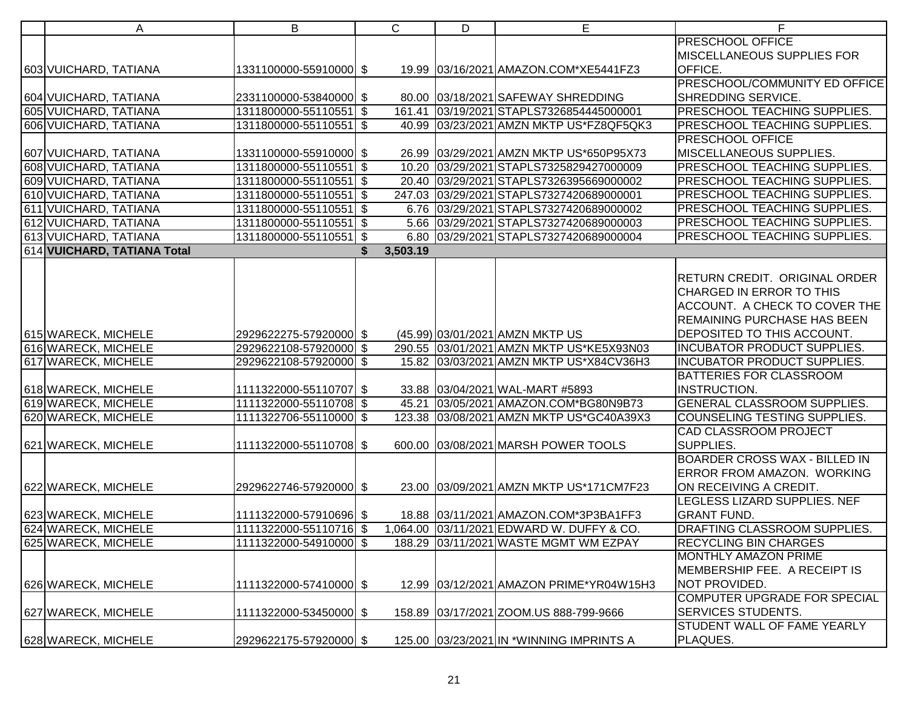| A                           | B                      | $\mathsf{C}$   | D | E                                         | F.                                   |
|-----------------------------|------------------------|----------------|---|-------------------------------------------|--------------------------------------|
|                             |                        |                |   |                                           | PRESCHOOL OFFICE                     |
|                             |                        |                |   |                                           | MISCELLANEOUS SUPPLIES FOR           |
| 603 VUICHARD, TATIANA       | 1331100000-55910000 \$ |                |   | 19.99 03/16/2021 AMAZON.COM*XE5441FZ3     | OFFICE.                              |
|                             |                        |                |   |                                           | PRESCHOOL/COMMUNITY ED OFFICE        |
| 604 VUICHARD, TATIANA       | 2331100000-53840000 \$ |                |   | 80.00 03/18/2021 SAFEWAY SHREDDING        | SHREDDING SERVICE.                   |
| 605 VUICHARD, TATIANA       | 1311800000-55110551 \$ |                |   | 161.41 03/19/2021 STAPLS7326854445000001  | PRESCHOOL TEACHING SUPPLIES.         |
| 606 VUICHARD, TATIANA       | 1311800000-55110551 \$ |                |   | 40.99 03/23/2021 AMZN MKTP US*FZ8QF5QK3   | PRESCHOOL TEACHING SUPPLIES.         |
|                             |                        |                |   |                                           | PRESCHOOL OFFICE                     |
| 607 VUICHARD, TATIANA       | 1331100000-55910000 \$ |                |   | 26.99 03/29/2021 AMZN MKTP US*650P95X73   | MISCELLANEOUS SUPPLIES.              |
| 608 VUICHARD, TATIANA       | 1311800000-55110551 \$ |                |   | 10.20 03/29/2021 STAPLS7325829427000009   | PRESCHOOL TEACHING SUPPLIES.         |
| 609 VUICHARD, TATIANA       | 1311800000-55110551 \$ |                |   | 20.40 03/29/2021 STAPLS7326395669000002   | PRESCHOOL TEACHING SUPPLIES.         |
| 610 VUICHARD, TATIANA       | 1311800000-55110551 \$ |                |   | 247.03 03/29/2021 STAPLS7327420689000001  | PRESCHOOL TEACHING SUPPLIES.         |
| 611 VUICHARD, TATIANA       | 1311800000-55110551 \$ |                |   | 6.76 03/29/2021 STAPLS7327420689000002    | PRESCHOOL TEACHING SUPPLIES.         |
| 612 VUICHARD, TATIANA       | 1311800000-55110551 \$ |                |   | 5.66 03/29/2021 STAPLS7327420689000003    | PRESCHOOL TEACHING SUPPLIES.         |
| 613 VUICHARD, TATIANA       | 1311800000-55110551 \$ |                |   | 6.80 03/29/2021 STAPLS7327420689000004    | PRESCHOOL TEACHING SUPPLIES.         |
| 614 VUICHARD, TATIANA Total |                        | 3,503.19<br>\$ |   |                                           |                                      |
|                             |                        |                |   |                                           |                                      |
|                             |                        |                |   |                                           | RETURN CREDIT. ORIGINAL ORDER        |
|                             |                        |                |   |                                           | CHARGED IN ERROR TO THIS             |
|                             |                        |                |   |                                           | ACCOUNT. A CHECK TO COVER THE        |
|                             |                        |                |   |                                           | REMAINING PURCHASE HAS BEEN          |
| 615 WARECK, MICHELE         | 2929622275-57920000 \$ |                |   | (45.99) 03/01/2021 AMZN MKTP US           | DEPOSITED TO THIS ACCOUNT.           |
| 616 WARECK, MICHELE         | 2929622108-57920000 \$ |                |   | 290.55 03/01/2021 AMZN MKTP US*KE5X93N03  | <b>INCUBATOR PRODUCT SUPPLIES.</b>   |
| 617 WARECK, MICHELE         | 2929622108-57920000 \$ |                |   | 15.82 03/03/2021 AMZN MKTP US*X84CV36H3   | <b>INCUBATOR PRODUCT SUPPLIES.</b>   |
|                             |                        |                |   |                                           | BATTERIES FOR CLASSROOM              |
| 618 WARECK, MICHELE         | 1111322000-55110707 \$ |                |   | 33.88 03/04/2021 WAL-MART #5893           | INSTRUCTION.                         |
| 619 WARECK, MICHELE         | 1111322000-55110708 \$ |                |   | 45.21 03/05/2021 AMAZON.COM*BG80N9B73     | <b>GENERAL CLASSROOM SUPPLIES.</b>   |
| 620 WARECK, MICHELE         | 1111322706-55110000 \$ |                |   | 123.38 03/08/2021 AMZN MKTP US*GC40A39X3  | <b>COUNSELING TESTING SUPPLIES.</b>  |
|                             |                        |                |   |                                           | <b>CAD CLASSROOM PROJECT</b>         |
| 621 WARECK, MICHELE         | 1111322000-55110708 \$ |                |   | 600.00 03/08/2021 MARSH POWER TOOLS       | SUPPLIES.                            |
|                             |                        |                |   |                                           | <b>BOARDER CROSS WAX - BILLED IN</b> |
|                             |                        |                |   |                                           | ERROR FROM AMAZON. WORKING           |
| 622 WARECK, MICHELE         | 2929622746-57920000 \$ |                |   | 23.00 03/09/2021 AMZN MKTP US*171CM7F23   | ON RECEIVING A CREDIT.               |
|                             |                        |                |   |                                           | LEGLESS LIZARD SUPPLIES. NEF         |
| 623 WARECK, MICHELE         | 1111322000-57910696 \$ |                |   | 18.88 03/11/2021 AMAZON.COM*3P3BA1FF3     | <b>GRANT FUND.</b>                   |
| 624 WARECK, MICHELE         | 1111322000-55110716 \$ |                |   | 1,064.00 03/11/2021 EDWARD W. DUFFY & CO. | DRAFTING CLASSROOM SUPPLIES.         |
| 625 WARECK, MICHELE         | 1111322000-54910000 \$ |                |   | 188.29 03/11/2021 WASTE MGMT WM EZPAY     | <b>RECYCLING BIN CHARGES</b>         |
|                             |                        |                |   |                                           | <b>MONTHLY AMAZON PRIME</b>          |
|                             |                        |                |   |                                           | MEMBERSHIP FEE. A RECEIPT IS         |
| 626 WARECK, MICHELE         | 1111322000-57410000 \$ |                |   | 12.99 03/12/2021 AMAZON PRIME*YR04W15H3   | NOT PROVIDED.                        |
|                             |                        |                |   |                                           | COMPUTER UPGRADE FOR SPECIAL         |
| 627 WARECK, MICHELE         | 1111322000-53450000 \$ |                |   | 158.89 03/17/2021 ZOOM.US 888-799-9666    | <b>SERVICES STUDENTS.</b>            |
|                             |                        |                |   |                                           | STUDENT WALL OF FAME YEARLY          |
| 628 WARECK, MICHELE         | 2929622175-57920000 \$ |                |   | 125.00 03/23/2021 IN * WINNING IMPRINTS A | PLAQUES.                             |
|                             |                        |                |   |                                           |                                      |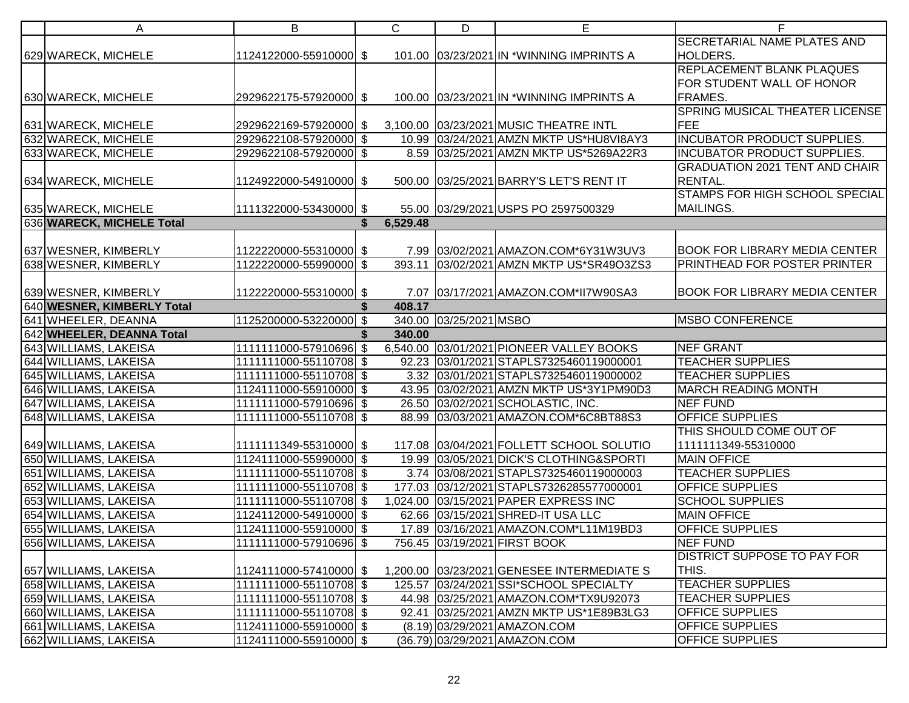| A                                                  | В                      | С              | D                      | Е                                           | F.                                    |
|----------------------------------------------------|------------------------|----------------|------------------------|---------------------------------------------|---------------------------------------|
|                                                    |                        |                |                        |                                             | <b>SECRETARIAL NAME PLATES AND</b>    |
| 629 WARECK, MICHELE                                | 1124122000-55910000 \$ |                |                        | 101.00 03/23/2021 IN *WINNING IMPRINTS A    | HOLDERS.                              |
|                                                    |                        |                |                        |                                             | REPLACEMENT BLANK PLAQUES             |
|                                                    |                        |                |                        |                                             | FOR STUDENT WALL OF HONOR             |
| 630 WARECK, MICHELE                                | 2929622175-57920000 \$ |                |                        | 100.00 03/23/2021 IN * WINNING IMPRINTS A   | FRAMES.                               |
|                                                    |                        |                |                        |                                             | SPRING MUSICAL THEATER LICENSE        |
| 631 WARECK, MICHELE                                | 2929622169-57920000 \$ |                |                        | 3,100.00 03/23/2021 MUSIC THEATRE INTL      | FEE                                   |
| 632 WARECK, MICHELE                                | 2929622108-57920000 \$ |                |                        | 10.99 03/24/2021 AMZN MKTP US*HU8VI8AY3     | <b>INCUBATOR PRODUCT SUPPLIES.</b>    |
| 633 WARECK, MICHELE                                | 2929622108-57920000 \$ |                |                        | 8.59 03/25/2021 AMZN MKTP US*5269A22R3      | <b>INCUBATOR PRODUCT SUPPLIES.</b>    |
|                                                    |                        |                |                        |                                             | <b>GRADUATION 2021 TENT AND CHAIR</b> |
| 634 WARECK, MICHELE                                | 1124922000-54910000 \$ |                |                        | 500.00 03/25/2021 BARRY'S LET'S RENT IT     | RENTAL.                               |
|                                                    |                        |                |                        |                                             | STAMPS FOR HIGH SCHOOL SPECIAL        |
| 635 WARECK, MICHELE                                | 1111322000-53430000 \$ |                |                        | 55.00 03/29/2021 USPS PO 2597500329         | MAILINGS.                             |
| 636 WARECK, MICHELE Total                          |                        | 6,529.48<br>\$ |                        |                                             |                                       |
|                                                    |                        |                |                        |                                             |                                       |
| 637 WESNER, KIMBERLY                               | 1122220000-55310000 \$ |                |                        | 7.99 03/02/2021 AMAZON.COM*6Y31W3UV3        | <b>BOOK FOR LIBRARY MEDIA CENTER</b>  |
| 638 WESNER, KIMBERLY                               | 1122220000-55990000 \$ |                |                        | 393.11 03/02/2021 AMZN MKTP US*SR49O3ZS3    | PRINTHEAD FOR POSTER PRINTER          |
|                                                    |                        |                |                        |                                             |                                       |
| 639 WESNER, KIMBERLY                               | 1122220000-55310000 \$ |                |                        | 7.07 03/17/2021 AMAZON.COM*II7W90SA3        | <b>BOOK FOR LIBRARY MEDIA CENTER</b>  |
| 640 WESNER, KIMBERLY Total                         |                        | 408.17         |                        |                                             |                                       |
| 641 WHEELER, DEANNA                                | 1125200000-53220000 \$ |                | 340.00 03/25/2021 MSBO |                                             | <b>MSBO CONFERENCE</b>                |
| 642 WHEELER, DEANNA Total<br>643 WILLIAMS, LAKEISA | 1111111000-57910696 \$ | 340.00         |                        | 6,540.00 03/01/2021 PIONEER VALLEY BOOKS    | <b>NEF GRANT</b>                      |
| 644 WILLIAMS, LAKEISA                              | 1111111000-55110708 \$ |                |                        | 92.23 03/01/2021 STAPLS7325460119000001     | <b>TEACHER SUPPLIES</b>               |
|                                                    | 1111111000-55110708 \$ |                |                        | 3.32 03/01/2021 STAPLS7325460119000002      | <b>TEACHER SUPPLIES</b>               |
| 645 WILLIAMS, LAKEISA<br>646 WILLIAMS, LAKEISA     | 1124111000-55910000 \$ |                |                        | 43.95 03/02/2021 AMZN MKTP US*3Y1PM90D3     | <b>MARCH READING MONTH</b>            |
| 647 WILLIAMS, LAKEISA                              | 1111111000-57910696 \$ |                |                        | 26.50 03/02/2021 SCHOLASTIC, INC.           | <b>NEF FUND</b>                       |
| 648 WILLIAMS, LAKEISA                              | 1111111000-55110708 \$ |                |                        | 88.99 03/03/2021 AMAZON.COM*6C8BT88S3       | <b>OFFICE SUPPLIES</b>                |
|                                                    |                        |                |                        |                                             | THIS SHOULD COME OUT OF               |
| 649 WILLIAMS, LAKEISA                              | 1111111349-55310000 \$ |                |                        | 117.08 03/04/2021 FOLLETT SCHOOL SOLUTIO    | 1111111349-55310000                   |
| 650 WILLIAMS, LAKEISA                              | 1124111000-55990000 \$ |                |                        | 19.99 03/05/2021 DICK'S CLOTHING&SPORTI     | <b>MAIN OFFICE</b>                    |
| 651 WILLIAMS, LAKEISA                              | 1111111000-55110708 \$ |                |                        | 3.74 03/08/2021 STAPLS7325460119000003      | <b>TEACHER SUPPLIES</b>               |
| 652 WILLIAMS, LAKEISA                              | 1111111000-55110708 \$ |                |                        | 177.03 03/12/2021 STAPLS7326285577000001    | <b>OFFICE SUPPLIES</b>                |
| 653 WILLIAMS, LAKEISA                              | 1111111000-55110708 \$ |                |                        | 1,024.00 03/15/2021 PAPER EXPRESS INC       | <b>SCHOOL SUPPLIES</b>                |
| 654 WILLIAMS, LAKEISA                              | 1124112000-54910000 \$ |                |                        | 62.66 03/15/2021 SHRED-IT USA LLC           | <b>MAIN OFFICE</b>                    |
| 655 WILLIAMS, LAKEISA                              | 1124111000-55910000 \$ |                |                        | 17.89 03/16/2021 AMAZON.COM*L11M19BD3       | <b>OFFICE SUPPLIES</b>                |
| 656 WILLIAMS, LAKEISA                              | 1111111000-57910696 \$ |                |                        | 756.45 03/19/2021 FIRST BOOK                | NEF FUND                              |
|                                                    |                        |                |                        |                                             | <b>DISTRICT SUPPOSE TO PAY FOR</b>    |
| 657 WILLIAMS, LAKEISA                              | 1124111000-57410000 \$ |                |                        | 1,200.00 03/23/2021 GENESEE INTERMEDIATE S  | THIS.                                 |
| 658 WILLIAMS, LAKEISA                              | 1111111000-55110708 \$ |                |                        | 125.57 03/24/2021 SSI*SCHOOL SPECIALTY      | <b>TEACHER SUPPLIES</b>               |
| 659 WILLIAMS, LAKEISA                              | 1111111000-55110708 \$ |                |                        | 44.98 03/25/2021 AMAZON.COM*TX9U92073       | <b>TEACHER SUPPLIES</b>               |
| 660 WILLIAMS, LAKEISA                              | 1111111000-55110708 \$ |                |                        | 92.41   03/25/2021   AMZN MKTP US*1E89B3LG3 | <b>OFFICE SUPPLIES</b>                |
| 661 WILLIAMS, LAKEISA                              | 1124111000-55910000 \$ |                |                        | (8.19) 03/29/2021 AMAZON.COM                | <b>OFFICE SUPPLIES</b>                |
| 662 WILLIAMS, LAKEISA                              | 1124111000-55910000 \$ |                |                        | (36.79) 03/29/2021 AMAZON.COM               | <b>OFFICE SUPPLIES</b>                |
|                                                    |                        |                |                        |                                             |                                       |